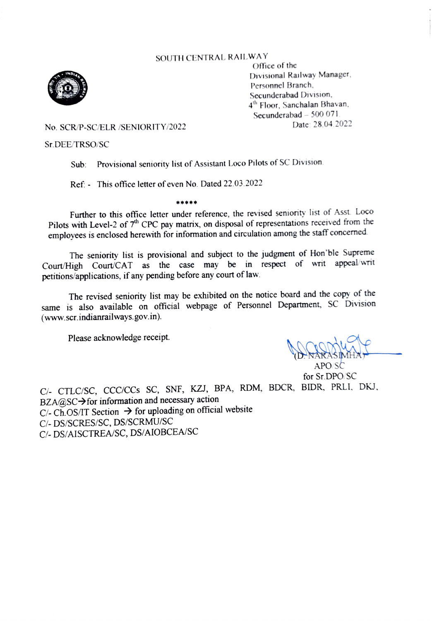## SOUTH CENTRAL RAILWAY



Office of the Divisional Railway Manager, Personnel Branch Secunderabad Division, 4<sup>th</sup> Floor, Sanchalan Bhavan, Secunderabad – 500 071.<br>Date: 28.04.2022

No. SCR/P-SC/ELR /SENIORITY/2022

## Sr.DEE TRSO/SC

Sub: Provisional seniority list of Assistant Loco Pilots of SC Division

\*\*\*\*\*

Ref: - This office letter of even No. Dated 22.03.2022

Further to this office letter under reference, the revised seniority list of Asst Loco Pilots with Level-2 of 7<sup>th</sup> CPC pay matrix, on disposal of representations received from the employees is enclosed herewith for information and circulation among the staff concerned

The seniority list is provisional and subject to the judgment of Hon'ble Supreme Court/High Court/CAT as the case may be in respect of writ appeal/writ petitions/applications, if any pending before any court of law.

The revised seniority list may be exhibited on the notice board and the copy of the same is also available on official webpage of Personnel Department, SC Division (www.scr.indianrailways. gov.in).

Please acknowledge receipt.

APO SC for Sr.DPO/SC

C/- CTLC/SC, CCC/CCs SC, SNF, KZJ, BPA, RDM, BDCR, BIDR, PRLI, DKJ,  $BZA@SC\rightarrow$  for information and necessary action  $C$ -Ch.OS/IT Section  $\rightarrow$  for uploading on official website C/-DS/SCRES/SC, DS/SCRMU/SC CI-DS/AISCTREA/SC, DS/AIOBCEA/SC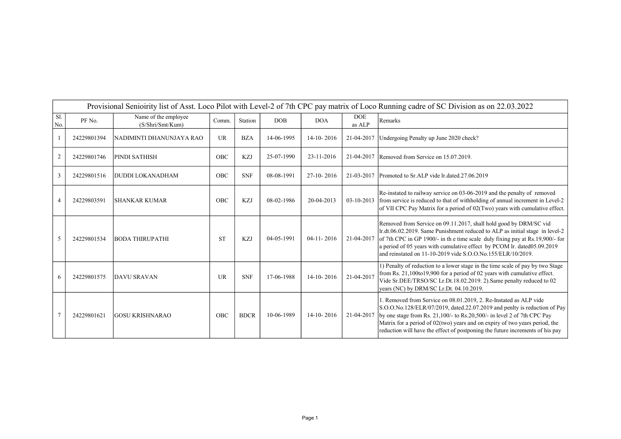|            |             |                                          |            |             |            |              |                      | Provisional Senioirity list of Asst. Loco Pilot with Level-2 of 7th CPC pay matrix of Loco Running cadre of SC Division as on 22.03.2022                                                                                                                                                                                                                                                  |
|------------|-------------|------------------------------------------|------------|-------------|------------|--------------|----------------------|-------------------------------------------------------------------------------------------------------------------------------------------------------------------------------------------------------------------------------------------------------------------------------------------------------------------------------------------------------------------------------------------|
| Sl.<br>No. | PF No.      | Name of the employee<br>(S/Shri/Smt/Kum) | Comm.      | Station     | DOB        | <b>DOA</b>   | <b>DOE</b><br>as ALP | Remarks                                                                                                                                                                                                                                                                                                                                                                                   |
|            | 24229801394 | NADIMINTI DHANUNJAYA RAO                 | <b>UR</b>  | <b>BZA</b>  | 14-06-1995 | $14-10-2016$ | 21-04-2017           | Undergoing Penalty up June 2020 check?                                                                                                                                                                                                                                                                                                                                                    |
| 2          | 24229801746 | <b>PINDI SATHISH</b>                     | <b>OBC</b> | <b>KZJ</b>  | 25-07-1990 | 23-11-2016   |                      | 21-04-2017 Removed from Service on 15.07.2019.                                                                                                                                                                                                                                                                                                                                            |
| 3          | 24229801516 | <b>DUDDI LOKANADHAM</b>                  | <b>OBC</b> | <b>SNF</b>  | 08-08-1991 | $27-10-2016$ | 21-03-2017           | Promoted to Sr.ALP vide lr.dated.27.06.2019                                                                                                                                                                                                                                                                                                                                               |
|            | 24229803591 | <b>SHANKAR KUMAR</b>                     | <b>OBC</b> | <b>KZJ</b>  | 08-02-1986 | 20-04-2013   | $03-10-2013$         | Re-instated to railway service on 03-06-2019 and the penalty of removed<br>from service is reduced to that of withholding of annual increment in Level-2<br>of VII CPC Pay Matrix for a period of 02(Two) years with cumulative effect.                                                                                                                                                   |
| 5          | 24229801534 | <b>BODA THIRUPATHI</b>                   | <b>ST</b>  | <b>KZJ</b>  | 04-05-1991 | $04-11-2016$ | 21-04-2017           | Removed from Service on 09.11.2017, shall hold good by DRM/SC vid<br>lr.dt.06.02.2019. Same Punishment reduced to ALP as initial stage in level-2<br>of 7th CPC in GP 1900/- in the time scale duly fixing pay at Rs.19,900/- for<br>a period of 05 years with cumulative effect by PCOM lr. dated05.09.2019<br>and reinstated on 11-10-2019 vide S.O.O.No.155/ELR/10/2019.               |
| 6          | 24229801575 | <b>DAVU SRAVAN</b>                       | <b>UR</b>  | <b>SNF</b>  | 17-06-1988 | $14-10-2016$ | 21-04-2017           | 1) Penalty of reduction to a lower stage in the time scale of pay by two Stage<br>from Rs. 21,100to19,900 for a period of 02 years with cumulative effect.<br>Vide Sr.DEE/TRSO/SC Lr.Dt.18.02.2019. 2).Same penalty reduced to 02<br>years (NC) by DRM/SC Lr.Dt. 04.10.2019.                                                                                                              |
|            | 24229801621 | GOSU KRISHNARAO                          | OBC        | <b>BDCR</b> | 10-06-1989 | $14-10-2016$ | 21-04-2017           | 1. Removed from Service on 08.01.2019, 2. Re-Instated as ALP vide<br>S.O.O.No.128/ELR/07/2019, dated.22.07.2019 and penlty is reduction of Pay<br>by one stage from Rs. 21,100/- to Rs.20,500/- in level 2 of 7th CPC Pay<br>Matrix for a period of 02(two) years and on expiry of two years period, the<br>reduction will have the effect of postponing the future increments of his pay |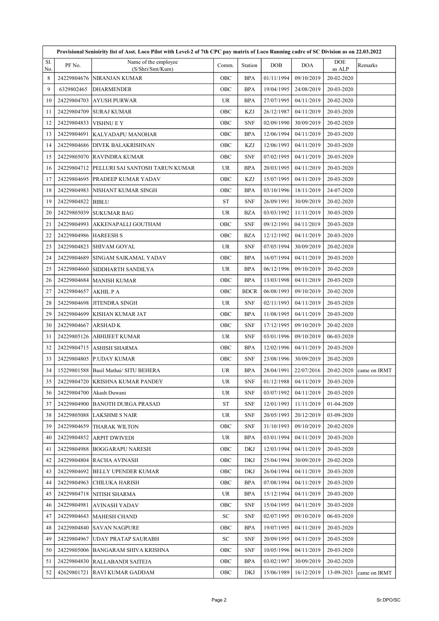|            | Provisional Senioirity list of Asst. Loco Pilot with Level-2 of 7th CPC pay matrix of Loco Running cadre of SC Division as on 22.03.2022 |                                          |           |             |            |            |                      |                           |  |
|------------|------------------------------------------------------------------------------------------------------------------------------------------|------------------------------------------|-----------|-------------|------------|------------|----------------------|---------------------------|--|
| Sl.<br>No. | PF No.                                                                                                                                   | Name of the employee<br>(S/Shri/Smt/Kum) | Comm.     | Station     | DOB        | <b>DOA</b> | <b>DOE</b><br>as ALP | Remarks                   |  |
| 8          | 24229804676                                                                                                                              | NIRANJAN KUMAR                           | OBC       | <b>BPA</b>  | 01/11/1994 | 09/10/2019 | 20-02-2020           |                           |  |
| 9          | 6329802465                                                                                                                               | <b>DHARMENDER</b>                        | OBC       | <b>BPA</b>  | 19/04/1995 | 24/08/2019 | 20-03-2020           |                           |  |
| 10         | 24229804703                                                                                                                              | <b>AYUSH PURWAR</b>                      | <b>UR</b> | BPA         | 27/07/1995 | 04/11/2019 | 20-02-2020           |                           |  |
| 11         | 24229804709                                                                                                                              | <b>SURAJ KUMAR</b>                       | OBC       | KZJ         | 26/12/1987 | 04/11/2019 | 20-03-2020           |                           |  |
| 12         | 24229804833                                                                                                                              | VISHNU E Y                               | OBC       | <b>SNF</b>  | 02/09/1990 | 30/09/2019 | 20-02-2020           |                           |  |
| 13         | 24229804691                                                                                                                              | KALYADAPU MANOHAR                        | OBC       | <b>BPA</b>  | 12/06/1994 | 04/11/2019 | 20-03-2020           |                           |  |
| 14         | 24229804686                                                                                                                              | DIVEK BALAKRISHNAN                       | OBC       | KZJ         | 12/06/1993 | 04/11/2019 | 20-03-2020           |                           |  |
| 15         | 24229805070                                                                                                                              | <b>RAVINDRA KUMAR</b>                    | OBC       | <b>SNF</b>  | 07/02/1995 | 04/11/2019 | 20-03-2020           |                           |  |
| 16         | 24229804712                                                                                                                              | PELLURI SAI SANTOSH TARUN KUMAR          | <b>UR</b> | <b>BPA</b>  | 20/03/1995 | 04/11/2019 | 20-03-2020           |                           |  |
| 17         | 24229804695                                                                                                                              | PRADEEP KUMAR YADAV                      | OBC       | <b>KZJ</b>  | 15/07/1995 | 04/11/2019 | 20-03-2020           |                           |  |
| 18         | 24229804983                                                                                                                              | NISHANT KUMAR SINGH                      | OBC       | <b>BPA</b>  | 03/10/1996 | 18/11/2019 | 24-07-2020           |                           |  |
| 19         | 24229804822                                                                                                                              | <b>BIBLU</b>                             | <b>ST</b> | <b>SNF</b>  | 26/09/1991 | 30/09/2019 | 20-02-2020           |                           |  |
| 20         | 24229805039                                                                                                                              | <b>SUKUMAR BAG</b>                       | <b>UR</b> | <b>BZA</b>  | 03/03/1992 | 11/11/2019 | 30-03-2020           |                           |  |
| 21         | 24229804993                                                                                                                              | AKKENAPALLI GOUTHAM                      | OBC       | <b>SNF</b>  | 09/12/1991 | 04/11/2019 | 20-03-2020           |                           |  |
| 22         | 24229804986                                                                                                                              | <b>HAREESH S</b>                         | OBC       | <b>BZA</b>  | 12/12/1992 | 04/11/2019 | 20-03-2020           |                           |  |
| 23         | 24229804823                                                                                                                              | <b>SHIVAM GOYAL</b>                      | <b>UR</b> | <b>SNF</b>  | 07/05/1994 | 30/09/2019 | 20-02-2020           |                           |  |
| 24         | 24229804689                                                                                                                              | SINGAM SAIKAMAL YADAV                    | OBC       | <b>BPA</b>  | 16/07/1994 | 04/11/2019 | 20-03-2020           |                           |  |
| 25         | 24229804660                                                                                                                              | SIDDHARTH SANDILYA                       | <b>UR</b> | <b>BPA</b>  | 06/12/1996 | 09/10/2019 | 20-02-2020           |                           |  |
| 26         | 24229804684                                                                                                                              | <b>MANISH KUMAR</b>                      | OBC       | <b>BPA</b>  | 13/03/1998 | 04/11/2019 | 20-03-2020           |                           |  |
| 27         | 24229804657                                                                                                                              | <b>AKHIL P A</b>                         | OBC       | <b>BDCR</b> | 06/08/1993 | 09/10/2019 | 20-02-2020           |                           |  |
| 28         | 24229804698                                                                                                                              | <b>JITENDRA SINGH</b>                    | UR        | <b>SNF</b>  | 02/11/1993 | 04/11/2019 | 20-03-2020           |                           |  |
| 29         | 24229804699                                                                                                                              | KISHAN KUMAR JAT                         | OBC       | <b>BPA</b>  | 11/08/1995 | 04/11/2019 | 20-03-2020           |                           |  |
| 30         | 24229804667                                                                                                                              | <b>ARSHAD K</b>                          | OBC       | <b>SNF</b>  | 17/12/1995 | 09/10/2019 | 20-02-2020           |                           |  |
| 31         | 24229805126                                                                                                                              | <b>ABHIJEET KUMAR</b>                    | <b>UR</b> | <b>SNF</b>  | 03/01/1996 | 09/10/2019 | 06-03-2020           |                           |  |
| 32         | 24229804715                                                                                                                              | ASHISH SHARMA                            | OBC       | <b>BPA</b>  | 12/02/1996 | 04/11/2019 | 20-03-2020           |                           |  |
| 33         | 24229804805                                                                                                                              | <b>P.UDAY KUMAR</b>                      | OBC       | <b>SNF</b>  | 23/08/1996 | 30/09/2019 | 20-02-2020           |                           |  |
| 34         | 15229801588                                                                                                                              | Basil Mathai/ SITU BEHERA                | UR        | <b>BPA</b>  | 28/04/1991 | 22/07/2016 |                      | $20-02-2020$ came on IRMT |  |
| 35         | 24229804720                                                                                                                              | KRISHNA KUMAR PANDEY                     | <b>UR</b> | <b>SNF</b>  | 01/12/1988 | 04/11/2019 | 20-03-2020           |                           |  |
| 36         | 24229804700                                                                                                                              | Akash Duwani                             | <b>UR</b> | <b>SNF</b>  | 03/07/1992 | 04/11/2019 | 20-03-2020           |                           |  |
| 37         | 24229804900                                                                                                                              | <b>BANOTH DURGA PRASAD</b>               | ST        | <b>SNF</b>  | 12/01/1993 | 11/11/2019 | 01-04-2020           |                           |  |
| 38         | 24229805088                                                                                                                              | LAKSHMI S NAIR                           | UR        | <b>SNF</b>  | 20/05/1993 | 20/12/2019 | 03-09-2020           |                           |  |
| 39         | 24229804659                                                                                                                              | THARAK WILTON                            | OBC       | <b>SNF</b>  | 31/10/1993 | 09/10/2019 | 20-02-2020           |                           |  |
| 40         | 24229804852                                                                                                                              | <b>ARPIT DWIVEDI</b>                     | UR        | <b>BPA</b>  | 03/01/1994 | 04/11/2019 | 20-03-2020           |                           |  |
| 41         | 24229804988                                                                                                                              | <b>BOGGARAPU NARESH</b>                  | OBC       | DKJ         | 12/03/1994 | 04/11/2019 | 20-03-2020           |                           |  |
| 42         | 24229804804                                                                                                                              | <b>RACHA AVINASH</b>                     | OBC       | <b>DKJ</b>  | 25/04/1994 | 30/09/2019 | 20-02-2020           |                           |  |
| 43         | 24229804692                                                                                                                              | BELLY UPENDER KUMAR                      | OBC       | DKJ         | 26/04/1994 | 04/11/2019 | 20-03-2020           |                           |  |
| 44         | 24229804963                                                                                                                              | CHILUKA HARISH                           | OBC       | <b>BPA</b>  | 07/08/1994 | 04/11/2019 | 20-03-2020           |                           |  |
| 45         | 24229804718                                                                                                                              | NITISH SHARMA                            | <b>UR</b> | <b>BPA</b>  | 15/12/1994 | 04/11/2019 | 20-03-2020           |                           |  |
| 46         | 24229804981                                                                                                                              | <b>AVINASH YADAV</b>                     | OBC       | <b>SNF</b>  | 15/04/1995 | 04/11/2019 | 20-03-2020           |                           |  |
| 47         | 24229804643                                                                                                                              | <b>MAHESH CHAND</b>                      | SC        | <b>SNF</b>  | 02/07/1995 | 09/10/2019 | 06-03-2020           |                           |  |
| 48         | 24229804840                                                                                                                              | <b>SAVAN NAGPURE</b>                     | OBC       | <b>BPA</b>  | 19/07/1995 | 04/11/2019 | 20-03-2020           |                           |  |
| 49         | 24229804967                                                                                                                              | <b>UDAY PRATAP SAURABH</b>               | SC        | <b>SNF</b>  | 20/09/1995 | 04/11/2019 | 20-03-2020           |                           |  |
| 50         | 24229805006                                                                                                                              | BANGARAM SHIVA KRISHNA                   | OBC       | <b>SNF</b>  | 10/05/1996 | 04/11/2019 | 20-03-2020           |                           |  |
| 51         | 24229804830                                                                                                                              | RALLABANDI SAITEJA                       | OBC       | BPA         | 03/02/1997 | 30/09/2019 | 20-02-2020           |                           |  |
| 52         | 42629801721                                                                                                                              | RAVI KUMAR GADDAM                        | OBC       | DKJ         | 15/06/1989 | 16/12/2019 | 13-09-2021           | came on IRMT              |  |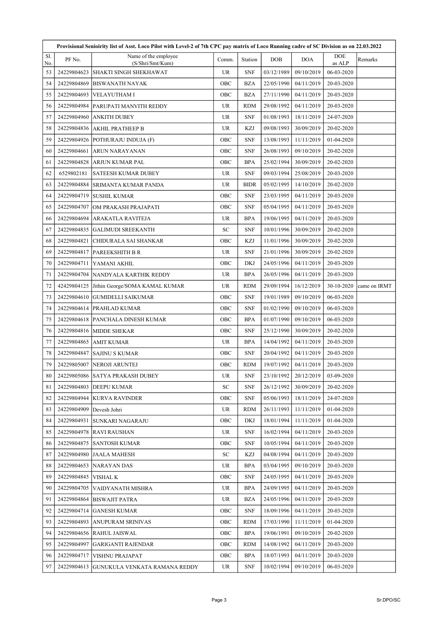|            | Provisional Senioirity list of Asst. Loco Pilot with Level-2 of 7th CPC pay matrix of Loco Running cadre of SC Division as on 22.03.2022 |                                          |            |             |            |            |               |              |  |
|------------|------------------------------------------------------------------------------------------------------------------------------------------|------------------------------------------|------------|-------------|------------|------------|---------------|--------------|--|
| Sl.<br>No. | PF No.                                                                                                                                   | Name of the employee<br>(S/Shri/Smt/Kum) | Comm.      | Station     | DOB        | <b>DOA</b> | DOE<br>as ALP | Remarks      |  |
| 53         | 24229804623                                                                                                                              | SHAKTI SINGH SHEKHAWAT                   | <b>UR</b>  | <b>SNF</b>  | 03/12/1989 | 09/10/2019 | 06-03-2020    |              |  |
| 54         | 24229804869                                                                                                                              | <b>BISWANATH NAYAK</b>                   | OBC        | <b>BZA</b>  | 22/05/1990 | 04/11/2019 | 20-03-2020    |              |  |
| 55         | 24229804693                                                                                                                              | <b>VELAYUTHAM I</b>                      | OBC        | BZA         | 27/11/1990 | 04/11/2019 | 20-03-2020    |              |  |
| 56         | 24229804984                                                                                                                              | PARUPATI MANVITH REDDY                   | <b>UR</b>  | <b>RDM</b>  | 29/08/1992 | 04/11/2019 | 20-03-2020    |              |  |
| 57         | 24229804960                                                                                                                              | ANKITH DUBEY                             | <b>UR</b>  | <b>SNF</b>  | 01/08/1993 | 18/11/2019 | 24-07-2020    |              |  |
| 58         | 24229804836                                                                                                                              | <b>AKHIL PRATHEEP B</b>                  | <b>UR</b>  | KZJ         | 09/08/1993 | 30/09/2019 | 20-02-2020    |              |  |
| 59         | 24229804926                                                                                                                              | POTHURAJU INDUJA (F)                     | OBC        | <b>SNF</b>  | 13/08/1993 | 11/11/2019 | 01-04-2020    |              |  |
| 60         | 24229804661                                                                                                                              | <b>ARUN NARAYANAN</b>                    | OBC        | <b>SNF</b>  | 26/08/1993 | 09/10/2019 | 20-02-2020    |              |  |
| 61         | 24229804828                                                                                                                              | <b>ARJUN KUMAR PAL</b>                   | OBC        | <b>BPA</b>  | 25/02/1994 | 30/09/2019 | 20-02-2020    |              |  |
| 62         | 6529802181                                                                                                                               | <b>SATEESH KUMAR DUBEY</b>               | <b>UR</b>  | <b>SNF</b>  | 09/03/1994 | 25/08/2019 | 20-03-2020    |              |  |
| 63         | 24229804884                                                                                                                              | SRIMANTA KUMAR PANDA                     | <b>UR</b>  | <b>BIDR</b> | 05/02/1995 | 14/10/2019 | 20-02-2020    |              |  |
| 64         | 24229804719                                                                                                                              | <b>SUSHIL KUMAR</b>                      | OBC        | <b>SNF</b>  | 23/03/1995 | 04/11/2019 | 20-03-2020    |              |  |
| 65         | 24229804707                                                                                                                              | OM PRAKASH PRAJAPATI                     | OBC        | <b>SNF</b>  | 05/04/1995 | 04/11/2019 | 20-03-2020    |              |  |
| 66         | 24229804694                                                                                                                              | <b>ARAKATLA RAVITEJA</b>                 | <b>UR</b>  | <b>BPA</b>  | 19/06/1995 | 04/11/2019 | 20-03-2020    |              |  |
| 67         | 24229804835                                                                                                                              | GALIMUDI SREEKANTH                       | ${\rm SC}$ | <b>SNF</b>  | 10/01/1996 | 30/09/2019 | 20-02-2020    |              |  |
| 68         | 24229804821                                                                                                                              | CHIDURALA SAI SHANKAR                    | OBC        | KZJ         | 11/01/1996 | 30/09/2019 | 20-02-2020    |              |  |
| 69         | 24229804817                                                                                                                              | <b>PAREEKSHITH B R</b>                   | UR         | <b>SNF</b>  | 21/01/1996 | 30/09/2019 | 20-02-2020    |              |  |
| 70         | 24229804711                                                                                                                              | YAMANI AKHIL                             | OBC        | <b>DKJ</b>  | 24/05/1996 | 04/11/2019 | 20-03-2020    |              |  |
| 71         | 24229804704                                                                                                                              | NANDYALA KARTHIK REDDY                   | <b>UR</b>  | <b>BPA</b>  | 26/05/1996 | 04/11/2019 | 20-03-2020    |              |  |
| 72         | 42429804125                                                                                                                              | Jithin George/SOMA KAMAL KUMAR           | UR         | <b>RDM</b>  | 29/09/1994 | 16/12/2019 | 30-10-2020    | came on IRMT |  |
| 73         | 24229804610                                                                                                                              | <b>GUMIDELLI SAIKUMAR</b>                | OBC        | <b>SNF</b>  | 19/01/1989 | 09/10/2019 | 06-03-2020    |              |  |
| 74         | 24229804614                                                                                                                              | PRAHLAD KUMAR                            | OBC        | <b>SNF</b>  | 01/02/1990 | 09/10/2019 | 06-03-2020    |              |  |
| 75         | 24229804618                                                                                                                              | PANCHALA DINESH KUMAR                    | OBC        | <b>BPA</b>  | 01/07/1990 | 09/10/2019 | 06-03-2020    |              |  |
| 76         | 24229804816                                                                                                                              | <b>MIDDE SHEKAR</b>                      | OBC        | <b>SNF</b>  | 25/12/1990 | 30/09/2019 | 20-02-2020    |              |  |
| 77         | 24229804865                                                                                                                              | <b>AMIT KUMAR</b>                        | <b>UR</b>  | <b>BPA</b>  | 14/04/1992 | 04/11/2019 | 20-03-2020    |              |  |
| 78         | 24229804847                                                                                                                              | <b>SAJINU S KUMAR</b>                    | OBC        | <b>SNF</b>  | 20/04/1992 | 04/11/2019 | 20-03-2020    |              |  |
| 79         | 24229805007                                                                                                                              | <b>NEROJI ARUNTEJ</b>                    | OBC        | RDM         | 19/07/1992 | 04/11/2019 | 20-03-2020    |              |  |
| 80         | 24229805086                                                                                                                              | SATYA PRAKASH DUBEY                      | <b>UR</b>  | <b>SNF</b>  | 23/10/1992 | 20/12/2019 | 03-09-2020    |              |  |
| 81         | 24229804803                                                                                                                              | <b>DEEPU KUMAR</b>                       | SC         | <b>SNF</b>  | 26/12/1992 | 30/09/2019 | 20-02-2020    |              |  |
| 82         | 24229804944                                                                                                                              | KURVA RAVINDER                           | OBC        | <b>SNF</b>  | 05/06/1993 | 18/11/2019 | 24-07-2020    |              |  |
| 83         | 24229804909                                                                                                                              | Devesh Johri                             | <b>UR</b>  | <b>RDM</b>  | 26/11/1993 | 11/11/2019 | 01-04-2020    |              |  |
| 84         | 24229804931                                                                                                                              | SUNKARI NAGARAJU                         | OBC        | <b>DKJ</b>  | 18/01/1994 | 11/11/2019 | 01-04-2020    |              |  |
| 85         | 24229804978                                                                                                                              | <b>RAVI RAUSHAN</b>                      | UR         | <b>SNF</b>  | 16/02/1994 | 04/11/2019 | 20-03-2020    |              |  |
| 86         | 24229804875                                                                                                                              | <b>SANTOSH KUMAR</b>                     | OBC        | <b>SNF</b>  | 10/05/1994 | 04/11/2019 | 20-03-2020    |              |  |
| 87         | 24229804980                                                                                                                              | <b>JAALA MAHESH</b>                      | <b>SC</b>  | KZJ         | 04/08/1994 | 04/11/2019 | 20-03-2020    |              |  |
| 88         | 24229804653                                                                                                                              | <b>NARAYAN DAS</b>                       | <b>UR</b>  | <b>BPA</b>  | 03/04/1995 | 09/10/2019 | 20-03-2020    |              |  |
| 89         | 24229804845                                                                                                                              | <b>VISHAL K</b>                          | OBC        | <b>SNF</b>  | 24/05/1995 | 04/11/2019 | 20-03-2020    |              |  |
| 90         | 24229804705                                                                                                                              | VAIDYANATH MISHRA                        | <b>UR</b>  | <b>BPA</b>  | 24/09/1995 | 04/11/2019 | 20-03-2020    |              |  |
| 91         | 24229804864                                                                                                                              | BISWAJIT PATRA                           | <b>UR</b>  | <b>BZA</b>  | 24/05/1996 | 04/11/2019 | 20-03-2020    |              |  |
| 92         | 24229804714                                                                                                                              | GANESH KUMAR                             | OBC        | <b>SNF</b>  | 18/09/1996 | 04/11/2019 | 20-03-2020    |              |  |
| 93         | 24229804893                                                                                                                              | <b>ANUPURAM SRINIVAS</b>                 | OBC        | RDM         | 17/03/1990 | 11/11/2019 | 01-04-2020    |              |  |
| 94         | 24229804656                                                                                                                              | <b>RAHUL JAISWAL</b>                     | OBC        | <b>BPA</b>  | 19/06/1991 | 09/10/2019 | 20-02-2020    |              |  |
| 95         | 24229804997                                                                                                                              | GARIGANTI RAJENDAR                       | OBC        | <b>RDM</b>  | 14/08/1992 | 04/11/2019 | 20-03-2020    |              |  |
| 96         | 24229804717                                                                                                                              | <b>VISHNU PRAJAPAT</b>                   | OBC        | <b>BPA</b>  | 18/07/1993 | 04/11/2019 | 20-03-2020    |              |  |
| 97         | 24229804613                                                                                                                              | GUNUKULA VENKATA RAMANA REDDY            | UR         | <b>SNF</b>  | 10/02/1994 | 09/10/2019 | 06-03-2020    |              |  |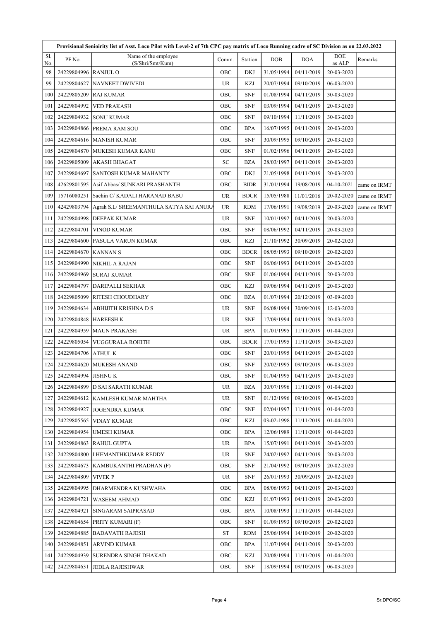|            |             | Provisional Senioirity list of Asst. Loco Pilot with Level-2 of 7th CPC pay matrix of Loco Running cadre of SC Division as on 22.03.2022 |           |             |            |            |               |              |
|------------|-------------|------------------------------------------------------------------------------------------------------------------------------------------|-----------|-------------|------------|------------|---------------|--------------|
| Sl.<br>No. | PF No.      | Name of the employee<br>(S/Shri/Smt/Kum)                                                                                                 | Comm.     | Station     | <b>DOB</b> | <b>DOA</b> | DOE<br>as ALP | Remarks      |
| 98         | 24229804996 | <b>RANJUL O</b>                                                                                                                          | OBC       | <b>DKJ</b>  | 31/05/1994 | 04/11/2019 | 20-03-2020    |              |
| 99         | 24229804627 | <b>NAVNEET DWIVEDI</b>                                                                                                                   | <b>UR</b> | KZJ         | 20/07/1994 | 09/10/2019 | 06-03-2020    |              |
| 100        | 24229805209 | <b>RAJ KUMAR</b>                                                                                                                         | OBC       | <b>SNF</b>  | 01/08/1994 | 04/11/2019 | 30-03-2020    |              |
| 101        | 24229804992 | <b>VED PRAKASH</b>                                                                                                                       | OBC       | <b>SNF</b>  | 03/09/1994 | 04/11/2019 | 20-03-2020    |              |
| 102        | 24229804932 | <b>SONU KUMAR</b>                                                                                                                        | OBC       | <b>SNF</b>  | 09/10/1994 | 11/11/2019 | 30-03-2020    |              |
| 103        | 24229804866 | <b>PREMA RAM SOU</b>                                                                                                                     | OBC       | <b>BPA</b>  | 16/07/1995 | 04/11/2019 | 20-03-2020    |              |
| 104        | 24229804616 | <b>MANISH KUMAR</b>                                                                                                                      | OBC       | <b>SNF</b>  | 30/09/1995 | 09/10/2019 | 20-03-2020    |              |
| 105        | 24229804870 | MUKESH KUMAR KANU                                                                                                                        | OBC       | <b>SNF</b>  | 01/02/1996 | 04/11/2019 | 20-03-2020    |              |
| 106        | 24229805009 | <b>AKASH BHAGAT</b>                                                                                                                      | SC        | <b>BZA</b>  | 28/03/1997 | 04/11/2019 | 20-03-2020    |              |
| 107        | 24229804697 | SANTOSH KUMAR MAHANTY                                                                                                                    | OBC       | <b>DKJ</b>  | 21/05/1998 | 04/11/2019 | 20-03-2020    |              |
| 108        | 42629801595 | Asif Abbas/ SUNKARI PRASHANTH                                                                                                            | OBC       | <b>BIDR</b> | 31/01/1994 | 19/08/2019 | 04-10-2021    | came on IRMT |
| 109        | 15716080251 | Sachin C/ KADALI HARANAD BABU                                                                                                            | <b>UR</b> | <b>BDCR</b> | 15/05/1988 | 11/01/2016 | 20-02-2020    | came on IRMT |
| 110        | 42429803794 | Agrah S.L/ SREEMANTHULA SATYA SAI ANURA                                                                                                  | <b>UR</b> | <b>RDM</b>  | 17/06/1991 | 19/08/2019 | 20-03-2020    | came on IRMT |
| 111        | 24229804998 | <b>DEEPAK KUMAR</b>                                                                                                                      | UR        | <b>SNF</b>  | 10/01/1992 | 04/11/2019 | 20-03-2020    |              |
| 112        | 24229804701 | <b>VINOD KUMAR</b>                                                                                                                       | OBC       | <b>SNF</b>  | 08/06/1992 | 04/11/2019 | 20-03-2020    |              |
| 113        | 24229804600 | PASULA VARUN KUMAR                                                                                                                       | OBC       | KZJ         | 21/10/1992 | 30/09/2019 | 20-02-2020    |              |
| 114        | 24229804670 | <b>KANNAN S</b>                                                                                                                          | OBC       | <b>BDCR</b> | 08/05/1993 | 09/10/2019 | 20-02-2020    |              |
| 115        | 24229804990 | NIKHIL A RAJAN                                                                                                                           | OBC       | <b>SNF</b>  | 06/06/1993 | 04/11/2019 | 20-03-2020    |              |
| 116        | 24229804969 | <b>SURAJ KUMAR</b>                                                                                                                       | OBC       | <b>SNF</b>  | 01/06/1994 | 04/11/2019 | 20-03-2020    |              |
| 117        | 24229804797 | <b>DARIPALLI SEKHAR</b>                                                                                                                  | OBC       | KZJ         | 09/06/1994 | 04/11/2019 | 20-03-2020    |              |
| 118        | 24229805099 | RITESH CHOUDHARY                                                                                                                         | OBC       | <b>BZA</b>  | 01/07/1994 | 20/12/2019 | 03-09-2020    |              |
| 119        | 24229804634 | ABHIJITH KRISHNA D S                                                                                                                     | <b>UR</b> | <b>SNF</b>  | 06/08/1994 | 30/09/2019 | 12-03-2020    |              |
| 120        | 24229804848 | <b>HAREESH K</b>                                                                                                                         | <b>UR</b> | <b>SNF</b>  | 17/09/1994 | 04/11/2019 | 20-03-2020    |              |
| 121        | 24229804959 | <b>MAUN PRAKASH</b>                                                                                                                      | UR        | <b>BPA</b>  | 01/01/1995 | 11/11/2019 | 01-04-2020    |              |
| 122        | 24229805054 | VUGGURALA ROHITH                                                                                                                         | OBC       | <b>BDCR</b> | 17/01/1995 | 11/11/2019 | 30-03-2020    |              |
| 123        | 24229804706 | <b>ATHUL K</b>                                                                                                                           | OBC       | <b>SNF</b>  | 20/01/1995 | 04/11/2019 | 20-03-2020    |              |
| 124        | 24229804620 | <b>MUKESH ANAND</b>                                                                                                                      | OBC       | <b>SNF</b>  | 20/02/1995 | 09/10/2019 | 06-03-2020    |              |
| 125        | 24229804994 | <b>JISHNUK</b>                                                                                                                           | OBC       | <b>SNF</b>  | 01/04/1995 | 04/11/2019 | 20-03-2020    |              |
| 126        | 24229804899 | D SAI SARATH KUMAR                                                                                                                       | UR        | BZA         | 30/07/1996 | 11/11/2019 | 01-04-2020    |              |
| 127        | 24229804612 | KAMLESH KUMAR MAHTHA                                                                                                                     | UR        | <b>SNF</b>  | 01/12/1996 | 09/10/2019 | 06-03-2020    |              |
| 128        | 24229804927 | <b>JOGENDRA KUMAR</b>                                                                                                                    | OBC       | <b>SNF</b>  | 02/04/1997 | 11/11/2019 | 01-04-2020    |              |
| 129        | 24229805565 | <b>VINAY KUMAR</b>                                                                                                                       | OBC       | KZJ         | 03-02-1998 | 11/11/2019 | 01-04-2020    |              |
| 130        | 24229804954 | UMESH KUMAR                                                                                                                              | OBC       | <b>BPA</b>  | 12/06/1989 | 11/11/2019 | 01-04-2020    |              |
| 1311       | 24229804863 | RAHUL GUPTA                                                                                                                              | <b>UR</b> | <b>BPA</b>  | 15/07/1991 | 04/11/2019 | 20-03-2020    |              |
| 132        | 24229804800 | I HEMANTHKUMAR REDDY                                                                                                                     | UR        | <b>SNF</b>  | 24/02/1992 | 04/11/2019 | 20-03-2020    |              |
| 133        | 24229804673 | KAMBUKANTHI PRADHAN (F)                                                                                                                  | OBC       | <b>SNF</b>  | 21/04/1992 | 09/10/2019 | 20-02-2020    |              |
| 134        | 24229804809 | VIVEK P                                                                                                                                  | <b>UR</b> | <b>SNF</b>  | 26/01/1993 | 30/09/2019 | 20-02-2020    |              |
| 135        | 24229804995 | DHARMENDRA KUSHWAHA                                                                                                                      | OBC       | <b>BPA</b>  | 08/06/1993 | 04/11/2019 | 20-03-2020    |              |
| 136        | 24229804721 | <b>WASEEM AHMAD</b>                                                                                                                      | OBC       | KZJ         | 01/07/1993 | 04/11/2019 | 20-03-2020    |              |
| 137        | 24229804921 | SINGARAM SAIPRASAD                                                                                                                       | OBC       | <b>BPA</b>  | 10/08/1993 | 11/11/2019 | 01-04-2020    |              |
| 138        | 24229804654 | PRITY KUMARI (F)                                                                                                                         | OBC       | <b>SNF</b>  | 01/09/1993 | 09/10/2019 | 20-02-2020    |              |
| 139        | 24229804885 | <b>BADAVATH RAJESH</b>                                                                                                                   | ST        | RDM         | 25/06/1994 | 14/10/2019 | 20-02-2020    |              |
| 140        | 24229804851 | ARVIND KUMAR                                                                                                                             | OBC       | <b>BPA</b>  | 11/07/1994 | 04/11/2019 | 20-03-2020    |              |
| 141        | 24229804939 | SURENDRA SINGH DHAKAD                                                                                                                    | OBC       | KZJ         | 20/08/1994 | 11/11/2019 | 01-04-2020    |              |
| 142        | 24229804631 | <b>JEDLA RAJESHWAR</b>                                                                                                                   | OBC       | <b>SNF</b>  | 18/09/1994 | 09/10/2019 | 06-03-2020    |              |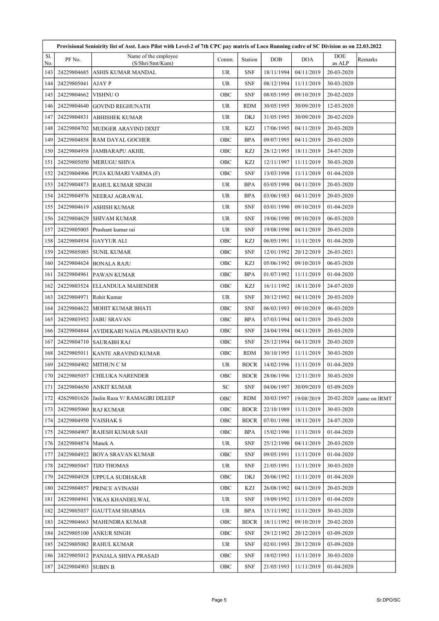|            | Provisional Senioirity list of Asst. Loco Pilot with Level-2 of 7th CPC pay matrix of Loco Running cadre of SC Division as on 22.03.2022 |                                          |                                   |             |            |            |               |              |  |
|------------|------------------------------------------------------------------------------------------------------------------------------------------|------------------------------------------|-----------------------------------|-------------|------------|------------|---------------|--------------|--|
| Sl.<br>No. | PF No.                                                                                                                                   | Name of the employee<br>(S/Shri/Smt/Kum) | Comm.                             | Station     | DOB        | <b>DOA</b> | DOE<br>as ALP | Remarks      |  |
| 143        | 24229804685                                                                                                                              | ASHIS KUMAR MANDAL                       | <b>UR</b>                         | <b>SNF</b>  | 18/11/1994 | 04/11/2019 | 20-03-2020    |              |  |
| 144        | 24229805041                                                                                                                              | AJAY P                                   | <b>UR</b>                         | <b>SNF</b>  | 08/12/1994 | 11/11/2019 | 30-03-2020    |              |  |
| 145        | 24229804662                                                                                                                              | VISHNU O                                 | OBC                               | <b>SNF</b>  | 08/05/1995 | 09/10/2019 | 20-02-2020    |              |  |
| 146        | 24229804640                                                                                                                              | GOVIND REGHUNATH                         | <b>UR</b>                         | <b>RDM</b>  | 30/05/1995 | 30/09/2019 | 12-03-2020    |              |  |
| 147        | 24229804831                                                                                                                              | <b>ABHISHEK KUMAR</b>                    | <b>UR</b>                         | <b>DKJ</b>  | 31/05/1995 | 30/09/2019 | 20-02-2020    |              |  |
| 148        | 24229804702                                                                                                                              | MUDGER ARAVIND DIXIT                     | <b>UR</b>                         | KZJ         | 17/06/1995 | 04/11/2019 | 20-03-2020    |              |  |
| 149        | 24229804858                                                                                                                              | RAM DAYAL GOCHER                         | OBC                               | <b>BPA</b>  | 09/07/1995 | 04/11/2019 | 20-03-2020    |              |  |
| 150        | 24229804958                                                                                                                              | JAMBARAPU AKHIL                          | OBC                               | <b>KZJ</b>  | 28/12/1995 | 18/11/2019 | 24-07-2020    |              |  |
| 151        | 24229805050                                                                                                                              | <b>MERUGU SHIVA</b>                      | OBC                               | KZJ         | 12/11/1997 | 11/11/2019 | 30-03-2020    |              |  |
| 152        | 24229804906                                                                                                                              | PUJA KUMARI VARMA (F)                    | OBC                               | <b>SNF</b>  | 13/03/1998 | 11/11/2019 | 01-04-2020    |              |  |
| 153        | 24229804873                                                                                                                              | <b>RAHUL KUMAR SINGH</b>                 | <b>UR</b>                         | <b>BPA</b>  | 03/05/1998 | 04/11/2019 | 20-03-2020    |              |  |
| 154        | 24229804976                                                                                                                              | NEERAJ AGRAWAL                           | <b>UR</b>                         | <b>BPA</b>  | 03/06/1983 | 04/11/2019 | 20-03-2020    |              |  |
| 155        | 24229804619                                                                                                                              | <b>ASHISH KUMAR</b>                      | <b>UR</b>                         | <b>SNF</b>  | 03/01/1990 | 09/10/2019 | 01-04-2020    |              |  |
| 156        | 24229804629                                                                                                                              | <b>SHIVAM KUMAR</b>                      | <b>UR</b>                         | <b>SNF</b>  | 19/06/1990 | 09/10/2019 | 06-03-2020    |              |  |
| 157        | 24229805005                                                                                                                              | Prashant kumar rai                       | <b>UR</b>                         | <b>SNF</b>  | 19/08/1990 | 04/11/2019 | 20-03-2020    |              |  |
| 158        | 24229804934                                                                                                                              | <b>GAYYUR ALI</b>                        | OBC                               | KZJ         | 06/05/1991 | 11/11/2019 | 01-04-2020    |              |  |
| 159        | 24229805085                                                                                                                              | SUNIL KUMAR                              | OBC                               | <b>SNF</b>  | 12/01/1992 | 20/12/2019 | 26-03-2021    |              |  |
| 160        | 24229804624                                                                                                                              | <b>BONALA RAJU</b>                       | OBC                               | KZJ         | 05/06/1992 | 09/10/2019 | 06-03-2020    |              |  |
| 161        | 24229804961                                                                                                                              | <b>PAWAN KUMAR</b>                       | OBC                               | <b>BPA</b>  | 01/07/1992 | 11/11/2019 | 01-04-2020    |              |  |
| 162        | 24229803524                                                                                                                              | ELLANDULA MAHENDER                       | OBC                               | <b>KZJ</b>  | 16/11/1992 | 18/11/2019 | 24-07-2020    |              |  |
| 163        | 24229804971                                                                                                                              | Rohit Kumar                              | $\ensuremath{\mathsf{UR}}\xspace$ | <b>SNF</b>  | 30/12/1992 | 04/11/2019 | 20-03-2020    |              |  |
| 164        | 24229804622                                                                                                                              | MOHIT KUMAR BHATI                        | OBC                               | <b>SNF</b>  | 06/03/1993 | 09/10/2019 | 06-03-2020    |              |  |
| 165        | 24229803952                                                                                                                              | <b>JABU SRAVAN</b>                       | OBC                               | <b>BPA</b>  | 07/03/1994 | 04/11/2019 | 20-03-2020    |              |  |
| 166        | 24229804844                                                                                                                              | AVIDEKARI NAGA PRASHANTH RAO             | OBC                               | <b>SNF</b>  | 24/04/1994 | 04/11/2019 | 20-03-2020    |              |  |
| 167        | 24229804710                                                                                                                              | <b>SAURABH RAJ</b>                       | OBC                               | <b>SNF</b>  | 25/12/1994 | 04/11/2019 | 20-03-2020    |              |  |
| 168        | 24229805011                                                                                                                              | <b>KANTE ARAVIND KUMAR</b>               | OBC                               | <b>RDM</b>  | 30/10/1995 | 11/11/2019 | 30-03-2020    |              |  |
| 169        | 24229804902                                                                                                                              | MITHUN C M                               | <b>UR</b>                         | <b>BDCR</b> | 14/02/1996 | 11/11/2019 | 01-04-2020    |              |  |
| 170        | 24229805057                                                                                                                              | <b>CHILUKA NARENDER</b>                  | OBC                               | <b>BDCR</b> | 28/06/1996 | 12/11/2019 | 30-03-2020    |              |  |
| 171        | 24229804650                                                                                                                              | <b>ANKIT KUMAR</b>                       | SC                                | <b>SNF</b>  | 04/06/1997 | 30/09/2019 | 03-09-2020    |              |  |
| 172        | 42629801626                                                                                                                              | Jaslin Raza V/ RAMAGIRI DILEEP           | OBC                               | RDM         | 30/03/1997 | 19/08/2019 | 20-02-2020    | came on IRMT |  |
| 173        | 24229805060                                                                                                                              | RAJ KUMAR                                | OBC                               | <b>BDCR</b> | 22/10/1989 | 11/11/2019 | 30-03-2020    |              |  |
| 174        | 24229804950                                                                                                                              | VAISHAK S                                | OBC                               | <b>BDCR</b> | 07/01/1990 | 18/11/2019 | 24-07-2020    |              |  |
| 175        | 24229804907                                                                                                                              | <b>RAJESH KUMAR SAH</b>                  | OBC                               | <b>BPA</b>  | 15/02/1990 | 11/11/2019 | 01-04-2020    |              |  |
| 176        | 24229804874                                                                                                                              | Manek A                                  | UR                                | <b>SNF</b>  | 25/12/1990 | 04/11/2019 | 20-03-2020    |              |  |
| 177        | 24229804922                                                                                                                              | BOYA SRAVAN KUMAR                        | OBC                               | <b>SNF</b>  | 09/05/1991 | 11/11/2019 | 01-04-2020    |              |  |
| 178        | 24229805047                                                                                                                              | <b>TIJO THOMAS</b>                       | <b>UR</b>                         | <b>SNF</b>  | 21/05/1991 | 11/11/2019 | 30-03-2020    |              |  |
| 179        | 24229804928                                                                                                                              | <b>UPPULA SUDHAKAR</b>                   | OBC                               | DKJ         | 20/06/1992 | 11/11/2019 | 01-04-2020    |              |  |
| 180        | 24229804857                                                                                                                              | PRINCE AVINASH                           | OBC                               | KZJ         | 26/08/1992 | 04/11/2019 | 20-03-2020    |              |  |
| 181        | 24229804941                                                                                                                              | VIKAS KHANDELWAL                         | <b>UR</b>                         | <b>SNF</b>  | 19/09/1992 | 11/11/2019 | 01-04-2020    |              |  |
| 182        | 24229805037                                                                                                                              | GAUTTAM SHARMA                           | UR.                               | <b>BPA</b>  | 15/11/1992 | 11/11/2019 | 30-03-2020    |              |  |
| 183        | 24229804663                                                                                                                              | MAHENDRA KUMAR                           | OBC                               | <b>BDCR</b> | 18/11/1992 | 09/10/2019 | 20-02-2020    |              |  |
| 184        | 24229805100                                                                                                                              | ANKUR SINGH                              | OBC                               | <b>SNF</b>  | 29/12/1992 | 20/12/2019 | 03-09-2020    |              |  |
| 185        | 24229805082                                                                                                                              | RAHUL KUMAR                              | <b>UR</b>                         | <b>SNF</b>  | 02/01/1993 | 20/12/2019 | 03-09-2020    |              |  |
| 186        | 24229805012                                                                                                                              | PANJALA SHIVA PRASAD                     | OBC                               | <b>SNF</b>  | 18/02/1993 | 11/11/2019 | 30-03-2020    |              |  |
| 187        | 24229804903                                                                                                                              | SUBIN B                                  | OBC                               | <b>SNF</b>  | 21/05/1993 | 11/11/2019 | 01-04-2020    |              |  |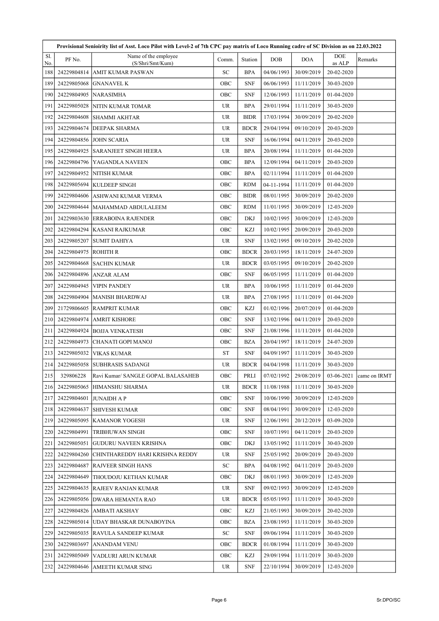|            | Provisional Senioirity list of Asst. Loco Pilot with Level-2 of 7th CPC pay matrix of Loco Running cadre of SC Division as on 22.03.2022 |                                          |            |             |            |            |               |              |  |  |
|------------|------------------------------------------------------------------------------------------------------------------------------------------|------------------------------------------|------------|-------------|------------|------------|---------------|--------------|--|--|
| Sl.<br>No. | PF No.                                                                                                                                   | Name of the employee<br>(S/Shri/Smt/Kum) | Comm.      | Station     | <b>DOB</b> | <b>DOA</b> | DOE<br>as ALP | Remarks      |  |  |
| 188        | 24229804814                                                                                                                              | <b>AMIT KUMAR PASWAN</b>                 | ${\rm SC}$ | <b>BPA</b>  | 04/06/1993 | 30/09/2019 | 20-02-2020    |              |  |  |
| 189        | 24229805068                                                                                                                              | <b>GNANAVEL K</b>                        | OBC        | <b>SNF</b>  | 06/06/1993 | 11/11/2019 | 30-03-2020    |              |  |  |
| 190        | 24229804905                                                                                                                              | <b>NARASIMHA</b>                         | OBC        | <b>SNF</b>  | 12/06/1993 | 11/11/2019 | 01-04-2020    |              |  |  |
| 191        | 24229805028                                                                                                                              | NITIN KUMAR TOMAR                        | <b>UR</b>  | <b>BPA</b>  | 29/01/1994 | 11/11/2019 | 30-03-2020    |              |  |  |
| 192        | 24229804608                                                                                                                              | <b>SHAMMI AKHTAR</b>                     | <b>UR</b>  | <b>BIDR</b> | 17/03/1994 | 30/09/2019 | 20-02-2020    |              |  |  |
| 193        | 24229804674                                                                                                                              | <b>DEEPAK SHARMA</b>                     | <b>UR</b>  | <b>BDCR</b> | 29/04/1994 | 09/10/2019 | 20-03-2020    |              |  |  |
| 194        | 24229804856                                                                                                                              | <b>JOHN SCARIA</b>                       | <b>UR</b>  | <b>SNF</b>  | 16/06/1994 | 04/11/2019 | 20-03-2020    |              |  |  |
| 1951       | 24229804925                                                                                                                              | <b>SARANJEET SINGH HEERA</b>             | <b>UR</b>  | <b>BPA</b>  | 20/08/1994 | 11/11/2019 | 01-04-2020    |              |  |  |
| 196        | 24229804796                                                                                                                              | YAGANDLA NAVEEN                          | OBC        | <b>BPA</b>  | 12/09/1994 | 04/11/2019 | 20-03-2020    |              |  |  |
| 197        | 24229804952                                                                                                                              | NITISH KUMAR                             | OBC        | <b>BPA</b>  | 02/11/1994 | 11/11/2019 | 01-04-2020    |              |  |  |
| 198        | 24229805694                                                                                                                              | <b>KULDEEP SINGH</b>                     | OBC        | <b>RDM</b>  | 04-11-1994 | 11/11/2019 | 01-04-2020    |              |  |  |
| 199        | 24229804606                                                                                                                              | <b>ASHWANI KUMAR VERMA</b>               | OBC        | <b>BIDR</b> | 08/01/1995 | 30/09/2019 | 20-02-2020    |              |  |  |
| 200        | 24229804644                                                                                                                              | MAHAMMAD ABDULALEEM                      | OBC        | <b>RDM</b>  | 11/01/1995 | 30/09/2019 | 12-03-2020    |              |  |  |
| 201        | 24229803630                                                                                                                              | <b>ERRABOINA RAJENDER</b>                | OBC        | DKJ         | 10/02/1995 | 30/09/2019 | 12-03-2020    |              |  |  |
| 202        | 24229804294                                                                                                                              | <b>KASANI RAJKUMAR</b>                   | OBC        | KZJ         | 10/02/1995 | 20/09/2019 | 20-03-2020    |              |  |  |
| 203        | 24229805207                                                                                                                              | <b>SUMIT DAHIYA</b>                      | <b>UR</b>  | <b>SNF</b>  | 13/02/1995 | 09/10/2019 | 20-02-2020    |              |  |  |
| 204        | 24229804975                                                                                                                              | <b>ROHITH R</b>                          | OBC        | <b>BDCR</b> | 20/03/1995 | 18/11/2019 | 24-07-2020    |              |  |  |
| 205        | 24229804668                                                                                                                              | <b>SACHIN KUMAR</b>                      | <b>UR</b>  | <b>BDCR</b> | 03/05/1995 | 09/10/2019 | 20-02-2020    |              |  |  |
| 206        | 24229804896                                                                                                                              | <b>ANZAR ALAM</b>                        | OBC        | <b>SNF</b>  | 06/05/1995 | 11/11/2019 | 01-04-2020    |              |  |  |
| 207        | 24229804945                                                                                                                              | <b>VIPIN PANDEY</b>                      | <b>UR</b>  | <b>BPA</b>  | 10/06/1995 | 11/11/2019 | 01-04-2020    |              |  |  |
| 208        | 24229804904                                                                                                                              | <b>MANISH BHARDWAJ</b>                   | <b>UR</b>  | <b>BPA</b>  | 27/08/1995 | 11/11/2019 | 01-04-2020    |              |  |  |
| 209        | 21729806605                                                                                                                              | <b>RAMPRIT KUMAR</b>                     | OBC        | KZJ         | 01/02/1996 | 20/07/2019 | 01-04-2020    |              |  |  |
| 210        | 24229804974                                                                                                                              | <b>AMRIT KISHORE</b>                     | OBC        | <b>SNF</b>  | 13/02/1996 | 04/11/2019 | 20-03-2020    |              |  |  |
| 211        | 24229804924                                                                                                                              | <b>BOJJA VENKATESH</b>                   | OBC        | <b>SNF</b>  | 21/08/1996 | 11/11/2019 | 01-04-2020    |              |  |  |
| 212        | 24229804973                                                                                                                              | CHANATI GOPI MANOJ                       | OBC        | <b>BZA</b>  | 20/04/1997 | 18/11/2019 | 24-07-2020    |              |  |  |
| 213        | 24229805032                                                                                                                              | <b>VIKAS KUMAR</b>                       | <b>ST</b>  | <b>SNF</b>  | 04/09/1997 | 11/11/2019 | 30-03-2020    |              |  |  |
| 214        | 24229805058                                                                                                                              | <b>SUBHRASIS SADANGI</b>                 | <b>UR</b>  | <b>BDCR</b> | 04/04/1998 | 11/11/2019 | 30-03-2020    |              |  |  |
| 215        | 329806228                                                                                                                                | Ravi Kumar/ SANGLE GOPAL BALASAHEB       | OBC        | PRLI        | 07/02/1992 | 29/08/2019 | 03-06-2021    | came on IRMT |  |  |
| 216        | 24229805065                                                                                                                              | HIMANSHU SHARMA                          | <b>UR</b>  | <b>BDCR</b> | 11/08/1988 | 11/11/2019 | 30-03-2020    |              |  |  |
| 217        | 24229804601                                                                                                                              | JUNAIDH A P                              | OBC        | <b>SNF</b>  | 10/06/1990 | 30/09/2019 | 12-03-2020    |              |  |  |
| 218        | 24229804637                                                                                                                              | <b>SHIVESH KUMAR</b>                     | OBC        | <b>SNF</b>  | 08/04/1991 | 30/09/2019 | 12-03-2020    |              |  |  |
| 219        | 24229805095                                                                                                                              | <b>KAMANOR YOGESH</b>                    | UR         | <b>SNF</b>  | 12/06/1991 | 20/12/2019 | 03-09-2020    |              |  |  |
| 220        | 24229804991                                                                                                                              | <b>TRIBHUWAN SINGH</b>                   | OBC        | <b>SNF</b>  | 10/07/1991 | 04/11/2019 | 20-03-2020    |              |  |  |
| 221        | 24229805051                                                                                                                              | GUDURU NAVEEN KRISHNA                    | OBC        | DKJ         | 13/05/1992 | 11/11/2019 | 30-03-2020    |              |  |  |
| 222        | 24229804260                                                                                                                              | CHINTHAREDDY HARI KRISHNA REDDY          | UR         | <b>SNF</b>  | 25/05/1992 | 20/09/2019 | 20-03-2020    |              |  |  |
| 223        | 24229804687                                                                                                                              | <b>RAJVEER SINGH HANS</b>                | SC         | <b>BPA</b>  | 04/08/1992 | 04/11/2019 | 20-03-2020    |              |  |  |
| 224        | 24229804649                                                                                                                              | THOUDOJU KETHAN KUMAR                    | OBC        | DKJ         | 08/01/1993 | 30/09/2019 | 12-03-2020    |              |  |  |
| 225        | 24229804635                                                                                                                              | RAJEEV RANJAN KUMAR                      | <b>UR</b>  | <b>SNF</b>  | 09/02/1993 | 30/09/2019 | 12-03-2020    |              |  |  |
| 226        | 24229805056                                                                                                                              | <b>DWARA HEMANTA RAO</b>                 | <b>UR</b>  | <b>BDCR</b> | 05/05/1993 | 11/11/2019 | 30-03-2020    |              |  |  |
| 227        | 24229804826                                                                                                                              | <b>AMBATI AKSHAY</b>                     | OBC        | KZJ         | 21/05/1993 | 30/09/2019 | 20-02-2020    |              |  |  |
| 228        | 24229805014                                                                                                                              | UDAY BHASKAR DUNABOYINA                  | OBC        | BZA         | 23/08/1993 | 11/11/2019 | 30-03-2020    |              |  |  |
| 229        | 24229805035                                                                                                                              | RAVULA SANDEEP KUMAR                     | SC         | <b>SNF</b>  | 09/06/1994 | 11/11/2019 | 30-03-2020    |              |  |  |
| 230        | 24229803697                                                                                                                              | ANANDAM VENU                             | OBC        | <b>BDCR</b> | 01/08/1994 | 11/11/2019 | 30-03-2020    |              |  |  |
| 231        | 24229805049                                                                                                                              | VADLURI ARUN KUMAR                       | OBC        | KZJ         | 29/09/1994 | 11/11/2019 | 30-03-2020    |              |  |  |
| 232        | 24229804646                                                                                                                              | AMEETH KUMAR SING                        | <b>UR</b>  | <b>SNF</b>  | 22/10/1994 | 30/09/2019 | 12-03-2020    |              |  |  |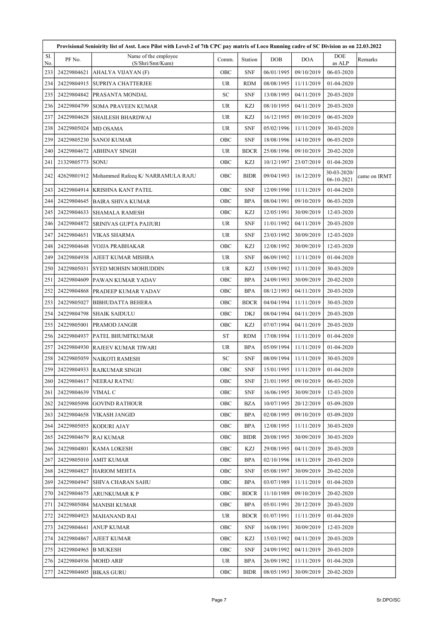|            | Provisional Senioirity list of Asst. Loco Pilot with Level-2 of 7th CPC pay matrix of Loco Running cadre of SC Division as on 22.03.2022 |                                          |           |             |            |            |                           |              |  |
|------------|------------------------------------------------------------------------------------------------------------------------------------------|------------------------------------------|-----------|-------------|------------|------------|---------------------------|--------------|--|
| Sl.<br>No. | PF No.                                                                                                                                   | Name of the employee<br>(S/Shri/Smt/Kum) | Comm.     | Station     | <b>DOB</b> | <b>DOA</b> | DOE<br>as ALP             | Remarks      |  |
| 233        | 24229804621                                                                                                                              | AHALYA VIJAYAN (F)                       | OBC       | <b>SNF</b>  | 06/01/1995 | 09/10/2019 | 06-03-2020                |              |  |
| 234        | 24229804915                                                                                                                              | <b>SUPRIYA CHATTERJEE</b>                | <b>UR</b> | <b>RDM</b>  | 08/08/1995 | 11/11/2019 | 01-04-2020                |              |  |
| 235        | 24229804842                                                                                                                              | PRASANTA MONDAL                          | SC        | <b>SNF</b>  | 13/08/1995 | 04/11/2019 | 20-03-2020                |              |  |
| 236        | 24229804799                                                                                                                              | <b>SOMA PRAVEEN KUMAR</b>                | <b>UR</b> | <b>KZJ</b>  | 08/10/1995 | 04/11/2019 | 20-03-2020                |              |  |
| 237        | 24229804628                                                                                                                              | SHAILESH BHARDWAJ                        | <b>UR</b> | KZJ         | 16/12/1995 | 09/10/2019 | 06-03-2020                |              |  |
| 238        | 24229805024                                                                                                                              | <b>MD OSAMA</b>                          | UR        | <b>SNF</b>  | 05/02/1996 | 11/11/2019 | 30-03-2020                |              |  |
| 239        | 24229805230                                                                                                                              | <b>SANOJ KUMAR</b>                       | OBC       | <b>SNF</b>  | 18/08/1996 | 14/10/2019 | 06-03-2020                |              |  |
| 240        | 24229804672                                                                                                                              | <b>ABHINAY SINGH</b>                     | <b>UR</b> | <b>BDCR</b> | 25/08/1996 | 09/10/2019 | 20-02-2020                |              |  |
| 241        | 21329805773                                                                                                                              | <b>SONU</b>                              | OBC       | KZJ         | 10/12/1997 | 23/07/2019 | $01 - 04 - 2020$          |              |  |
| 242        | 42629801912                                                                                                                              | Mohammed Rafeeq K/ NARRAMULA RAJU        | OBC       | <b>BIDR</b> | 09/04/1993 | 16/12/2019 | 30-03-2020/<br>06-10-2021 | came on IRMT |  |
| 243        | 24229804914                                                                                                                              | KRISHNA KANT PATEL                       | OBC       | <b>SNF</b>  | 12/09/1990 | 11/11/2019 | 01-04-2020                |              |  |
| 244        | 24229804645                                                                                                                              | <b>BAIRA SHIVA KUMAR</b>                 | OBC       | <b>BPA</b>  | 08/04/1991 | 09/10/2019 | 06-03-2020                |              |  |
| 245        | 24229804633                                                                                                                              | <b>SHAMALA RAMESH</b>                    | OBC       | KZJ         | 12/05/1991 | 30/09/2019 | 12-03-2020                |              |  |
| 246        | 24229804872                                                                                                                              | <b>SRINIVAS GUPTA PAJJURI</b>            | UR        | <b>SNF</b>  | 11/01/1992 | 04/11/2019 | 20-03-2020                |              |  |
| 247        | 24229804651                                                                                                                              | <b>VIKAS SHARMA</b>                      | <b>UR</b> | <b>SNF</b>  | 23/03/1992 | 30/09/2019 | 12-03-2020                |              |  |
| 248        | 24229804648                                                                                                                              | VOJJA PRABHAKAR                          | OBC       | KZJ         | 12/08/1992 | 30/09/2019 | 12-03-2020                |              |  |
| 249        | 24229804938                                                                                                                              | AJEET KUMAR MISHRA                       | <b>UR</b> | <b>SNF</b>  | 06/09/1992 | 11/11/2019 | 01-04-2020                |              |  |
| 250        | 24229805031                                                                                                                              | <b>SYED MOHSIN MOHIUDDIN</b>             | UR        | KZJ         | 15/09/1992 | 11/11/2019 | 30-03-2020                |              |  |
| 251        | 24229804609                                                                                                                              | PAWAN KUMAR YADAV                        | OBC       | <b>BPA</b>  | 24/09/1993 | 30/09/2019 | 20-02-2020                |              |  |
| 252        | 24229804868                                                                                                                              | PRADEEP KUMAR YADAV                      | OBC       | <b>BPA</b>  | 08/12/1993 | 04/11/2019 | 20-03-2020                |              |  |
| 253        | 24229805027                                                                                                                              | <b>BIBHUDATTA BEHERA</b>                 | OBC       | <b>BDCR</b> | 04/04/1994 | 11/11/2019 | 30-03-2020                |              |  |
| 254        | 24229804798                                                                                                                              | <b>SHAIK SAIDULU</b>                     | OBC       | DKJ         | 08/04/1994 | 04/11/2019 | 20-03-2020                |              |  |
| 255        | 24229805001                                                                                                                              | PRAMOD JANGIR                            | OBC       | KZJ         | 07/07/1994 | 04/11/2019 | 20-03-2020                |              |  |
| 256        | 24229804937                                                                                                                              | PATEL BHUMITKUMAR                        | <b>ST</b> | <b>RDM</b>  | 17/08/1994 | 11/11/2019 | 01-04-2020                |              |  |
| 257        | 24229804930                                                                                                                              | RAJEEV KUMAR TIWARI                      | <b>UR</b> | <b>BPA</b>  | 05/09/1994 | 11/11/2019 | 01-04-2020                |              |  |
| 258        | 24229805059                                                                                                                              | <b>NAIKOTI RAMESH</b>                    | SC        | <b>SNF</b>  | 08/09/1994 | 11/11/2019 | 30-03-2020                |              |  |
| 259        |                                                                                                                                          | 24229804933 RAJKUMAR SINGH               | OBC       | <b>SNF</b>  | 15/01/1995 | 11/11/2019 | 01-04-2020                |              |  |
| <b>260</b> | 24229804617                                                                                                                              | NEERAJ RATNU                             | OBC       | <b>SNF</b>  | 21/01/1995 | 09/10/2019 | 06-03-2020                |              |  |
| 261        | 24229804639                                                                                                                              | VIMAL C                                  | OBC       | <b>SNF</b>  | 16/06/1995 | 30/09/2019 | 12-03-2020                |              |  |
| 262        | 24229805098                                                                                                                              | GOVIND RATHOUR                           | OBC       | BZA         | 10/07/1995 | 20/12/2019 | 03-09-2020                |              |  |
| 263        | 24229804658                                                                                                                              | VIKASH JANGID                            | OBC       | BPA         | 02/08/1995 | 09/10/2019 | 03-09-2020                |              |  |
| 264        | 24229805055                                                                                                                              | KODURI AJAY                              | OBC       | <b>BPA</b>  | 12/08/1995 | 11/11/2019 | 30-03-2020                |              |  |
| 265        | 24229804679                                                                                                                              | RAJ KUMAR                                | OBC       | BIDR        | 20/08/1995 | 30/09/2019 | 30-03-2020                |              |  |
| 266        | 24229804801                                                                                                                              | KAMA LOKESH                              | OBC       | KZJ         | 29/08/1995 | 04/11/2019 | 20-03-2020                |              |  |
| 267        | 24229805010                                                                                                                              | <b>AMIT KUMAR</b>                        | OBC       | <b>BPA</b>  | 02/10/1996 | 18/11/2019 | 20-03-2020                |              |  |
| 268        | 24229804827                                                                                                                              | <b>HARIOM MEHTA</b>                      | OBC       | <b>SNF</b>  | 05/08/1997 | 30/09/2019 | 20-02-2020                |              |  |
| 269        | 24229804947                                                                                                                              | SHIVA CHARAN SAHU                        | OBC       | <b>BPA</b>  | 03/07/1989 | 11/11/2019 | 01-04-2020                |              |  |
| 270        | 24229804675                                                                                                                              | ARUNKUMAR K P                            | OBC       | <b>BDCR</b> | 11/10/1989 | 09/10/2019 | 20-02-2020                |              |  |
| 271        | 24229805084                                                                                                                              | MANISH KUMAR                             | OBC       | <b>BPA</b>  | 05/01/1991 | 20/12/2019 | 20-03-2020                |              |  |
| 272        | 24229804923                                                                                                                              | <b>MAHANAND RAI</b>                      | <b>UR</b> | <b>BDCR</b> | 01/07/1991 | 11/11/2019 | 01-04-2020                |              |  |
| 273        | 24229804641                                                                                                                              | <b>ANUP KUMAR</b>                        | OBC       | <b>SNF</b>  | 16/08/1991 | 30/09/2019 | 12-03-2020                |              |  |
| 274        | 24229804867                                                                                                                              | <b>AJEET KUMAR</b>                       | OBC       | KZJ         | 15/03/1992 | 04/11/2019 | 20-03-2020                |              |  |
| 275        | 24229804965                                                                                                                              | <b>B MUKESH</b>                          | OBC       | SNF         | 24/09/1992 | 04/11/2019 | 20-03-2020                |              |  |
| 276        | 24229804936                                                                                                                              | MOHD ARIF                                | <b>UR</b> | <b>BPA</b>  | 26/09/1992 | 11/11/2019 | 01-04-2020                |              |  |
| 277        | 24229804605                                                                                                                              | <b>BIKAS GURU</b>                        | OBC       | <b>BIDR</b> | 08/05/1993 | 30/09/2019 | 20-02-2020                |              |  |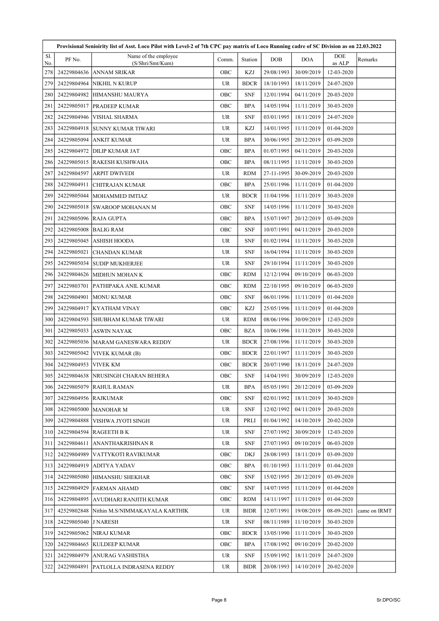|            | Provisional Senioirity list of Asst. Loco Pilot with Level-2 of 7th CPC pay matrix of Loco Running cadre of SC Division as on 22.03.2022 |                                          |           |             |            |            |                      |              |  |
|------------|------------------------------------------------------------------------------------------------------------------------------------------|------------------------------------------|-----------|-------------|------------|------------|----------------------|--------------|--|
| Sl.<br>No. | PF No.                                                                                                                                   | Name of the employee<br>(S/Shri/Smt/Kum) | Comm.     | Station     | <b>DOB</b> | <b>DOA</b> | <b>DOE</b><br>as ALP | Remarks      |  |
| 278        | 24229804636                                                                                                                              | <b>ANNAM SRIKAR</b>                      | OBC       | KZJ         | 29/08/1993 | 30/09/2019 | 12-03-2020           |              |  |
| 279        | 24229804964                                                                                                                              | <b>NIKHIL N KURUP</b>                    | <b>UR</b> | <b>BDCR</b> | 18/10/1993 | 18/11/2019 | 24-07-2020           |              |  |
| 280        | 24229804982                                                                                                                              | HIMANSHU MAURYA                          | OBC       | <b>SNF</b>  | 12/01/1994 | 04/11/2019 | 20-03-2020           |              |  |
| 281        | 24229805017                                                                                                                              | <b>PRADEEP KUMAR</b>                     | OBC       | <b>BPA</b>  | 14/05/1994 | 11/11/2019 | 30-03-2020           |              |  |
| 282        | 24229804946                                                                                                                              | VISHAL SHARMA                            | UR        | <b>SNF</b>  | 03/01/1995 | 18/11/2019 | 24-07-2020           |              |  |
| 283        | 24229804918                                                                                                                              | <b>SUNNY KUMAR TIWARI</b>                | UR        | KZJ         | 14/01/1995 | 11/11/2019 | 01-04-2020           |              |  |
| 284        | 24229805094                                                                                                                              | ANKIT KUMAR                              | <b>UR</b> | <b>BPA</b>  | 30/06/1995 | 20/12/2019 | 03-09-2020           |              |  |
| 285        | 24229804972                                                                                                                              | <b>DILIP KUMAR JAT</b>                   | OBC       | <b>BPA</b>  | 01/07/1995 | 04/11/2019 | 20-03-2020           |              |  |
| 286        | 24229805015                                                                                                                              | RAKESH KUSHWAHA                          | OBC       | <b>BPA</b>  | 08/11/1995 | 11/11/2019 | 30-03-2020           |              |  |
| 287        | 24229804597                                                                                                                              | <b>ARPIT DWIVEDI</b>                     | UR        | <b>RDM</b>  | 27-11-1995 | 30-09-2019 | 20-03-2020           |              |  |
| 288        | 24229804911                                                                                                                              | <b>CHITRAJAN KUMAR</b>                   | OBC       | <b>BPA</b>  | 25/01/1996 | 11/11/2019 | 01-04-2020           |              |  |
| 289        | 24229805044                                                                                                                              | MOHAMMED IMTIAZ                          | UR        | <b>BDCR</b> | 11/04/1996 | 11/11/2019 | 30-03-2020           |              |  |
| 290        | 24229805018                                                                                                                              | <b>SWAROOP MOHANAN M</b>                 | OBC       | <b>SNF</b>  | 14/05/1996 | 11/11/2019 | 30-03-2020           |              |  |
| 291        | 24229805096                                                                                                                              | <b>RAJA GUPTA</b>                        | OBC       | <b>BPA</b>  | 15/07/1997 | 20/12/2019 | 03-09-2020           |              |  |
| 292        | 24229805008                                                                                                                              | <b>BALIG RAM</b>                         | OBC       | <b>SNF</b>  | 10/07/1991 | 04/11/2019 | 20-03-2020           |              |  |
| 293        | 24229805045                                                                                                                              | ASHISH HOODA                             | <b>UR</b> | <b>SNF</b>  | 01/02/1994 | 11/11/2019 | 30-03-2020           |              |  |
| 294        | 24229805021                                                                                                                              | <b>CHANDAN KUMAR</b>                     | <b>UR</b> | <b>SNF</b>  | 16/04/1994 | 11/11/2019 | 30-03-2020           |              |  |
| 295        | 24229805034                                                                                                                              | <b>SUDIP MUKHERJEE</b>                   | UR        | <b>SNF</b>  | 29/10/1994 | 11/11/2019 | 30-03-2020           |              |  |
| 296        | 24229804626                                                                                                                              | MIDHUN MOHAN K                           | OBC       | <b>RDM</b>  | 12/12/1994 | 09/10/2019 | 06-03-2020           |              |  |
| 297        | 24229803701                                                                                                                              | PATHIPAKA ANIL KUMAR                     | OBC       | <b>RDM</b>  | 22/10/1995 | 09/10/2019 | 06-03-2020           |              |  |
| 298        | 24229804901                                                                                                                              | <b>MONU KUMAR</b>                        | OBC       | <b>SNF</b>  | 06/01/1996 | 11/11/2019 | 01-04-2020           |              |  |
| 299        | 24229804917                                                                                                                              | KYATHAM VINAY                            | OBC       | <b>KZJ</b>  | 25/05/1996 | 11/11/2019 | 01-04-2020           |              |  |
| 300        | 24229804593                                                                                                                              | SHUBHAM KUMAR TIWARI                     | UR        | <b>RDM</b>  | 08/06/1996 | 30/09/2019 | 12-03-2020           |              |  |
| 301        | 24229805033                                                                                                                              | <b>ASWIN NAYAK</b>                       | OBC       | <b>BZA</b>  | 10/06/1996 | 11/11/2019 | 30-03-2020           |              |  |
| 302        | 24229805036                                                                                                                              | MARAM GANESWARA REDDY                    | <b>UR</b> | <b>BDCR</b> | 27/08/1996 | 11/11/2019 | 30-03-2020           |              |  |
| 303        | 24229805042                                                                                                                              | <b>VIVEK KUMAR (B)</b>                   | OBC       | <b>BDCR</b> | 22/01/1997 | 11/11/2019 | 30-03-2020           |              |  |
| 304        | 24229804953                                                                                                                              | <b>VIVEK KM</b>                          | OBC       | <b>BDCR</b> | 20/07/1990 | 18/11/2019 | 24-07-2020           |              |  |
| 305        | 24229804638                                                                                                                              | NRUSINGH CHARAN BEHERA                   | OBC       | <b>SNF</b>  | 14/04/1991 | 30/09/2019 | 12-03-2020           |              |  |
| 306        | 24229805079                                                                                                                              | <b>RAHUL RAMAN</b>                       | UR        | <b>BPA</b>  | 05/05/1991 | 20/12/2019 | 03-09-2020           |              |  |
| 307        | 24229804956                                                                                                                              | <b>RAJKUMAR</b>                          | OBC       | <b>SNF</b>  | 02/01/1992 | 18/11/2019 | 30-03-2020           |              |  |
| 308        | 24229805000                                                                                                                              | <b>MANOHAR M</b>                         | UR        | <b>SNF</b>  | 12/02/1992 | 04/11/2019 | 20-03-2020           |              |  |
| 309        | 24229804888                                                                                                                              | VISHWA JYOTI SINGH                       | <b>UR</b> | PRLI        | 01/04/1992 | 14/10/2019 | 20-02-2020           |              |  |
| 310        | 24229804594                                                                                                                              | RAGEETH B K                              | UR.       | <b>SNF</b>  | 27/07/1992 | 30/09/2019 | 12-03-2020           |              |  |
| 311        | 24229804611                                                                                                                              | <b>ANANTHAKRISHNAN R</b>                 | <b>UR</b> | <b>SNF</b>  | 27/07/1993 | 09/10/2019 | 06-03-2020           |              |  |
| 312        | 24229804989                                                                                                                              | VATTYKOTI RAVIKUMAR                      | OBC       | DKJ         | 28/08/1993 | 18/11/2019 | 03-09-2020           |              |  |
| 313        | 24229804919                                                                                                                              | <b>ADITYA YADAV</b>                      | OBC       | BPA         | 01/10/1993 | 11/11/2019 | 01-04-2020           |              |  |
| 314        | 24229805080                                                                                                                              | HIMANSHU SHEKHAR                         | OBC       | <b>SNF</b>  | 15/02/1995 | 20/12/2019 | 03-09-2020           |              |  |
| 315        | 24229804929                                                                                                                              | <b>FARMAN AHAMD</b>                      | OBC       | SNF         | 14/07/1995 | 11/11/2019 | 01-04-2020           |              |  |
| 316        | 24229804895                                                                                                                              | AVUDHARI RANJITH KUMAR                   | OBC       | RDM         | 14/11/1997 | 11/11/2019 | 01-04-2020           |              |  |
| 317        | 42529802848                                                                                                                              | Nithin M.S/NIMMAKAYALA KARTHIK           | <b>UR</b> | <b>BIDR</b> | 12/07/1991 | 19/08/2019 | 08-09-2021           | came on IRMT |  |
| 318        | 24229805040                                                                                                                              | <b>J NARESH</b>                          | UR        | <b>SNF</b>  | 08/11/1989 | 11/10/2019 | 30-03-2020           |              |  |
| 319        | 24229805062                                                                                                                              | NIRAJ KUMAR                              | OBC       | <b>BDCR</b> | 13/05/1990 | 11/11/2019 | 30-03-2020           |              |  |
| 320        | 24229804665                                                                                                                              | <b>KULDEEP KUMAR</b>                     | OBC       | <b>BPA</b>  | 17/08/1992 | 09/10/2019 | 20-02-2020           |              |  |
| 321        | 24229804979                                                                                                                              | ANURAG VASHISTHA                         | UR        | <b>SNF</b>  | 15/09/1992 | 18/11/2019 | 24-07-2020           |              |  |
| 322        | 24229804891                                                                                                                              | PATLOLLA INDRASENA REDDY                 | UR        | <b>BIDR</b> | 20/08/1993 | 14/10/2019 | 20-02-2020           |              |  |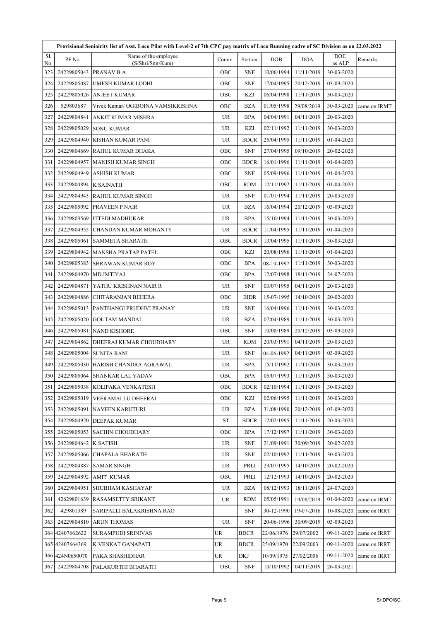|            | Provisional Senioirity list of Asst. Loco Pilot with Level-2 of 7th CPC pay matrix of Loco Running cadre of SC Division as on 22.03.2022 |                                          |           |             |            |            |               |              |  |
|------------|------------------------------------------------------------------------------------------------------------------------------------------|------------------------------------------|-----------|-------------|------------|------------|---------------|--------------|--|
| Sl.<br>No. | PF No.                                                                                                                                   | Name of the employee<br>(S/Shri/Smt/Kum) | Comm.     | Station     | DOB        | <b>DOA</b> | DOE<br>as ALP | Remarks      |  |
| 323        | 24229805043                                                                                                                              | PRANAV B A                               | OBC       | <b>SNF</b>  | 10/06/1994 | 11/11/2019 | 30-03-2020    |              |  |
| 324        | 24229805087                                                                                                                              | UMESH KUMAR LODHI                        | OBC       | <b>SNF</b>  | 17/04/1995 | 20/12/2019 | 03-09-2020    |              |  |
| 325        | 24229805026                                                                                                                              | ANJEET KUMAR                             | OBC       | KZJ         | 06/04/1998 | 11/11/2019 | 30-03-2020    |              |  |
| 326        | 529803687                                                                                                                                | Vivek Kumar/ OGIBOINA VAMSIKRISHNA       | OBC       | <b>BZA</b>  | 01/05/1998 | 29/08/2019 | 30-03-2020    | came on IRMT |  |
| 327        | 24229804841                                                                                                                              | ANKIT KUMAR MISHRA                       | <b>UR</b> | <b>BPA</b>  | 04/04/1991 | 04/11/2019 | 20-03-2020    |              |  |
| 328        | 24229805029                                                                                                                              | <b>SONU KUMAR</b>                        | <b>UR</b> | KZJ         | 02/11/1992 | 11/11/2019 | 30-03-2020    |              |  |
| 329        | 24229804940                                                                                                                              | KISHAN KUMAR PANI                        | <b>UR</b> | <b>BDCR</b> | 25/04/1995 | 11/11/2019 | 01-04-2020    |              |  |
| 330        | 24229804669                                                                                                                              | RAHUL KUMAR DHAKA                        | OBC       | <b>SNF</b>  | 27/04/1995 | 09/10/2019 | 20-02-2020    |              |  |
| 331        | 24229804957                                                                                                                              | MANISH KUMAR SINGH                       | OBC       | <b>BDCR</b> | 16/01/1996 | 11/11/2019 | 01-04-2020    |              |  |
| 332        | 24229804949                                                                                                                              | <b>ASHISH KUMAR</b>                      | OBC       | <b>SNF</b>  | 05/09/1996 | 11/11/2019 | 01-04-2020    |              |  |
| 333        | 24229804894                                                                                                                              | <b>K SAINATH</b>                         | OBC       | <b>RDM</b>  | 12/11/1992 | 11/11/2019 | 01-04-2020    |              |  |
| 334        | 24229804943                                                                                                                              | RAHUL KUMAR SINGH                        | <b>UR</b> | <b>SNF</b>  | 01/01/1994 | 11/11/2019 | 20-03-2020    |              |  |
| 335        | 24229805092                                                                                                                              | <b>PRAVEEN P NAIR</b>                    | <b>UR</b> | <b>BZA</b>  | 16/04/1994 | 20/12/2019 | 03-09-2020    |              |  |
| 336        | 24229803569                                                                                                                              | <b>ITTEDI MADHUKAR</b>                   | <b>UR</b> | <b>BPA</b>  | 15/10/1994 | 11/11/2019 | 30-03-2020    |              |  |
| 337        | 24229804955                                                                                                                              | CHANDAN KUMAR MOHANTY                    | <b>UR</b> | <b>BDCR</b> | 11/04/1995 | 11/11/2019 | 01-04-2020    |              |  |
| 338        | 24229805061                                                                                                                              | <b>SAMMETA SHARATH</b>                   | OBC       | <b>BDCR</b> | 13/04/1995 | 11/11/2019 | 30-03-2020    |              |  |
| 339        | 24229804942                                                                                                                              | <b>MANSHA PRATAP PATEL</b>               | OBC       | KZJ         | 20/08/1996 | 11/11/2019 | 01-04-2020    |              |  |
| 340        | 24229805383                                                                                                                              | SHRAWAN KUMAR ROY                        | OBC       | <b>BPA</b>  | 08-10-1997 | 11/11/2019 | 30-03-2020    |              |  |
| 341        | 24229804970                                                                                                                              | MD.IMTIYAJ                               | OBC       | <b>BPA</b>  | 12/07/1998 | 18/11/2019 | 24-07-2020    |              |  |
| 342        | 24229804871                                                                                                                              | YATHU KRISHNAN NAIR R                    | UR        | <b>SNF</b>  | 03/07/1995 | 04/11/2019 | 20-03-2020    |              |  |
| 343        | 24229804886                                                                                                                              | CHITARANJAN BEHERA                       | OBC       | <b>BIDR</b> | 15-07-1995 | 14/10/2019 | 20-02-2020    |              |  |
| 344        | 24229805013                                                                                                                              | PANTHANGI PRUDHVI PRANAY                 | <b>UR</b> | <b>SNF</b>  | 16/04/1996 | 11/11/2019 | 30-03-2020    |              |  |
| 345        | 24229805020                                                                                                                              | <b>GOUTAM MANDAL</b>                     | <b>UR</b> | <b>BZA</b>  | 07/04/1989 | 11/11/2019 | 30-03-2020    |              |  |
| 346        | 24229805081                                                                                                                              | <b>NAND KISHORE</b>                      | OBC       | <b>SNF</b>  | 10/08/1989 | 20/12/2019 | 03-09-2020    |              |  |
| 347        | 24229804862                                                                                                                              | DHEERAJ KUMAR CHOUDHARY                  | <b>UR</b> | <b>RDM</b>  | 20/03/1991 | 04/11/2019 | 20-03-2020    |              |  |
| 348        | 24229805004                                                                                                                              | <b>SUNITA RANI</b>                       | <b>UR</b> | <b>SNF</b>  | 04-06-1992 | 04/11/2019 | 03-09-2020    |              |  |
| 349        | 24229805030                                                                                                                              | HARISH CHANDRA AGRAWAL                   | <b>UR</b> | <b>BPA</b>  | 15/11/1992 | 11/11/2019 | 30-03-2020    |              |  |
| 350        | 24229805064                                                                                                                              | <b>SHANKAR LAL YADAV</b>                 | OBC       | <b>BPA</b>  | 05/07/1993 | 11/11/2019 | 30-03-2020    |              |  |
| 351        | 24229805038                                                                                                                              | KOLIPAKA VENKATESH                       | OBC       | <b>BDCR</b> | 02/10/1994 | 11/11/2019 | 30-03-2020    |              |  |
| 352        | 24229805019                                                                                                                              | VEERAMALLU DHEERAJ                       | OBC       | KZJ         | 02/06/1995 | 11/11/2019 | 30-03-2020    |              |  |
| 353        | 24229805091                                                                                                                              | NAVEEN KARUTURI                          | <b>UR</b> | BZA         | 31/08/1990 | 20/12/2019 | 03-09-2020    |              |  |
| 354        | 24229804920                                                                                                                              | <b>DEEPAK KUMAR</b>                      | ST        | <b>BDCR</b> | 12/02/1995 | 11/11/2019 | 20-03-2020    |              |  |
| 355        | 24229805053                                                                                                                              | SACHIN CHOUDHARY                         | OBC       | <b>BPA</b>  | 17/12/1997 | 11/11/2019 | 30-03-2020    |              |  |
| 356        | 24229804642                                                                                                                              | K SATISH                                 | UR.       | <b>SNF</b>  | 21/09/1991 | 30/09/2019 | 20-02-2020    |              |  |
| 357        | 24229805066                                                                                                                              | CHAPALA BHARATH                          | UR.       | <b>SNF</b>  | 02/10/1992 | 11/11/2019 | 30-03-2020    |              |  |
| 358        | 24229804887                                                                                                                              | <b>SAMAR SINGH</b>                       | <b>UR</b> | PRLI        | 23/07/1995 | 14/10/2019 | 20-02-2020    |              |  |
| 359        | 24229804892                                                                                                                              | <b>AMIT KUMAR</b>                        | OBC       | PRLI        | 12/12/1993 | 14/10/2019 | 20-02-2020    |              |  |
| 360        | 24229804951                                                                                                                              | SHUBHAM KASHAYAP                         | <b>UR</b> | BZA         | 08/12/1993 | 18/11/2019 | 24-07-2020    |              |  |
| 361        | 42629801639                                                                                                                              | <b>RASAMSETTY SRIKANT</b>                | UR        | <b>RDM</b>  | 05/05/1991 | 19/08/2019 | 01-04-2020    | came on IRMT |  |
| 362        | 429801389                                                                                                                                | SARIPALLI BALAKRISHNA RAO                |           | <b>SNF</b>  | 30-12-1990 | 19-07-2016 | 10-08-2020    | came on IRRT |  |
| 363        | 24229804810                                                                                                                              | <b>ARUN THOMAS</b>                       | UR        | <b>SNF</b>  | 20-06-1996 | 30/09/2019 | 03-09-2020    |              |  |
|            | 364 42407662622                                                                                                                          | <b>SURAMPUDI SRINIVAS</b>                | UR        | <b>BDCR</b> | 22/06/1976 | 29/07/2002 | 09-11-2020    | came on IRRT |  |
|            | 365 42407664369                                                                                                                          | K VENKAT GANAPATI                        | UR        | <b>BDCR</b> | 25/09/1970 | 22/09/2003 | 09-11-2020    | came on IRRT |  |
|            | 366 424 N0650070                                                                                                                         | PAKA SHASHIDHAR                          | UR        | DKJ         | 10/09/1975 | 27/02/2006 | 09-11-2020    | came on IRRT |  |
| 367        | 24229804708                                                                                                                              | PALAKURTHI BHARATH                       | OBC       | <b>SNF</b>  | 10/10/1992 | 04/11/2019 | 26-03-2021    |              |  |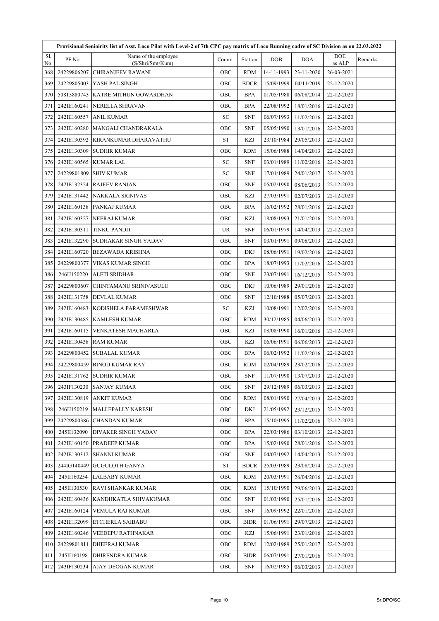|            | Provisional Senioirity list of Asst. Loco Pilot with Level-2 of 7th CPC pay matrix of Loco Running cadre of SC Division as on 22.03.2022 |                                          |            |             |            |            |               |         |  |
|------------|------------------------------------------------------------------------------------------------------------------------------------------|------------------------------------------|------------|-------------|------------|------------|---------------|---------|--|
| Sl.<br>No. | PF No.                                                                                                                                   | Name of the employee<br>(S/Shri/Smt/Kum) | Comm.      | Station     | <b>DOB</b> | <b>DOA</b> | DOE<br>as ALP | Remarks |  |
| 368        | 24229806207                                                                                                                              | CHIRANJEEV RAWANI                        | OBC        | <b>RDM</b>  | 14-11-1993 | 23-11-2020 | 26-03-2021    |         |  |
| 369        | 24229805003                                                                                                                              | YASH PAL SINGH                           | OBC        | <b>BDCR</b> | 15/09/1999 | 04/11/2019 | 22-12-2020    |         |  |
| 370        | 50813880743                                                                                                                              | KATRE MITHUN GOWARDHAN                   | OBC        | <b>BPA</b>  | 01/05/1988 | 06/08/2014 | 22-12-2020    |         |  |
| 371        | 242IE160241                                                                                                                              | NERELLA SHRAVAN                          | OBC        | <b>BPA</b>  | 22/08/1992 | 18/01/2016 | 22-12-2020    |         |  |
| 372        | 242IE160557                                                                                                                              | <b>ANIL KUMAR</b>                        | SC         | <b>SNF</b>  | 06/07/1993 | 11/02/2016 | 22-12-2020    |         |  |
| 373        | 242IE160280                                                                                                                              | MANGALI CHANDRAKALA                      | OBC        | <b>SNF</b>  | 05/05/1990 | 13/01/2016 | 22-12-2020    |         |  |
| 374        | 242IE130392                                                                                                                              | KIRANKUMAR DHARAVATHU                    | <b>ST</b>  | KZJ         | 23/10/1984 | 29/05/2013 | 22-12-2020    |         |  |
| 375        | 242IE130309                                                                                                                              | <b>SUDHIR KUMAR</b>                      | OBC        | <b>RDM</b>  | 15/06/1988 | 14/04/2013 | 22-12-2020    |         |  |
| 376        | 242IE160565                                                                                                                              | <b>KUMAR LAL</b>                         | ${\rm SC}$ | <b>SNF</b>  | 03/01/1989 | 11/02/2016 | 22-12-2020    |         |  |
| 377        | 24229801809                                                                                                                              | <b>SHIV KUMAR</b>                        | SC         | <b>SNF</b>  | 17/01/1989 | 24/01/2017 | 22-12-2020    |         |  |
| 378        | 242IE132324                                                                                                                              | <b>RAJEEV RANJAN</b>                     | OBC        | <b>SNF</b>  | 05/02/1990 | 08/06/2013 | 22-12-2020    |         |  |
| 379        | 242IE131442                                                                                                                              | <b>NAKKALA SRINIVAS</b>                  | OBC        | <b>KZJ</b>  | 27/03/1991 | 02/07/2013 | 22-12-2020    |         |  |
| 380        | 242IE160138                                                                                                                              | PANKAJ KUMAR                             | OBC        | <b>BPA</b>  | 16/02/1992 | 28/01/2016 | 22-12-2020    |         |  |
| 381        | 242IE160327                                                                                                                              | NEERAJ KUMAR                             | OBC        | KZJ         | 18/08/1993 | 21/01/2016 | 22-12-2020    |         |  |
| 382        | 242IE130311                                                                                                                              | <b>TINKU PANDIT</b>                      | <b>UR</b>  | <b>SNF</b>  | 06/01/1979 | 14/04/2013 | 22-12-2020    |         |  |
| 383        | 242IE132290                                                                                                                              | SUDHAKAR SINGH YADAV                     | OBC        | <b>SNF</b>  | 03/01/1991 | 09/08/2013 | 22-12-2020    |         |  |
| 384        | 242IE160720                                                                                                                              | <b>BEZAWADA KRISHNA</b>                  | OBC        | DKJ         | 08/06/1991 | 19/02/2016 | 22-12-2020    |         |  |
| 385        | 24229800377                                                                                                                              | VIKAS KUMAR SINGH                        | OBC        | <b>BPA</b>  | 18/07/1993 | 11/02/2016 | 22-12-2020    |         |  |
| 386        | 246IJ150220                                                                                                                              | <b>ALETI SRIDHAR</b>                     | OBC        | <b>SNF</b>  | 23/07/1991 | 16/12/2015 | 22-12-2020    |         |  |
| 387        | 24229800607                                                                                                                              | CHINTAMANU SRINIVASULU                   | OBC        | DKJ         | 10/06/1989 | 29/01/2016 | 22-12-2020    |         |  |
| 388        | 242IE131758                                                                                                                              | <b>DEVLAL KUMAR</b>                      | OBC        | <b>SNF</b>  | 12/10/1988 | 05/07/2013 | 22-12-2020    |         |  |
| 389        | 242IE160483                                                                                                                              | KODISHELA PARAMESHWAR                    | SC         | KZJ         | 10/08/1991 | 12/02/2016 | 22-12-2020    |         |  |
| 390        | 242IE130485                                                                                                                              | <b>KAMLESH KUMAR</b>                     | OBC        | <b>RDM</b>  | 30/12/1985 | 04/06/2013 | 22-12-2020    |         |  |
| 391        | 242IE160115                                                                                                                              | VENKATESH MACHARLA                       | OBC        | <b>KZJ</b>  | 08/08/1990 | 16/01/2016 | 22-12-2020    |         |  |
| 392        | 242IE130438                                                                                                                              | <b>RAM KUMAR</b>                         | OBC        | KZJ         | 06/06/1991 | 06/06/2013 | 22-12-2020    |         |  |
| 393        | 24229800452                                                                                                                              | <b>SUBALAL KUMAR</b>                     | OBC        | <b>BPA</b>  | 06/02/1992 | 11/02/2016 | 22-12-2020    |         |  |
| 394        | 24229800459                                                                                                                              | <b>BINOD KUMAR RAY</b>                   | OBC        | <b>RDM</b>  | 02/04/1989 | 23/02/2016 | 22-12-2020    |         |  |
| 395        |                                                                                                                                          | 242IE131762 SUDHIR KUMAR                 | OBC        | <b>SNF</b>  | 11/07/1990 | 13/07/2013 | 22-12-2020    |         |  |
| 396        | 243IF130230                                                                                                                              | SANJAY KUMAR                             | OBC        | <b>SNF</b>  | 29/12/1989 | 06/03/2013 | 22-12-2020    |         |  |
| 397        | 242IE130819                                                                                                                              | ANKIT KUMAR                              | OBC        | RDM         | 08/01/1990 | 27/04/2013 | 22-12-2020    |         |  |
| 398        | 246IJ150219                                                                                                                              | MALLEPALLY NARESH                        | OBC        | DKJ         | 21/05/1992 | 23/12/2015 | 22-12-2020    |         |  |
| 399        | 24229800386                                                                                                                              | <b>CHANDAN KUMAR</b>                     | OBC        | <b>BPA</b>  | 15/10/1995 | 11/02/2016 | 22-12-2020    |         |  |
| 400        | 245II132090                                                                                                                              | <b>DIVAKER SINGH YADAV</b>               | OBC        | <b>BPA</b>  | 22/03/1986 | 03/10/2013 | 22-12-2020    |         |  |
| 401        | 242IE160150                                                                                                                              | <b>PRADEEP KUMAR</b>                     | OBC        | <b>BPA</b>  | 15/02/1990 | 28/01/2016 | 22-12-2020    |         |  |
| 402        | 242IE130312                                                                                                                              | <b>SHANNI KUMAR</b>                      | OBC        | <b>SNF</b>  | 04/07/1992 | 14/04/2013 | 22-12-2020    |         |  |
| 403        | 244IG140449                                                                                                                              | <b>GUGULOTH GANYA</b>                    | <b>ST</b>  | <b>BDCR</b> | 25/03/1989 | 23/08/2014 | 22-12-2020    |         |  |
| 404        | 245II160254                                                                                                                              | LALBABY KUMAR                            | OBC        | RDM         | 20/03/1991 | 26/04/2016 | 22-12-2020    |         |  |
| 405        | 245II130530                                                                                                                              | RAVI SHANKAR KUMAR                       | OBC        | RDM         | 15/10/1990 | 29/06/2013 | 22-12-2020    |         |  |
| 406        | 242IE160436                                                                                                                              | KANDHKATLA SHIVAKUMAR                    | OBC        | <b>SNF</b>  | 01/03/1990 | 25/01/2016 | 22-12-2020    |         |  |
| 407        | 242IE160124                                                                                                                              | VEMULA RAJ KUMAR                         | OBC        | <b>SNF</b>  | 16/09/1992 | 22/01/2016 | 22-12-2020    |         |  |
| 408        | 242IE132099                                                                                                                              | <b>ETCHERLA SAIBABU</b>                  | OBC        | <b>BIDR</b> | 01/06/1991 | 29/07/2013 | 22-12-2020    |         |  |
| 409        | 242IE160246                                                                                                                              | VEEDEPU RATHNAKAR                        | OBC        | KZJ         | 15/06/1991 | 23/01/2016 | 22-12-2020    |         |  |
| 410        | 24229801811                                                                                                                              | <b>DHEERAJ KUMAR</b>                     | OBC        | RDM         | 12/02/1989 | 25/01/2017 | 22-12-2020    |         |  |
| 411        | 245II160198                                                                                                                              | DHIRENDRA KUMAR                          | OBC        | <b>BIDR</b> | 06/07/1991 | 27/01/2016 | 22-12-2020    |         |  |
| 412        | 243IF130234                                                                                                                              | AJAY DEOGAN KUMAR                        | OBC        | <b>SNF</b>  | 16/02/1985 | 06/03/2013 | 22-12-2020    |         |  |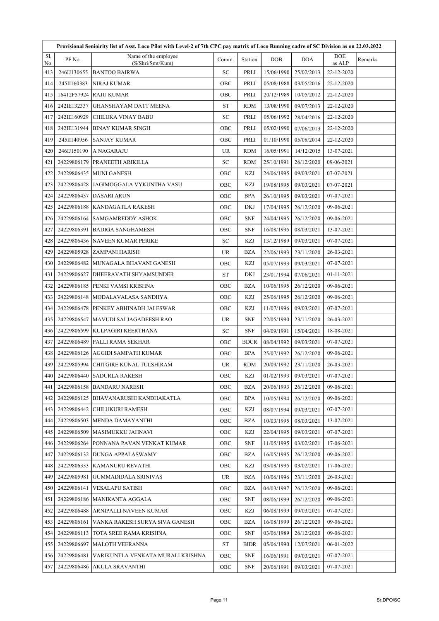|            | Provisional Senioirity list of Asst. Loco Pilot with Level-2 of 7th CPC pay matrix of Loco Running cadre of SC Division as on 22.03.2022 |                                          |            |             |            |            |               |         |  |  |
|------------|------------------------------------------------------------------------------------------------------------------------------------------|------------------------------------------|------------|-------------|------------|------------|---------------|---------|--|--|
| Sl.<br>No. | PF No.                                                                                                                                   | Name of the employee<br>(S/Shri/Smt/Kum) | Comm.      | Station     | DOB        | <b>DOA</b> | DOE<br>as ALP | Remarks |  |  |
| 413        | 246IJ130655                                                                                                                              | <b>BANTOO BAIRWA</b>                     | SC         | PRLI        | 15/06/1990 | 25/02/2013 | 22-12-2020    |         |  |  |
| 414        | 245II160383                                                                                                                              | NIRAJ KUMAR                              | OBC        | PRLI        | 05/08/1988 | 03/05/2016 | 22-12-2020    |         |  |  |
| 415        | 16412F57924                                                                                                                              | <b>RAJU KUMAR</b>                        | OBC        | PRLI        | 20/12/1989 | 10/05/2012 | 22-12-2020    |         |  |  |
| 416        | 242IE132337                                                                                                                              | GHANSHAYAM DATT MEENA                    | ${\rm ST}$ | <b>RDM</b>  | 13/08/1990 | 09/07/2013 | 22-12-2020    |         |  |  |
| 417        | 242IE160929                                                                                                                              | CHILUKA VINAY BABU                       | SC         | PRLI        | 05/06/1992 | 28/04/2016 | 22-12-2020    |         |  |  |
| 418        | 242IE131944                                                                                                                              | <b>BINAY KUMAR SINGH</b>                 | OBC        | PRLI        | 05/02/1990 | 07/06/2013 | 22-12-2020    |         |  |  |
| 419        | 245II140956                                                                                                                              | <b>SANJAY KUMAR</b>                      | OBC        | PRLI        | 01/10/1990 | 05/08/2014 | 22-12-2020    |         |  |  |
| 420        | 246IJ150190                                                                                                                              | A NAGARAJU                               | <b>UR</b>  | <b>RDM</b>  | 16/05/1991 | 14/12/2015 | 13-07-2021    |         |  |  |
| 421        | 24229806179                                                                                                                              | PRANEETH ARIKILLA                        | SC         | <b>RDM</b>  | 25/10/1991 | 26/12/2020 | 09-06-2021    |         |  |  |
| 422        | 24229806435                                                                                                                              | <b>MUNI GANESH</b>                       | OBC        | KZJ         | 24/06/1995 | 09/03/2021 | 07-07-2021    |         |  |  |
| 423        | 24229806428                                                                                                                              | JAGIMOGGALA VYKUNTHA VASU                | OBC        | KZJ         | 19/08/1995 | 09/03/2021 | 07-07-2021    |         |  |  |
| 424        | 24229806437                                                                                                                              | <b>DASARI ARUN</b>                       | OBC        | <b>BPA</b>  | 26/10/1995 | 09/03/2021 | 07-07-2021    |         |  |  |
| 425        | 24229806188                                                                                                                              | KANDAGATLA RAKESH                        | OBC        | <b>DKJ</b>  | 17/04/1995 | 26/12/2020 | 09-06-2021    |         |  |  |
| 426        | 24229806164                                                                                                                              | SAMGAMREDDY ASHOK                        | OBC        | <b>SNF</b>  | 24/04/1995 | 26/12/2020 | 09-06-2021    |         |  |  |
| 427        | 24229806391                                                                                                                              | BADIGA SANGHAMESH                        | OBC        | <b>SNF</b>  | 16/08/1995 | 08/03/2021 | 13-07-2021    |         |  |  |
| 428        | 24229806436                                                                                                                              | NAVEEN KUMAR PERIKE                      | SC         | KZJ         | 13/12/1989 | 09/03/2021 | 07-07-2021    |         |  |  |
| 429        | 24229805928                                                                                                                              | <b>ZAMPANI HARISH</b>                    | <b>UR</b>  | <b>BZA</b>  | 22/06/1993 | 23/11/2020 | 26-03-2021    |         |  |  |
| 430        | 24229806482                                                                                                                              | MUNAGALA BHAVANI GANESH                  | OBC        | KZJ         | 05/07/1993 | 09/03/2021 | 07-07-2021    |         |  |  |
| 431        | 24229806627                                                                                                                              | DHEERAVATH SHYAMSUNDER                   | <b>ST</b>  | <b>DKJ</b>  | 23/01/1994 | 07/06/2021 | 01-11-2021    |         |  |  |
| 432        | 24229806185                                                                                                                              | PENKI VAMSI KRISHNA                      | OBC        | <b>BZA</b>  | 10/06/1995 | 26/12/2020 | 09-06-2021    |         |  |  |
| 433        | 24229806148                                                                                                                              | MODALAVALASA SANDHYA                     | OBC        | KZJ         | 25/06/1995 | 26/12/2020 | 09-06-2021    |         |  |  |
| 434        | 24229806478                                                                                                                              | PENKEY ABHINADH JAI ESWAR                | OBC        | KZJ         | 11/07/1996 | 09/03/2021 | 07-07-2021    |         |  |  |
| 435        | 24229806547                                                                                                                              | MAVUDI SAI JAGADEESH RAO                 | <b>UR</b>  | <b>SNF</b>  | 22/05/1990 | 23/11/2020 | 26-03-2021    |         |  |  |
| 436        | 24229806599                                                                                                                              | KULPAGIRI KEERTHANA                      | SC         | <b>SNF</b>  | 04/09/1991 | 15/04/2021 | 18-08-2021    |         |  |  |
| 437        | 24229806489                                                                                                                              | PALLI RAMA SEKHAR                        | OBC        | <b>BDCR</b> | 08/04/1992 | 09/03/2021 | 07-07-2021    |         |  |  |
| 438        | 24229806126                                                                                                                              | <b>AGGIDI SAMPATH KUMAR</b>              | OBC        | <b>BPA</b>  | 25/07/1992 | 26/12/2020 | 09-06-2021    |         |  |  |
| 439        | 24229805994                                                                                                                              | CHITGIRE KUNAL TULSHIRAM                 | <b>UR</b>  | RDM         | 20/09/1992 | 23/11/2020 | 26-03-2021    |         |  |  |
| 440        | 24229806440                                                                                                                              | <b>SADURLA RAKESH</b>                    | OBC        | KZJ         | 01/02/1993 | 09/03/2021 | 07-07-2021    |         |  |  |
| 441        | 24229806158                                                                                                                              | BANDARU NARESH                           | OBC        | BZA         | 20/06/1993 | 26/12/2020 | 09-06-2021    |         |  |  |
| 442        | 24229806125                                                                                                                              | BHAVANARUSHI KANDHAKATLA                 | OBC        | <b>BPA</b>  | 10/05/1994 | 26/12/2020 | 09-06-2021    |         |  |  |
| 443        | 24229806442                                                                                                                              | CHILUKURI RAMESH                         | OBC        | KZJ         | 08/07/1994 | 09/03/2021 | 07-07-2021    |         |  |  |
| 444        | 24229806503                                                                                                                              | MENDA DAMAYANTHI                         | OBC        | BZA         | 10/03/1995 | 08/03/2021 | 13-07-2021    |         |  |  |
| 445        | 24229806509                                                                                                                              | MASIMUKKU JAHNAVI                        | OBC        | KZJ         | 22/04/1995 | 09/03/2021 | 07-07-2021    |         |  |  |
| 446        | 24229806264                                                                                                                              | PONNANA PAVAN VENKAT KUMAR               | <b>OBC</b> | <b>SNF</b>  | 11/05/1995 | 03/02/2021 | 17-06-2021    |         |  |  |
| 447        | 24229806132                                                                                                                              | <b>DUNGA APPALASWAMY</b>                 | OBC        | BZA         | 16/05/1995 | 26/12/2020 | 09-06-2021    |         |  |  |
| 448        | 24229806333                                                                                                                              | <b>KAMANURU REVATHI</b>                  | <b>OBC</b> | KZJ         | 03/08/1995 | 03/02/2021 | 17-06-2021    |         |  |  |
| 449        | 24229805981                                                                                                                              | <b>GUMMADIDALA SRINIVAS</b>              | <b>UR</b>  | BZA         | 10/06/1996 | 23/11/2020 | 26-03-2021    |         |  |  |
| 450        | 24229806141                                                                                                                              | <b>VESALAPU SATISH</b>                   | OBC        | BZA         | 04/03/1997 | 26/12/2020 | 09-06-2021    |         |  |  |
| 451        | 24229806186                                                                                                                              | MANIKANTA AGGALA                         | OBC        | <b>SNF</b>  | 08/06/1999 | 26/12/2020 | 09-06-2021    |         |  |  |
| 452        | 24229806488                                                                                                                              | ARNIPALLI NAVEEN KUMAR                   | OBC        | KZJ         | 06/08/1999 | 09/03/2021 | 07-07-2021    |         |  |  |
| 453        | 24229806161                                                                                                                              | VANKA RAKESH SURYA SIVA GANESH           | OBC        | BZA         | 16/08/1999 | 26/12/2020 | 09-06-2021    |         |  |  |
| 454        | 24229806113                                                                                                                              | TOTA SREE RAMA KRISHNA                   | OBC        | <b>SNF</b>  | 03/06/1989 | 26/12/2020 | 09-06-2021    |         |  |  |
| 455        | 24229806697                                                                                                                              | <b>MALOTH VEERANNA</b>                   | ST         | <b>BIDR</b> | 05/06/1990 | 12/07/2021 | 06-01-2022    |         |  |  |
| 456        | 24229806481                                                                                                                              | VARIKUNTLA VENKATA MURALI KRISHNA        | OBC        | <b>SNF</b>  | 16/06/1991 | 09/03/2021 | 07-07-2021    |         |  |  |
| 457        | 24229806486                                                                                                                              | <b>AKULA SRAVANTHI</b>                   | OBC        | <b>SNF</b>  | 20/06/1991 | 09/03/2021 | 07-07-2021    |         |  |  |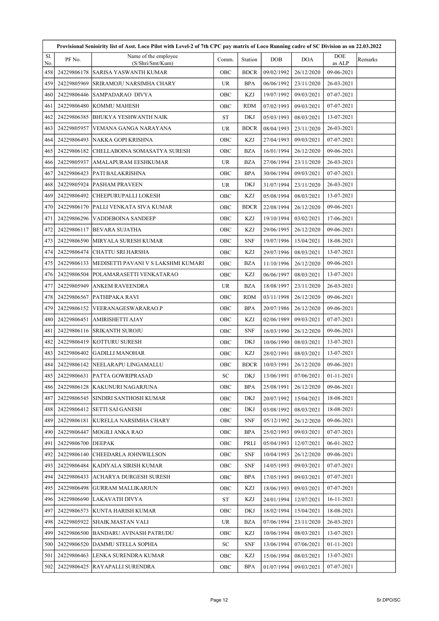|            | Provisional Senioirity list of Asst. Loco Pilot with Level-2 of 7th CPC pay matrix of Loco Running cadre of SC Division as on 22.03.2022 |                                          |           |             |            |            |               |         |  |
|------------|------------------------------------------------------------------------------------------------------------------------------------------|------------------------------------------|-----------|-------------|------------|------------|---------------|---------|--|
| Sl.<br>No. | PF No.                                                                                                                                   | Name of the employee<br>(S/Shri/Smt/Kum) | Comm.     | Station     | <b>DOB</b> | <b>DOA</b> | DOE<br>as ALP | Remarks |  |
| 4581       | 24229806178                                                                                                                              | <b>SARISA YASWANTH KUMAR</b>             | OBC       | <b>BDCR</b> | 09/02/1992 | 26/12/2020 | 09-06-2021    |         |  |
| 459        | 24229805969                                                                                                                              | SRIRAMOJU NARSIMHA CHARY                 | <b>UR</b> | <b>BPA</b>  | 06/06/1992 | 23/11/2020 | 26-03-2021    |         |  |
| 460        | 24229806446                                                                                                                              | SAMPADARAO DIVYA                         | OBC       | KZJ         | 19/07/1992 | 09/03/2021 | 07-07-2021    |         |  |
| 461        | 24229806480                                                                                                                              | <b>KOMMU MAHESH</b>                      | OBC       | <b>RDM</b>  | 07/02/1993 | 09/03/2021 | 07-07-2021    |         |  |
| 462        | 24229806385                                                                                                                              | BHUKYA YESHWANTH NAIK                    | <b>ST</b> | DKJ         | 05/03/1993 | 08/03/2021 | 13-07-2021    |         |  |
| 463        | 24229805957                                                                                                                              | VEMANA GANGA NARAYANA                    | UR        | <b>BDCR</b> | 08/04/1993 | 23/11/2020 | 26-03-2021    |         |  |
| 464        | 24229806493                                                                                                                              | NAKKA GOPI KRISHNA                       | OBC       | KZJ         | 27/04/1993 | 09/03/2021 | 07-07-2021    |         |  |
| 465        | 24229806182                                                                                                                              | CHELLABOINA SOMASATYA SURESH             | OBC       | <b>BZA</b>  | 16/01/1994 | 26/12/2020 | 09-06-2021    |         |  |
| 466        | 24229805937                                                                                                                              | AMALAPURAM EESHKUMAR                     | <b>UR</b> | <b>BZA</b>  | 27/06/1994 | 23/11/2020 | 26-03-2021    |         |  |
| 467        | 24229806423                                                                                                                              | PATI BALAKRISHNA                         | OBC       | <b>BPA</b>  | 30/06/1994 | 09/03/2021 | 07-07-2021    |         |  |
| 468        | 24229805924                                                                                                                              | <b>PASHAM PRAVEEN</b>                    | <b>UR</b> | <b>DKJ</b>  | 31/07/1994 | 23/11/2020 | 26-03-2021    |         |  |
| 469        | 24229806492                                                                                                                              | CHEEPURUPALLI LOKESH                     | OBC       | KZJ         | 05/08/1994 | 08/03/2021 | 13-07-2021    |         |  |
| 470        | 24229806170                                                                                                                              | PALLI VENKATA SIVA KUMAR                 | OBC       | <b>BDCR</b> | 22/08/1994 | 26/12/2020 | 09-06-2021    |         |  |
| 471        | 24229806296                                                                                                                              | VADDEBOINA SANDEEP                       | OBC       | KZJ         | 19/10/1994 | 03/02/2021 | 17-06-2021    |         |  |
| 472        | 24229806117                                                                                                                              | <b>BEVARA SUJATHA</b>                    | OBC       | KZJ         | 29/06/1995 | 26/12/2020 | 09-06-2021    |         |  |
| 473        | 24229806590                                                                                                                              | <b>MIRYALA SURESH KUMAR</b>              | OBC       | <b>SNF</b>  | 19/07/1996 | 15/04/2021 | 18-08-2021    |         |  |
| 474        | 24229806474                                                                                                                              | <b>CHATTU SRI HARSHA</b>                 | OBC       | KZJ         | 29/07/1996 | 08/03/2021 | 13-07-2021    |         |  |
| 475        | 24229806133                                                                                                                              | MEDISETTI PAVANI V S LAKSHMI KUMARI      | OBC       | BZA         | 11/10/1996 | 26/12/2020 | 09-06-2021    |         |  |
| 476        | 24229806504                                                                                                                              | POLAMARASETTI VENKATARAO                 | OBC       | KZJ         | 06/06/1997 | 08/03/2021 | 13-07-2021    |         |  |
| 477        | 24229805949                                                                                                                              | <b>ANKEM RAVEENDRA</b>                   | <b>UR</b> | <b>BZA</b>  | 18/08/1997 | 23/11/2020 | 26-03-2021    |         |  |
| 478        | 24229806567                                                                                                                              | PATHIPAKA RAVI                           | OBC       | <b>RDM</b>  | 03/11/1998 | 26/12/2020 | 09-06-2021    |         |  |
| 479        | 24229806152                                                                                                                              | VEERANAGESWARARAO.P                      | OBC       | <b>BPA</b>  | 20/07/1986 | 26/12/2020 | 09-06-2021    |         |  |
| 480        | 24229806451                                                                                                                              | <b>AMIRISHETTI AJAY</b>                  | OBC       | KZJ         | 02/06/1989 | 09/03/2021 | 07-07-2021    |         |  |
| 481        | 24229806116                                                                                                                              | <b>SRIKANTH SUROJU</b>                   | OBC       | <b>SNF</b>  | 16/03/1990 | 26/12/2020 | 09-06-2021    |         |  |
| 482        | 24229806419                                                                                                                              | <b>KOTTURU SURESH</b>                    | OBC       | DKJ         | 10/06/1990 | 08/03/2021 | 13-07-2021    |         |  |
| 483        | 24229806402                                                                                                                              | <b>GADILLI MANOHAR</b>                   | OBC       | KZJ         | 28/02/1991 | 08/03/2021 | 13-07-2021    |         |  |
| 484        | 24229806142                                                                                                                              | NEELARAPU LINGAMALLU                     | OBC       | <b>BDCR</b> | 10/03/1991 | 26/12/2020 | 09-06-2021    |         |  |
| 485        | 24229806631                                                                                                                              | <b>PATTA GOWRIPRASAD</b>                 | SC        | DKJ         | 13/06/1991 | 07/06/2021 | 01-11-2021    |         |  |
| 486        | 24229806128                                                                                                                              | KAKUNURI NAGARJUNA                       | OBC       | <b>BPA</b>  | 25/08/1991 | 26/12/2020 | 09-06-2021    |         |  |
| 487        | 24229806545                                                                                                                              | SINDIRI SANTHOSH KUMAR                   | OBC       | DKJ         | 20/07/1992 | 15/04/2021 | 18-08-2021    |         |  |
| 488        | 24229806412                                                                                                                              | <b>SETTI SAI GANESH</b>                  | OBC       | DKJ         | 03/08/1992 | 08/03/2021 | 18-08-2021    |         |  |
| 489        | 24229806181                                                                                                                              | KURELLA NARSIMHA CHARY                   | OBC       | <b>SNF</b>  | 05/12/1992 | 26/12/2020 | 09-06-2021    |         |  |
| 490        | 24229806447                                                                                                                              | MOGILI ANKA RAO                          | OBC       | <b>BPA</b>  | 25/02/1993 | 09/03/2021 | 07-07-2021    |         |  |
| 491        | 24229806700                                                                                                                              | <b>DEEPAK</b>                            | OBC       | PRLI        | 05/04/1993 | 12/07/2021 | 06-01-2022    |         |  |
| 492        | 24229806140                                                                                                                              | CHEEDARLA JOHNWILLSON                    | OBC       | <b>SNF</b>  | 10/04/1993 | 26/12/2020 | 09-06-2021    |         |  |
| 493        | 24229806484                                                                                                                              | KADIYALA SIRISH KUMAR                    | OBC       | <b>SNF</b>  | 14/05/1993 | 09/03/2021 | 07-07-2021    |         |  |
| 494        | 24229806433                                                                                                                              | ACHARYA DURGESH SURESH                   | OBC       | <b>BPA</b>  | 17/05/1993 | 09/03/2021 | 07-07-2021    |         |  |
| 495        | 24229806498                                                                                                                              | <b>GURRAM MALLIKARJUN</b>                | OBC       | <b>KZJ</b>  | 18/06/1993 | 09/03/2021 | 07-07-2021    |         |  |
| 496        | 24229806690                                                                                                                              | LAKAVATH DIVYA                           | <b>ST</b> | <b>KZJ</b>  | 24/01/1994 | 12/07/2021 | 16-11-2021    |         |  |
| 497        | 24229806573                                                                                                                              | KUNTA HARISH KUMAR                       | OBC       | DKJ         | 18/02/1994 | 15/04/2021 | 18-08-2021    |         |  |
| 498        | 24229805922                                                                                                                              | SHAIK.MASTAN VALI                        | <b>UR</b> | <b>BZA</b>  | 07/06/1994 | 23/11/2020 | 26-03-2021    |         |  |
| 499        | 24229806500                                                                                                                              | BANDARU AVINASH PATRUDU                  | OBC       | KZJ         | 10/06/1994 | 08/03/2021 | 13-07-2021    |         |  |
| 500        | 24229806520                                                                                                                              | DAMMU STELLA SOPHIA                      | SC        | <b>SNF</b>  | 13/06/1994 | 07/06/2021 | 01-11-2021    |         |  |
| 501        | 24229806463                                                                                                                              | LENKA SURENDRA KUMAR                     | OBC       | <b>KZJ</b>  | 15/06/1994 | 08/03/2021 | 13-07-2021    |         |  |
| 502        | 24229806425                                                                                                                              | RAYAPALLI SURENDRA                       | OBC       | <b>BPA</b>  | 01/07/1994 | 09/03/2021 | 07-07-2021    |         |  |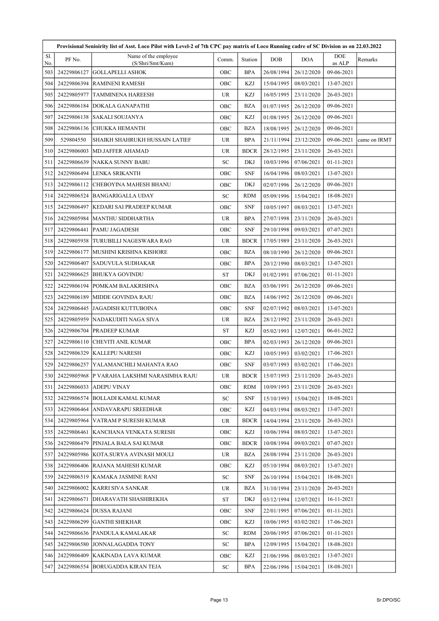|            | Provisional Senioirity list of Asst. Loco Pilot with Level-2 of 7th CPC pay matrix of Loco Running cadre of SC Division as on 22.03.2022 |                                          |                                   |             |            |            |               |              |  |  |
|------------|------------------------------------------------------------------------------------------------------------------------------------------|------------------------------------------|-----------------------------------|-------------|------------|------------|---------------|--------------|--|--|
| Sl.<br>No. | PF No.                                                                                                                                   | Name of the employee<br>(S/Shri/Smt/Kum) | Comm.                             | Station     | <b>DOB</b> | <b>DOA</b> | DOE<br>as ALP | Remarks      |  |  |
| 503        | 24229806127                                                                                                                              | <b>GOLLAPELLI ASHOK</b>                  | OBC                               | <b>BPA</b>  | 26/08/1994 | 26/12/2020 | 09-06-2021    |              |  |  |
| 504        | 24229806394                                                                                                                              | <b>RAMINENI RAMESH</b>                   | OBC                               | KZJ         | 15/04/1995 | 08/03/2021 | 13-07-2021    |              |  |  |
| 505        | 24229805977                                                                                                                              | <b>TAMMINENA HAREESH</b>                 | <b>UR</b>                         | <b>KZJ</b>  | 16/05/1995 | 23/11/2020 | 26-03-2021    |              |  |  |
| 506        | 24229806184                                                                                                                              | <b>DOKALA GANAPATHI</b>                  | OBC                               | <b>BZA</b>  | 01/07/1995 | 26/12/2020 | 09-06-2021    |              |  |  |
| 507        | 24229806138                                                                                                                              | SAKALI SOUJANYA                          | OBC                               | <b>KZJ</b>  | 01/08/1995 | 26/12/2020 | 09-06-2021    |              |  |  |
| 508        | 24229806136                                                                                                                              | CHUKKA HEMANTH                           | OBC                               | <b>BZA</b>  | 18/08/1995 | 26/12/2020 | 09-06-2021    |              |  |  |
| 509        | 529804550                                                                                                                                | SHAIKH SHAHRUKH HUSSAIN LATIEF           | <b>UR</b>                         | <b>BPA</b>  | 21/11/1994 | 23/12/2020 | 09-06-2021    | came on IRMT |  |  |
| 510        | 24229806003                                                                                                                              | <b>MD.JAFFER AHAMAD</b>                  | <b>UR</b>                         | <b>BDCR</b> | 28/12/1995 | 23/11/2020 | 26-03-2021    |              |  |  |
| 511        | 24229806639                                                                                                                              | NAKKA SUNNY BABU                         | SC                                | <b>DKJ</b>  | 10/03/1996 | 07/06/2021 | 01-11-2021    |              |  |  |
| 512        | 24229806494                                                                                                                              | LENKA SRIKANTH                           | OBC                               | <b>SNF</b>  | 16/04/1996 | 08/03/2021 | 13-07-2021    |              |  |  |
| 513        | 24229806112                                                                                                                              | CHEBOYINA MAHESH BHANU                   | OBC                               | <b>DKJ</b>  | 02/07/1996 | 26/12/2020 | 09-06-2021    |              |  |  |
| 514        | 24229806524                                                                                                                              | <b>BANGARIGALLA UDAY</b>                 | ${\rm SC}$                        | <b>RDM</b>  | 05/09/1996 | 15/04/2021 | 18-08-2021    |              |  |  |
| 515        | 24229806497                                                                                                                              | KEDARI SAI PRADEEP KUMAR                 | OBC                               | <b>SNF</b>  | 10/05/1997 | 08/03/2021 | 13-07-2021    |              |  |  |
| 516        | 24229805984                                                                                                                              | MANTHU SIDDHARTHA                        | <b>UR</b>                         | <b>BPA</b>  | 27/07/1998 | 23/11/2020 | 26-03-2021    |              |  |  |
| 517        | 24229806441                                                                                                                              | PAMU JAGADESH                            | OBC                               | <b>SNF</b>  | 29/10/1998 | 09/03/2021 | 07-07-2021    |              |  |  |
| 518        | 24229805938                                                                                                                              | <b>TURUBILLI NAGESWARA RAO</b>           | $\ensuremath{\mathsf{UR}}\xspace$ | <b>BDCR</b> | 17/05/1989 | 23/11/2020 | 26-03-2021    |              |  |  |
| 519        | 24229806177                                                                                                                              | MUSHINI KRISHNA KISHORE                  | OBC                               | <b>BZA</b>  | 08/10/1990 | 26/12/2020 | 09-06-2021    |              |  |  |
| 520        | 24229806407                                                                                                                              | SADUVULA SUDHAKAR                        | OBC                               | <b>BPA</b>  | 20/12/1990 | 08/03/2021 | 13-07-2021    |              |  |  |
| 521        | 24229806625                                                                                                                              | BHUKYA GOVINDU                           | <b>ST</b>                         | <b>DKJ</b>  | 01/02/1991 | 07/06/2021 | 01-11-2021    |              |  |  |
| 522        | 24229806194                                                                                                                              | POMKAM BALAKRISHNA                       | OBC                               | <b>BZA</b>  | 03/06/1991 | 26/12/2020 | 09-06-2021    |              |  |  |
| 523        | 24229806189                                                                                                                              | <b>MIDDE GOVINDA RAJU</b>                | OBC                               | <b>BZA</b>  | 14/06/1992 | 26/12/2020 | 09-06-2021    |              |  |  |
| 524        | 24229806445                                                                                                                              | JAGADISH KUTTUBOINA                      | OBC                               | <b>SNF</b>  | 02/07/1992 | 08/03/2021 | 13-07-2021    |              |  |  |
| 525        | 24229805959                                                                                                                              | NADAKUDITI NAGA SIVA                     | <b>UR</b>                         | <b>BZA</b>  | 28/12/1992 | 23/11/2020 | 26-03-2021    |              |  |  |
| 526        | 24229806704                                                                                                                              | <b>PRADEEP KUMAR</b>                     | ST                                | KZJ         | 05/02/1993 | 12/07/2021 | 06-01-2022    |              |  |  |
| 527        | 24229806110                                                                                                                              | CHEVITI ANIL KUMAR                       | OBC                               | <b>BPA</b>  | 02/03/1993 | 26/12/2020 | 09-06-2021    |              |  |  |
| 528        | 24229806329                                                                                                                              | <b>KALLEPU NARESH</b>                    | OBC                               | KZJ         | 10/05/1993 | 03/02/2021 | 17-06-2021    |              |  |  |
| 529        | 24229806257                                                                                                                              | YALAMANCHILI MAHANTA RAO                 | OBC                               | <b>SNF</b>  | 03/07/1993 | 03/02/2021 | 17-06-2021    |              |  |  |
| 530        | 24229805968                                                                                                                              | P VARAHA LAKSHMI NARASIMHA RAJU          | <b>UR</b>                         | <b>BDCR</b> | 15/07/1993 | 23/11/2020 | 26-03-2021    |              |  |  |
| 531        | 24229806033                                                                                                                              | <b>ADEPU VINAY</b>                       | OBC                               | <b>RDM</b>  | 10/09/1993 | 23/11/2020 | 26-03-2021    |              |  |  |
| 532        | 24229806574                                                                                                                              | BOLLADI KAMAL KUMAR                      | SC                                | <b>SNF</b>  | 15/10/1993 | 15/04/2021 | 18-08-2021    |              |  |  |
| 533        | 24229806464                                                                                                                              | ANDAVARAPU SREEDHAR                      | OBC                               | KZJ         | 04/03/1994 | 08/03/2021 | 13-07-2021    |              |  |  |
| 534        | 24229805964                                                                                                                              | VATRAM P SURESH KUMAR                    | UR                                | <b>BDCR</b> | 14/04/1994 | 23/11/2020 | 26-03-2021    |              |  |  |
| 535        | 24229806461                                                                                                                              | KANCHANA VENKATA SURESH                  | OBC                               | KZJ         | 10/06/1994 | 08/03/2021 | 13-07-2021    |              |  |  |
| 536        | 24229806479                                                                                                                              | PINJALA BALA SAI KUMAR                   | OBC                               | <b>BDCR</b> | 10/08/1994 | 09/03/2021 | 07-07-2021    |              |  |  |
| 537        | 24229805986                                                                                                                              | KOTA.SURYA AVINASH MOULI                 | <b>UR</b>                         | BZA         | 28/08/1994 | 23/11/2020 | 26-03-2021    |              |  |  |
| 538        | 24229806406                                                                                                                              | RAJANA MAHESH KUMAR                      | OBC                               | KZJ         | 05/10/1994 | 08/03/2021 | 13-07-2021    |              |  |  |
| 539        | 24229806519                                                                                                                              | KAMAKA JASMINE RANI                      | SC                                | <b>SNF</b>  | 26/10/1994 | 15/04/2021 | 18-08-2021    |              |  |  |
| 540        | 24229806002                                                                                                                              | <b>KARRI SIVA SANKAR</b>                 | <b>UR</b>                         | BZA         | 31/10/1994 | 23/11/2020 | 26-03-2021    |              |  |  |
| 541        | 24229806671                                                                                                                              | DHARAVATH SHASHIREKHA                    | <b>ST</b>                         | DKJ         | 03/12/1994 | 12/07/2021 | 16-11-2021    |              |  |  |
| 542        | 24229806624                                                                                                                              | <b>DUSSA RAJANI</b>                      | OBC                               | <b>SNF</b>  | 22/01/1995 | 07/06/2021 | 01-11-2021    |              |  |  |
| 543        | 24229806299                                                                                                                              | <b>GANTHI SHEKHAR</b>                    | OBC                               | KZJ         | 10/06/1995 | 03/02/2021 | 17-06-2021    |              |  |  |
| 544        | 24229806636                                                                                                                              | PANDULA KAMALAKAR                        | SC                                | RDM         | 20/06/1995 | 07/06/2021 | 01-11-2021    |              |  |  |
| 545        | 24229806580                                                                                                                              | JONNALAGADDA TONY                        | SC                                | <b>BPA</b>  | 12/09/1995 | 15/04/2021 | 18-08-2021    |              |  |  |
| 546        | 24229806409                                                                                                                              | KAKINADA LAVA KUMAR                      | OBC                               | KZJ         | 21/06/1996 | 08/03/2021 | 13-07-2021    |              |  |  |
| 547        | 24229806554                                                                                                                              | BORUGADDA KIRAN TEJA                     | SC                                | <b>BPA</b>  | 22/06/1996 | 15/04/2021 | 18-08-2021    |              |  |  |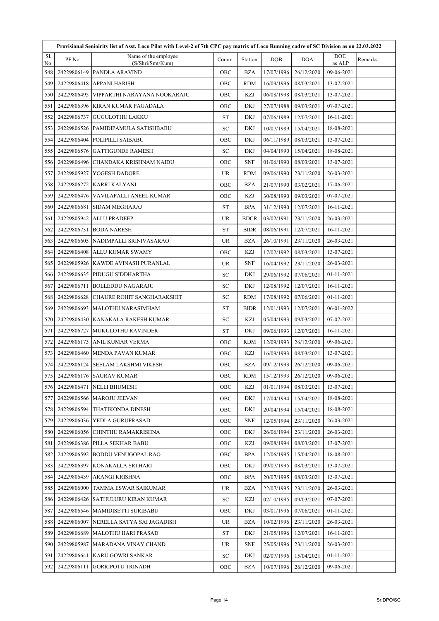|            | Provisional Senioirity list of Asst. Loco Pilot with Level-2 of 7th CPC pay matrix of Loco Running cadre of SC Division as on 22.03.2022 |                                          |            |             |            |            |                      |         |  |  |
|------------|------------------------------------------------------------------------------------------------------------------------------------------|------------------------------------------|------------|-------------|------------|------------|----------------------|---------|--|--|
| Sl.<br>No. | PF No.                                                                                                                                   | Name of the employee<br>(S/Shri/Smt/Kum) | Comm.      | Station     | <b>DOB</b> | <b>DOA</b> | <b>DOE</b><br>as ALP | Remarks |  |  |
| 548        | 24229806149                                                                                                                              | PANDLA ARAVIND                           | OBC        | <b>BZA</b>  | 17/07/1996 | 26/12/2020 | 09-06-2021           |         |  |  |
| 549        | 24229806418                                                                                                                              | <b>APPANI HARISH</b>                     | OBC        | <b>RDM</b>  | 16/09/1996 | 08/03/2021 | 13-07-2021           |         |  |  |
| 550        | 24229806495                                                                                                                              | VIPPARTHI NARAYANA NOOKARAJU             | OBC        | KZJ         | 06/08/1998 | 08/03/2021 | 13-07-2021           |         |  |  |
| 551        |                                                                                                                                          | 24229806396 KIRAN KUMAR PAGADALA         | <b>OBC</b> | <b>DKJ</b>  | 27/07/1988 | 09/03/2021 | 07-07-2021           |         |  |  |
| 552        | 24229806737                                                                                                                              | GUGULOTHU LAKKU                          | <b>ST</b>  | DKJ         | 07/06/1989 | 12/07/2021 | 16-11-2021           |         |  |  |
| 553        | 24229806526                                                                                                                              | PAMIDIPAMULA SATISHBABU                  | SC         | <b>DKJ</b>  | 10/07/1989 | 15/04/2021 | 18-08-2021           |         |  |  |
| 554        | 24229806404                                                                                                                              | POLIPILLI SAIBABU                        | OBC        | DKJ         | 06/11/1989 | 08/03/2021 | 13-07-2021           |         |  |  |
| 555        | 24229806576                                                                                                                              | GATTIGUNDE RAMESH                        | SC         | <b>DKJ</b>  | 04/04/1990 | 15/04/2021 | 18-08-2021           |         |  |  |
| 556        | 24229806496                                                                                                                              | CHANDAKA KRISHNAM NAIDU                  | OBC        | <b>SNF</b>  | 01/06/1990 | 08/03/2021 | 13-07-2021           |         |  |  |
| 557        | 24229805927                                                                                                                              | YOGESH DADORE                            | <b>UR</b>  | <b>RDM</b>  | 09/06/1990 | 23/11/2020 | 26-03-2021           |         |  |  |
| 558        | 24229806272                                                                                                                              | KARRI KALYANI                            | OBC        | <b>BZA</b>  | 21/07/1990 | 03/02/2021 | 17-06-2021           |         |  |  |
| 559        | 24229806476                                                                                                                              | VAVILAPALLI ANEEL KUMAR                  | OBC        | KZJ         | 30/08/1990 | 09/03/2021 | 07-07-2021           |         |  |  |
| 560        | 24229806681                                                                                                                              | <b>SIDAM MEGHARAJ</b>                    | <b>ST</b>  | <b>BPA</b>  | 31/12/1990 | 12/07/2021 | 16-11-2021           |         |  |  |
| 561        | 24229805942                                                                                                                              | <b>ALLU PRADEEP</b>                      | <b>UR</b>  | <b>BDCR</b> | 03/02/1991 | 23/11/2020 | 26-03-2021           |         |  |  |
| 562        | 24229806731                                                                                                                              | <b>BODA NARESH</b>                       | <b>ST</b>  | <b>BIDR</b> | 08/06/1991 | 12/07/2021 | 16-11-2021           |         |  |  |
| 563        | 24229806605                                                                                                                              | NADIMPALLI SRINIVASARAO                  | <b>UR</b>  | <b>BZA</b>  | 26/10/1991 | 23/11/2020 | 26-03-2021           |         |  |  |
| 564        | 24229806408                                                                                                                              | ALLU KUMAR SWAMY                         | OBC        | KZJ         | 17/02/1992 | 08/03/2021 | 13-07-2021           |         |  |  |
| 565        | 24229805926                                                                                                                              | KAWDE AVINASH PURANLAL                   | <b>UR</b>  | <b>SNF</b>  | 16/04/1992 | 23/11/2020 | 26-03-2021           |         |  |  |
| 566        | 24229806635                                                                                                                              | <b>PIDUGU SIDDHARTHA</b>                 | SC         | <b>DKJ</b>  | 29/06/1992 | 07/06/2021 | 01-11-2021           |         |  |  |
| 567        | 24229806711                                                                                                                              | <b>BOLLEDDU NAGARAJU</b>                 | SC         | <b>DKJ</b>  | 12/08/1992 | 12/07/2021 | 16-11-2021           |         |  |  |
| 568        | 24229806628                                                                                                                              | CHAURE ROHIT SANGHARAKSHIT               | SC         | <b>RDM</b>  | 17/08/1992 | 07/06/2021 | 01-11-2021           |         |  |  |
| 569        | 24229806693                                                                                                                              | MALOTHU NARASIMHAM                       | <b>ST</b>  | <b>BIDR</b> | 12/01/1993 | 12/07/2021 | 06-01-2022           |         |  |  |
| 570        | 24229806430                                                                                                                              | KANAKALA RAKESH KUMAR                    | ${\rm SC}$ | KZJ         | 05/04/1993 | 09/03/2021 | 07-07-2021           |         |  |  |
| 571        | 24229806727                                                                                                                              | MUKULOTHU RAVINDER                       | <b>ST</b>  | <b>DKJ</b>  | 09/06/1993 | 12/07/2021 | 16-11-2021           |         |  |  |
| 572        | 24229806173                                                                                                                              | <b>ANIL KUMAR VERMA</b>                  | OBC        | <b>RDM</b>  | 12/09/1993 | 26/12/2020 | 09-06-2021           |         |  |  |
| 573        | 24229806460                                                                                                                              | <b>MENDA PAVAN KUMAR</b>                 | OBC        | <b>KZJ</b>  | 16/09/1993 | 08/03/2021 | 13-07-2021           |         |  |  |
| 574        | 24229806124                                                                                                                              | <b>SEELAM LAKSHMI VIKESH</b>             | OBC        | <b>BZA</b>  | 09/12/1993 | 26/12/2020 | 09-06-2021           |         |  |  |
| 575        |                                                                                                                                          | 24229806176 SAURAV KUMAR                 | OBC        | <b>RDM</b>  | 15/12/1993 | 26/12/2020 | 09-06-2021           |         |  |  |
| 576        | 24229806471                                                                                                                              | <b>NELLI BHUMESH</b>                     | OBC        | KZJ         | 01/01/1994 | 08/03/2021 | 13-07-2021           |         |  |  |
| 577        | 24229806566                                                                                                                              | MAROJU JEEVAN                            | <b>OBC</b> | DKJ         | 17/04/1994 | 15/04/2021 | 18-08-2021           |         |  |  |
| 578        | 24229806594                                                                                                                              | THATIKONDA DINESH                        | <b>OBC</b> | DKJ         | 20/04/1994 | 15/04/2021 | 18-08-2021           |         |  |  |
| 579        | 24229806036                                                                                                                              | <b>YEDLA GURUPRASAD</b>                  | OBC        | <b>SNF</b>  | 12/05/1994 | 23/11/2020 | 26-03-2021           |         |  |  |
| 580        | 24229806056                                                                                                                              | CHINTHU RAMAKRISHNA                      | OBC        | DKJ         | 26/06/1994 | 23/11/2020 | 26-03-2021           |         |  |  |
| 581        | 24229806386                                                                                                                              | PILLA SEKHAR BABU                        | OBC        | KZJ         | 09/08/1994 | 08/03/2021 | 13-07-2021           |         |  |  |
| 582        | 24229806592                                                                                                                              | <b>BODDU VENUGOPAL RAO</b>               | OBC        | <b>BPA</b>  | 12/06/1995 | 15/04/2021 | 18-08-2021           |         |  |  |
| 5831       | 24229806397                                                                                                                              | KONAKALLA SRI HARI                       | OBC        | DKJ         | 09/07/1995 | 08/03/2021 | 13-07-2021           |         |  |  |
| 584        | 24229806439                                                                                                                              | <b>ARANGI KRISHNA</b>                    | <b>OBC</b> | <b>BPA</b>  | 20/07/1995 | 08/03/2021 | 13-07-2021           |         |  |  |
| 585        | 24229806000                                                                                                                              | TAMMA ESWAR SAIKUMAR                     | <b>UR</b>  | BZA         | 22/07/1995 | 23/11/2020 | 26-03-2021           |         |  |  |
| 586        | 24229806426                                                                                                                              | SATHULURU KIRAN KUMAR                    | SC         | KZJ         | 02/10/1995 | 09/03/2021 | 07-07-2021           |         |  |  |
| 587        | 24229806546                                                                                                                              | MAMIDISETTI SURIBABU                     | OBC        | DKJ         | 03/01/1996 | 07/06/2021 | 01-11-2021           |         |  |  |
| 588        | 24229806007                                                                                                                              | NERELLA SATYA SAI JAGADISH               | UR.        | <b>BZA</b>  | 10/02/1996 | 23/11/2020 | 26-03-2021           |         |  |  |
| 589        | 24229806689                                                                                                                              | MALOTHU HARI PRASAD                      | <b>ST</b>  | DKJ         | 21/05/1996 | 12/07/2021 | 16-11-2021           |         |  |  |
| 590        | 24229805987                                                                                                                              | MARADANA VINAY CHAND                     | <b>UR</b>  | <b>SNF</b>  | 25/05/1996 | 23/11/2020 | 26-03-2021           |         |  |  |
| 591        | 24229806641                                                                                                                              | KARU GOWRI SANKAR                        | SC         | DKJ         | 02/07/1996 | 15/04/2021 | 01-11-2021           |         |  |  |
| 592        | 24229806111                                                                                                                              | GORRIPOTU TRINADH                        | OBC        | BZA         | 10/07/1996 | 26/12/2020 | 09-06-2021           |         |  |  |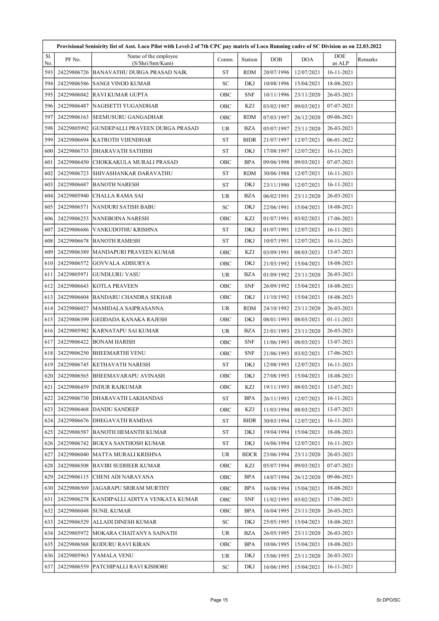|            | Provisional Senioirity list of Asst. Loco Pilot with Level-2 of 7th CPC pay matrix of Loco Running cadre of SC Division as on 22.03.2022 |                                          |            |             |            |            |               |         |  |  |
|------------|------------------------------------------------------------------------------------------------------------------------------------------|------------------------------------------|------------|-------------|------------|------------|---------------|---------|--|--|
| Sl.<br>No. | PF No.                                                                                                                                   | Name of the employee<br>(S/Shri/Smt/Kum) | Comm.      | Station     | DOB        | <b>DOA</b> | DOE<br>as ALP | Remarks |  |  |
| 593        | 24229806726                                                                                                                              | <b>BANAVATHU DURGA PRASAD NAIK</b>       | <b>ST</b>  | <b>RDM</b>  | 20/07/1996 | 12/07/2021 | 16-11-2021    |         |  |  |
| 594        | 24229806586                                                                                                                              | SANGI VINOD KUMAR                        | ${\rm SC}$ | <b>DKJ</b>  | 10/08/1996 | 15/04/2021 | 18-08-2021    |         |  |  |
| 595        | 24229806042                                                                                                                              | RAVI KUMAR GUPTA                         | OBC        | <b>SNF</b>  | 10/11/1996 | 23/11/2020 | 26-03-2021    |         |  |  |
| 596        | 24229806487                                                                                                                              | NAGISETTI YUGANDHAR                      | OBC        | KZJ         | 03/02/1997 | 09/03/2021 | 07-07-2021    |         |  |  |
| 597        | 24229806163                                                                                                                              | SEEMUSURU GANGADHAR                      | OBC        | <b>RDM</b>  | 07/03/1997 | 26/12/2020 | 09-06-2021    |         |  |  |
| 598        | 24229805992                                                                                                                              | GUNDEPALLI PRAVEEN DURGA PRASAD          | <b>UR</b>  | <b>BZA</b>  | 05/07/1997 | 23/11/2020 | 26-03-2021    |         |  |  |
| 599        | 24229806694                                                                                                                              | KATROTH VIJENDHAR                        | <b>ST</b>  | <b>BIDR</b> | 21/07/1997 | 12/07/2021 | 06-01-2022    |         |  |  |
| 600        | 24229806733                                                                                                                              | DHARAVATH SATHISH                        | <b>ST</b>  | <b>DKJ</b>  | 17/08/1997 | 12/07/2021 | 16-11-2021    |         |  |  |
| 601        | 24229806450                                                                                                                              | CHOKKAKULA MURALI PRASAD                 | OBC        | <b>BPA</b>  | 09/06/1998 | 09/03/2021 | 07-07-2021    |         |  |  |
| 602        | 24229806723                                                                                                                              | SHIVASHANKAR DARAVATHU                   | <b>ST</b>  | <b>RDM</b>  | 30/06/1988 | 12/07/2021 | 16-11-2021    |         |  |  |
| 603        | 24229806687                                                                                                                              | <b>BANOTH NARESH</b>                     | <b>ST</b>  | <b>DKJ</b>  | 23/11/1990 | 12/07/2021 | 16-11-2021    |         |  |  |
| 604        | 24229805940                                                                                                                              | CHALLA RAMA SAI                          | <b>UR</b>  | <b>BZA</b>  | 06/02/1991 | 23/11/2020 | 26-03-2021    |         |  |  |
| 605        | 24229806571                                                                                                                              | NANDURI SATISH BABU                      | ${\rm SC}$ | <b>DKJ</b>  | 22/06/1991 | 15/04/2021 | 18-08-2021    |         |  |  |
| 606        | 24229806253                                                                                                                              | NANEBOINA NARESH                         | OBC        | <b>KZJ</b>  | 01/07/1991 | 03/02/2021 | 17-06-2021    |         |  |  |
| 607        | 24229806686                                                                                                                              | VANKUDOTHU KRISHNA                       | <b>ST</b>  | <b>DKJ</b>  | 01/07/1991 | 12/07/2021 | 16-11-2021    |         |  |  |
| 608        | 24229806678                                                                                                                              | BANOTH RAMESH                            | <b>ST</b>  | DKJ         | 10/07/1991 | 12/07/2021 | 16-11-2021    |         |  |  |
| 609        | 24229806389                                                                                                                              | MANDAPURI PRAVEEN KUMAR                  | OBC        | KZJ         | 03/09/1991 | 08/03/2021 | 13-07-2021    |         |  |  |
| 610        | 24229806572                                                                                                                              | GOVVALA ADISURYA                         | OBC        | DKJ         | 21/03/1992 | 15/04/2021 | 18-08-2021    |         |  |  |
| 611        | 24229805971                                                                                                                              | GUNDLURU VASU                            | <b>UR</b>  | <b>BZA</b>  | 01/09/1992 | 23/11/2020 | 26-03-2021    |         |  |  |
| 612        | 24229806643                                                                                                                              | <b>KOTLA PRAVEEN</b>                     | OBC        | <b>SNF</b>  | 26/09/1992 | 15/04/2021 | 18-08-2021    |         |  |  |
| 613        | 24229806604                                                                                                                              | BANDARU CHANDRA SEKHAR                   | OBC        | <b>DKJ</b>  | 11/10/1992 | 15/04/2021 | 18-08-2021    |         |  |  |
| 614        | 24229806027                                                                                                                              | MAMIDALA SAIPRASANNA                     | UR         | <b>RDM</b>  | 24/10/1992 | 23/11/2020 | 26-03-2021    |         |  |  |
| 615        | 24229806399                                                                                                                              | GEDDADA KANAKA RAJESH                    | OBC        | <b>DKJ</b>  | 08/01/1993 | 08/03/2021 | 01-11-2021    |         |  |  |
| 616        | 24229805982                                                                                                                              | KARNATAPU SAI KUMAR                      | <b>UR</b>  | <b>BZA</b>  | 21/01/1993 | 23/11/2020 | 26-03-2021    |         |  |  |
| 617        | 24229806422                                                                                                                              | <b>BONAM HARISH</b>                      | OBC        | <b>SNF</b>  | 11/06/1993 | 08/03/2021 | 13-07-2021    |         |  |  |
| 618        | 24229806250                                                                                                                              | <b>BHEEMARTHI VENU</b>                   | OBC        | <b>SNF</b>  | 21/06/1993 | 03/02/2021 | 17-06-2021    |         |  |  |
| 619        | 24229806745                                                                                                                              | KETHAVATH NARESH                         | <b>ST</b>  | DKJ         | 12/08/1993 | 12/07/2021 | 16-11-2021    |         |  |  |
| 620        | 24229806565                                                                                                                              | <b>BHEEMAVARAPU AVINASH</b>              | OBC        | DKJ         | 27/08/1993 | 15/04/2021 | 18-08-2021    |         |  |  |
| 621        | 24229806459                                                                                                                              | <b>INDUR RAJKUMAR</b>                    | OBC        | KZJ         | 19/11/1993 | 08/03/2021 | 13-07-2021    |         |  |  |
| 622        | 24229806730                                                                                                                              | DHARAVATH LAKHANDAS                      | ST         | <b>BPA</b>  | 26/11/1993 | 12/07/2021 | 16-11-2021    |         |  |  |
| 623        | 24229806468                                                                                                                              | DANDU SANDEEP                            | OBC        | KZJ         | 11/03/1994 | 08/03/2021 | 13-07-2021    |         |  |  |
| 624        | 24229806676                                                                                                                              | <b>DHEGAVATH RAMDAS</b>                  | <b>ST</b>  | <b>BIDR</b> | 30/03/1994 | 12/07/2021 | 16-11-2021    |         |  |  |
| 625        | 24229806587                                                                                                                              | BANOTH HEMANTH KUMAR                     | <b>ST</b>  | DKJ         | 19/04/1994 | 15/04/2021 | 18-08-2021    |         |  |  |
| 626        | 24229806742                                                                                                                              | BUKYA SANTHOSH KUMAR                     | <b>ST</b>  | DKJ         | 16/06/1994 | 12/07/2021 | 16-11-2021    |         |  |  |
| 627        | 24229806040                                                                                                                              | MATTA MURALI KRISHNA                     | UR.        | <b>BDCR</b> | 23/06/1994 | 23/11/2020 | 26-03-2021    |         |  |  |
| 628        | 24229806508                                                                                                                              | <b>BAVIRI SUDHEER KUMAR</b>              | OBC        | KZJ         | 05/07/1994 | 09/03/2021 | 07-07-2021    |         |  |  |
| 629        | 24229806115                                                                                                                              | CHENI ADI NARAYANA                       | OBC        | <b>BPA</b>  | 14/07/1994 | 26/12/2020 | 09-06-2021    |         |  |  |
| 630        | 24229806569                                                                                                                              | JAGARAPU SRIRAM MURTHY                   | <b>OBC</b> | <b>BPA</b>  | 16/08/1994 | 15/04/2021 | 18-08-2021    |         |  |  |
| 631        | 24229806278                                                                                                                              | KANDIPALLI ADITYA VENKATA KUMAR          | OBC        | <b>SNF</b>  | 11/02/1995 | 03/02/2021 | 17-06-2021    |         |  |  |
| 632        | 24229806048                                                                                                                              | SUNIL KUMAR                              | OBC        | <b>BPA</b>  | 16/04/1995 | 23/11/2020 | 26-03-2021    |         |  |  |
| 633        | 24229806529                                                                                                                              | <b>ALLADI DINESH KUMAR</b>               | SC         | DKJ         | 25/05/1995 | 15/04/2021 | 18-08-2021    |         |  |  |
| 634        | 24229805972                                                                                                                              | MOKARA CHAITANYA SAINATH                 | <b>UR</b>  | BZA         | 26/05/1995 | 23/11/2020 | 26-03-2021    |         |  |  |
| 635        | 24229806568                                                                                                                              | KODURU RAVI KIRAN                        | OBC        | <b>BPA</b>  | 10/06/1995 | 15/04/2021 | 18-08-2021    |         |  |  |
| 636        | 24229805963                                                                                                                              | YAMALA VENU                              | UR         | DKJ         | 15/06/1995 | 23/11/2020 | 26-03-2021    |         |  |  |
| 637        | 24229806559                                                                                                                              | PATCHIPALLI RAVI KISHORE                 | SC         | DKJ         | 16/06/1995 | 15/04/2021 | 16-11-2021    |         |  |  |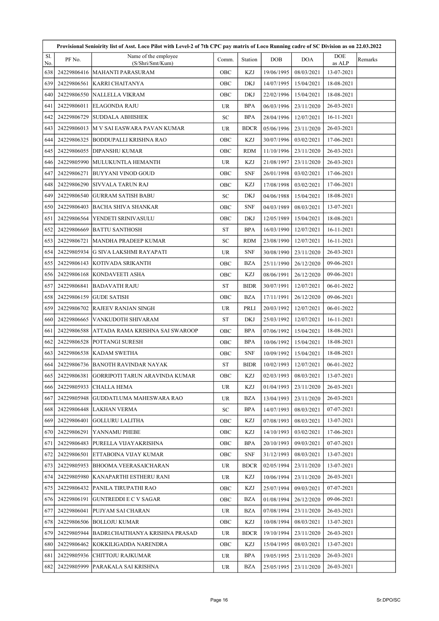|            | Provisional Senioirity list of Asst. Loco Pilot with Level-2 of 7th CPC pay matrix of Loco Running cadre of SC Division as on 22.03.2022 |                                          |           |             |            |            |                      |         |  |  |
|------------|------------------------------------------------------------------------------------------------------------------------------------------|------------------------------------------|-----------|-------------|------------|------------|----------------------|---------|--|--|
| Sl.<br>No. | PF No.                                                                                                                                   | Name of the employee<br>(S/Shri/Smt/Kum) | Comm.     | Station     | <b>DOB</b> | <b>DOA</b> | <b>DOE</b><br>as ALP | Remarks |  |  |
| 6381       | 24229806416                                                                                                                              | MAHANTI PARASURAM                        | OBC       | KZJ         | 19/06/1995 | 08/03/2021 | 13-07-2021           |         |  |  |
| 639        | 24229806561                                                                                                                              | <b>KARRI CHAITANYA</b>                   | OBC       | DKJ         | 14/07/1995 | 15/04/2021 | 18-08-2021           |         |  |  |
| 640        | 24229806550                                                                                                                              | <b>NALLELLA VIKRAM</b>                   | OBC       | <b>DKJ</b>  | 22/02/1996 | 15/04/2021 | 18-08-2021           |         |  |  |
| 641        | 24229806011                                                                                                                              | <b>ELAGONDA RAJU</b>                     | <b>UR</b> | <b>BPA</b>  | 06/03/1996 | 23/11/2020 | 26-03-2021           |         |  |  |
| 642        | 24229806729                                                                                                                              | <b>SUDDALA ABHISHEK</b>                  | SC        | <b>BPA</b>  | 28/04/1996 | 12/07/2021 | 16-11-2021           |         |  |  |
| 643        | 24229806013                                                                                                                              | M V SAI EASWARA PAVAN KUMAR              | UR        | <b>BDCR</b> | 05/06/1996 | 23/11/2020 | 26-03-2021           |         |  |  |
| 644        | 24229806325                                                                                                                              | BODDUPALLI KRISHNA RAO                   | OBC       | KZJ         | 30/07/1996 | 03/02/2021 | 17-06-2021           |         |  |  |
| 645        | 24229806055                                                                                                                              | <b>DIPANSHU KUMAR</b>                    | OBC       | <b>RDM</b>  | 11/10/1996 | 23/11/2020 | 26-03-2021           |         |  |  |
| 646        | 24229805990                                                                                                                              | MULUKUNTLA HEMANTH                       | <b>UR</b> | KZJ         | 21/08/1997 | 23/11/2020 | 26-03-2021           |         |  |  |
| 647        | 24229806271                                                                                                                              | BUYYANI VINOD GOUD                       | OBC       | <b>SNF</b>  | 26/01/1998 | 03/02/2021 | 17-06-2021           |         |  |  |
| 648        | 24229806290                                                                                                                              | <b>SIVVALA TARUN RAJ</b>                 | OBC       | KZJ         | 17/08/1998 | 03/02/2021 | 17-06-2021           |         |  |  |
| 649        | 24229806540                                                                                                                              | <b>GURRAM SATISH BABU</b>                | SC        | DKJ         | 04/06/1988 | 15/04/2021 | 18-08-2021           |         |  |  |
| 650        | 24229806403                                                                                                                              | <b>BACHA SHIVA SHANKAR</b>               | OBC       | <b>SNF</b>  | 04/03/1989 | 08/03/2021 | 13-07-2021           |         |  |  |
| 651        | 24229806564                                                                                                                              | YENDETI SRINIVASULU                      | OBC       | <b>DKJ</b>  | 12/05/1989 | 15/04/2021 | 18-08-2021           |         |  |  |
| 652        | 24229806669                                                                                                                              | <b>BATTU SANTHOSH</b>                    | <b>ST</b> | <b>BPA</b>  | 16/03/1990 | 12/07/2021 | 16-11-2021           |         |  |  |
| 653        | 24229806721                                                                                                                              | MANDHA PRADEEP KUMAR                     | SC        | RDM         | 23/08/1990 | 12/07/2021 | 16-11-2021           |         |  |  |
| 654        | 24229805934                                                                                                                              | G SIVA LAKSHMI RAYAPATI                  | UR        | <b>SNF</b>  | 30/08/1990 | 23/11/2020 | 26-03-2021           |         |  |  |
| 655        | 24229806143                                                                                                                              | KOTIVADA SRIKANTH                        | OBC       | <b>BZA</b>  | 25/11/1990 | 26/12/2020 | 09-06-2021           |         |  |  |
| 656        | 24229806168                                                                                                                              | <b>KONDAVEETI ASHA</b>                   | OBC       | KZJ         | 08/06/1991 | 26/12/2020 | 09-06-2021           |         |  |  |
| 657        | 24229806841                                                                                                                              | BADAVATH RAJU                            | <b>ST</b> | <b>BIDR</b> | 30/07/1991 | 12/07/2021 | 06-01-2022           |         |  |  |
| 658        | 24229806159                                                                                                                              | <b>GUDE SATISH</b>                       | OBC       | <b>BZA</b>  | 17/11/1991 | 26/12/2020 | 09-06-2021           |         |  |  |
| 659        | 24229806702                                                                                                                              | RAJEEV RANJAN SINGH                      | UR        | PRLI        | 20/03/1992 | 12/07/2021 | 06-01-2022           |         |  |  |
| 660        | 24229806665                                                                                                                              | VANKUDOTH SHIVARAM                       | <b>ST</b> | DKJ         | 25/03/1992 | 12/07/2021 | 16-11-2021           |         |  |  |
| 661        | 24229806588                                                                                                                              | ATTADA RAMA KRISHNA SAI SWAROOP          | OBC       | <b>BPA</b>  | 07/06/1992 | 15/04/2021 | 18-08-2021           |         |  |  |
| 662        | 24229806528                                                                                                                              | POTTANGI SURESH                          | OBC       | <b>BPA</b>  | 10/06/1992 | 15/04/2021 | 18-08-2021           |         |  |  |
| 663        | 24229806538                                                                                                                              | <b>KADAM SWETHA</b>                      | OBC       | <b>SNF</b>  | 10/09/1992 | 15/04/2021 | 18-08-2021           |         |  |  |
| 664        | 24229806736                                                                                                                              | <b>BANOTH RAVINDAR NAYAK</b>             | <b>ST</b> | <b>BIDR</b> | 10/02/1993 | 12/07/2021 | 06-01-2022           |         |  |  |
| 665        | 24229806381                                                                                                                              | GORRIPOTI TARUN ARAVINDA KUMAR           | OBC       | <b>KZJ</b>  | 02/03/1993 | 08/03/2021 | 13-07-2021           |         |  |  |
| 666        | 24229805933                                                                                                                              | CHALLA HEMA                              | UR        | KZJ         | 01/04/1993 | 23/11/2020 | 26-03-2021           |         |  |  |
| 667        | 24229805948                                                                                                                              | GUDDATI.UMA MAHESWARA RAO                | UR        | <b>BZA</b>  | 13/04/1993 | 23/11/2020 | 26-03-2021           |         |  |  |
| 668        | 24229806448                                                                                                                              | LAKHAN VERMA                             | SC        | <b>BPA</b>  | 14/07/1993 | 08/03/2021 | 07-07-2021           |         |  |  |
| 669        | 24229806401                                                                                                                              | GOLLURU LALITHA                          | OBC       | KZJ         | 07/08/1993 | 08/03/2021 | 13-07-2021           |         |  |  |
| 670        | 24229806291                                                                                                                              | YANNAMU PHEBE                            | OBC       | KZJ         | 14/10/1993 | 03/02/2021 | 17-06-2021           |         |  |  |
| 671        | 24229806483                                                                                                                              | PURELLA VIJAYAKRISHNA                    | OBC       | <b>BPA</b>  | 20/10/1993 | 09/03/2021 | 07-07-2021           |         |  |  |
| 672        | 24229806501                                                                                                                              | ETTABOINA VIJAY KUMAR                    | OBC       | SNF         | 31/12/1993 | 08/03/2021 | 13-07-2021           |         |  |  |
| 673        | 24229805953                                                                                                                              | <b>BHOOMA.VEERASAICHARAN</b>             | <b>UR</b> | <b>BDCR</b> | 02/05/1994 | 23/11/2020 | 13-07-2021           |         |  |  |
| 674        | 24229805980                                                                                                                              | KANAPARTHI ESTHERU RANI                  | <b>UR</b> | KZJ         | 10/06/1994 | 23/11/2020 | 26-03-2021           |         |  |  |
| 675        | 24229806432                                                                                                                              | PANILA TIRUPATHI RAO                     | OBC       | KZJ         | 25/07/1994 | 09/03/2021 | 07-07-2021           |         |  |  |
| 676        | 24229806191                                                                                                                              | <b>GUNTREDDI E C V SAGAR</b>             | OBC       | BZA         | 01/08/1994 | 26/12/2020 | 09-06-2021           |         |  |  |
| 677        | 24229806041                                                                                                                              | PUJYAM SAI CHARAN                        | <b>UR</b> | BZA         | 07/08/1994 | 23/11/2020 | 26-03-2021           |         |  |  |
| 678        | 24229806506                                                                                                                              | <b>BOLLOJU KUMAR</b>                     | OBC       | KZJ         | 10/08/1994 | 08/03/2021 | 13-07-2021           |         |  |  |
| 679        | 24229805944                                                                                                                              | BADRI.CHAITHANYA KRISHNA PRASAD          | <b>UR</b> | <b>BDCR</b> | 19/10/1994 | 23/11/2020 | 26-03-2021           |         |  |  |
| 680        | 24229806462                                                                                                                              | KOKKILIGADDA NARENDRA                    | OBC       | KZJ         | 15/04/1995 | 08/03/2021 | 13-07-2021           |         |  |  |
| 681        | 24229805936                                                                                                                              | CHITTOJU RAJKUMAR                        | UR.       | <b>BPA</b>  | 19/05/1995 | 23/11/2020 | 26-03-2021           |         |  |  |
| 682        | 24229805999                                                                                                                              | PARAKALA SAI KRISHNA                     | UR        | BZA         | 25/05/1995 | 23/11/2020 | 26-03-2021           |         |  |  |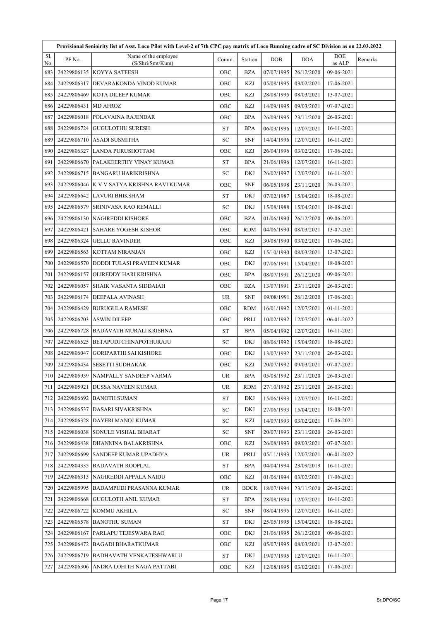|                  | Provisional Senioirity list of Asst. Loco Pilot with Level-2 of 7th CPC pay matrix of Loco Running cadre of SC Division as on 22.03.2022 |                                          |            |             |            |            |               |         |  |  |
|------------------|------------------------------------------------------------------------------------------------------------------------------------------|------------------------------------------|------------|-------------|------------|------------|---------------|---------|--|--|
| Sl.<br>No.       | PF No.                                                                                                                                   | Name of the employee<br>(S/Shri/Smt/Kum) | Comm.      | Station     | DOB        | <b>DOA</b> | DOE<br>as ALP | Remarks |  |  |
| 683              | 24229806135                                                                                                                              | KOYYA SATEESH                            | OBC        | <b>BZA</b>  | 07/07/1995 | 26/12/2020 | 09-06-2021    |         |  |  |
| 684              | 24229806317                                                                                                                              | DEVARAKONDA VINOD KUMAR                  | OBC        | <b>KZJ</b>  | 05/08/1995 | 03/02/2021 | 17-06-2021    |         |  |  |
| 685              | 24229806469                                                                                                                              | KOTA DILEEP KUMAR                        | OBC        | KZJ         | 28/08/1995 | 08/03/2021 | 13-07-2021    |         |  |  |
| 686              | 24229806431                                                                                                                              | <b>MD AFROZ</b>                          | OBC        | KZJ         | 14/09/1995 | 09/03/2021 | 07-07-2021    |         |  |  |
| 687              | 24229806018                                                                                                                              | <b>POLAVAINA RAJENDAR</b>                | OBC        | <b>BPA</b>  | 26/09/1995 | 23/11/2020 | 26-03-2021    |         |  |  |
| 688              | 24229806724                                                                                                                              | GUGULOTHU SURESH                         | <b>ST</b>  | <b>BPA</b>  | 06/03/1996 | 12/07/2021 | 16-11-2021    |         |  |  |
| 689              | 24229806710                                                                                                                              | <b>ASADI SUSMITHA</b>                    | ${\rm SC}$ | <b>SNF</b>  | 14/04/1996 | 12/07/2021 | 16-11-2021    |         |  |  |
| 690              | 24229806327                                                                                                                              | LANDA PURUSHOTTAM                        | OBC        | KZJ         | 26/04/1996 | 03/02/2021 | 17-06-2021    |         |  |  |
| 691              | 24229806670                                                                                                                              | PALAKEERTHY VINAY KUMAR                  | <b>ST</b>  | <b>BPA</b>  | 21/06/1996 | 12/07/2021 | 16-11-2021    |         |  |  |
| 692              | 24229806715                                                                                                                              | BANGARU HARIKRISHNA                      | SC         | DKJ         | 26/02/1997 | 12/07/2021 | 16-11-2021    |         |  |  |
| 693              | 24229806046                                                                                                                              | K V V SATYA KRISHNA RAVI KUMAR           | OBC        | <b>SNF</b>  | 06/05/1998 | 23/11/2020 | 26-03-2021    |         |  |  |
| 694              | 24229806642                                                                                                                              | LAVURI BHIKSHAM                          | <b>ST</b>  | <b>DKJ</b>  | 07/02/1987 | 15/04/2021 | 18-08-2021    |         |  |  |
| 695              | 24229806579                                                                                                                              | SRINIVASA RAO REMALLI                    | ${\rm SC}$ | <b>DKJ</b>  | 15/08/1988 | 15/04/2021 | 18-08-2021    |         |  |  |
| 696              | 24229806130                                                                                                                              | NAGIREDDI KISHORE                        | OBC        | <b>BZA</b>  | 01/06/1990 | 26/12/2020 | 09-06-2021    |         |  |  |
| 697              | 24229806421                                                                                                                              | SAHARE YOGESH KISHOR                     | <b>OBC</b> | <b>RDM</b>  | 04/06/1990 | 08/03/2021 | 13-07-2021    |         |  |  |
| 698              | 24229806324                                                                                                                              | <b>GELLU RAVINDER</b>                    | OBC        | KZJ         | 30/08/1990 | 03/02/2021 | 17-06-2021    |         |  |  |
| 699              | 24229806563                                                                                                                              | <b>KOTTAM NIRANJAN</b>                   | OBC        | KZJ         | 15/10/1990 | 08/03/2021 | 13-07-2021    |         |  |  |
| 700              | 24229806570                                                                                                                              | DODDI TULASI PRAVEEN KUMAR               | OBC        | DKJ         | 07/06/1991 | 15/04/2021 | 18-08-2021    |         |  |  |
| 701              | 24229806157                                                                                                                              | OLIREDDY HARI KRISHNA                    | OBC        | <b>BPA</b>  | 08/07/1991 | 26/12/2020 | 09-06-2021    |         |  |  |
| 702              | 24229806057                                                                                                                              | SHAIK VASANTA SIDDAIAH                   | OBC        | <b>BZA</b>  | 13/07/1991 | 23/11/2020 | 26-03-2021    |         |  |  |
| 703              | 24229806174                                                                                                                              | <b>DEEPALA AVINASH</b>                   | <b>UR</b>  | <b>SNF</b>  | 09/08/1991 | 26/12/2020 | 17-06-2021    |         |  |  |
| 704              | 24229806429                                                                                                                              | <b>BURUGULA RAMESH</b>                   | OBC        | <b>RDM</b>  | 16/01/1992 | 12/07/2021 | 01-11-2021    |         |  |  |
| 705              | 24229806703                                                                                                                              | <b>ASWIN DILEEP</b>                      | OBC        | PRLI        | 10/02/1992 | 12/07/2021 | 06-01-2022    |         |  |  |
| 706              | 24229806728                                                                                                                              | <b>BADAVATH MURALI KRISHNA</b>           | <b>ST</b>  | <b>BPA</b>  | 05/04/1992 | 12/07/2021 | 16-11-2021    |         |  |  |
| 707              | 24229806525                                                                                                                              | <b>BETAPUDI CHINAPOTHURAJU</b>           | SC         | <b>DKJ</b>  | 08/06/1992 | 15/04/2021 | 18-08-2021    |         |  |  |
| 708              | 24229806047                                                                                                                              | <b>GORIPARTHI SAI KISHORE</b>            | OBC        | <b>DKJ</b>  | 13/07/1992 | 23/11/2020 | 26-03-2021    |         |  |  |
| 709              | 24229806434                                                                                                                              | SESETTI SUDHAKAR                         | OBC        | <b>KZJ</b>  | 20/07/1992 | 09/03/2021 | 07-07-2021    |         |  |  |
| 710 <sup> </sup> | 24229805939                                                                                                                              | NAMPALLY SANDEEP VARMA                   | <b>UR</b>  | <b>BPA</b>  | 05/08/1992 | 23/11/2020 | 26-03-2021    |         |  |  |
| 711              | 24229805921                                                                                                                              | DUSSA NAVEEN KUMAR                       | <b>UR</b>  | RDM         | 27/10/1992 | 23/11/2020 | 26-03-2021    |         |  |  |
| 712 <sup> </sup> | 24229806692                                                                                                                              | <b>BANOTH SUMAN</b>                      | <b>ST</b>  | DKJ         | 15/06/1993 | 12/07/2021 | 16-11-2021    |         |  |  |
| 713              | 24229806537                                                                                                                              | DASARI SIVAKRISHNA                       | SC         | DKJ         | 27/06/1993 | 15/04/2021 | 18-08-2021    |         |  |  |
| 714              | 24229806328                                                                                                                              | DAYERI MANOJ KUMAR                       | SC         | KZJ         | 14/07/1993 | 03/02/2021 | 17-06-2021    |         |  |  |
| 715              | 24229806038                                                                                                                              | SONULE VISHAL BHARAT                     | SC         | <b>SNF</b>  | 20/07/1993 | 23/11/2020 | 26-03-2021    |         |  |  |
| 716              | 24229806438                                                                                                                              | DHANNINA BALAKRISHNA                     | OBC        | KZJ         | 26/08/1993 | 09/03/2021 | 07-07-2021    |         |  |  |
| 717              | 24229806699                                                                                                                              | SANDEEP KUMAR UPADHYA                    | <b>UR</b>  | PRLI        | 05/11/1993 | 12/07/2021 | 06-01-2022    |         |  |  |
| 718              | 24229804335                                                                                                                              | <b>BADAVATH ROOPLAL</b>                  | <b>ST</b>  | <b>BPA</b>  | 04/04/1994 | 23/09/2019 | 16-11-2021    |         |  |  |
| 719              | 24229806313                                                                                                                              | NAGIREDDI APPALA NAIDU                   | OBC        | KZJ         | 01/06/1994 | 03/02/2021 | 17-06-2021    |         |  |  |
| 720              | 24229805995                                                                                                                              | <b>BADAMPUDI PRASANNA KUMAR</b>          | <b>UR</b>  | <b>BDCR</b> | 18/07/1994 | 23/11/2020 | 26-03-2021    |         |  |  |
| 721              | 24229806668                                                                                                                              | <b>GUGULOTH ANIL KUMAR</b>               | <b>ST</b>  | <b>BPA</b>  | 28/08/1994 | 12/07/2021 | 16-11-2021    |         |  |  |
| 722              | 24229806722                                                                                                                              | KOMMU AKHILA                             | SC         | <b>SNF</b>  | 08/04/1995 | 12/07/2021 | 16-11-2021    |         |  |  |
| 723              | 24229806578                                                                                                                              | <b>BANOTHU SUMAN</b>                     | <b>ST</b>  | DKJ         | 25/05/1995 | 15/04/2021 | 18-08-2021    |         |  |  |
| 724              | 24229806167                                                                                                                              | PARLAPU TEJESWARA RAO                    | OBC        | DKJ         | 21/06/1995 | 26/12/2020 | 09-06-2021    |         |  |  |
| 725              | 24229806472                                                                                                                              | <b>BAGADI BHARATKUMAR</b>                | <b>OBC</b> | KZJ         | 05/07/1995 | 08/03/2021 | 13-07-2021    |         |  |  |
| 726              | 24229806719                                                                                                                              | <b>BADHAVATH VENKATESHWARLU</b>          | <b>ST</b>  | DKJ         | 19/07/1995 | 12/07/2021 | 16-11-2021    |         |  |  |
| 727              | 24229806306                                                                                                                              | ANDRA LOHITH NAGA PATTABI                | OBC        | KZJ         | 12/08/1995 | 03/02/2021 | 17-06-2021    |         |  |  |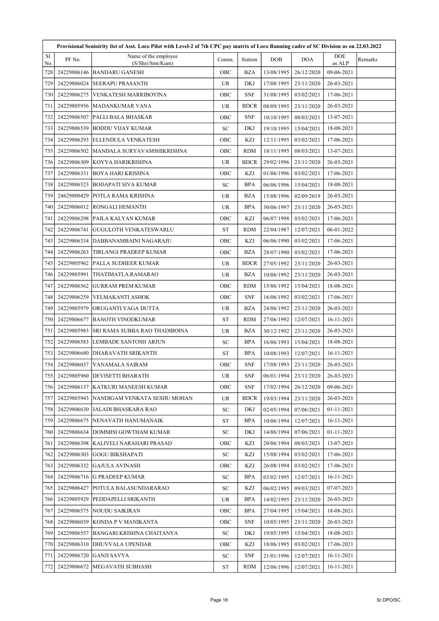|            | Provisional Senioirity list of Asst. Loco Pilot with Level-2 of 7th CPC pay matrix of Loco Running cadre of SC Division as on 22.03.2022 |                                          |           |             |            |            |               |         |  |  |
|------------|------------------------------------------------------------------------------------------------------------------------------------------|------------------------------------------|-----------|-------------|------------|------------|---------------|---------|--|--|
| Sl.<br>No. | PF No.                                                                                                                                   | Name of the employee<br>(S/Shri/Smt/Kum) | Comm.     | Station     | <b>DOB</b> | <b>DOA</b> | DOE<br>as ALP | Remarks |  |  |
| 728        | 24229806146                                                                                                                              | <b>BANDARU GANESH</b>                    | OBC       | BZA         | 13/08/1995 | 26/12/2020 | 09-06-2021    |         |  |  |
| 729        | 24229806024                                                                                                                              | <b>SEERAPU PRASANTH</b>                  | <b>UR</b> | <b>DKJ</b>  | 17/08/1995 | 23/11/2020 | 26-03-2021    |         |  |  |
| 730        | 24229806275                                                                                                                              | VENKATESH MARRIBOYINA                    | OBC       | <b>SNF</b>  | 31/08/1995 | 03/02/2021 | 17-06-2021    |         |  |  |
| 731        | 24229805956                                                                                                                              | MADANKUMAR VANA                          | <b>UR</b> | <b>BDCR</b> | 08/09/1995 | 23/11/2020 | 26-03-2021    |         |  |  |
| 732        | 24229806507                                                                                                                              | PALLI BALA BHASKAR                       | OBC       | <b>SNF</b>  | 10/10/1995 | 08/03/2021 | 13-07-2021    |         |  |  |
| 733        | 24229806539                                                                                                                              | <b>BODDU VIJAY KUMAR</b>                 | SC        | DKJ         | 19/10/1995 | 15/04/2021 | 18-08-2021    |         |  |  |
| 734        | 24229806293                                                                                                                              | ELLENDULA VENKATESH                      | OBC       | KZJ         | 12/11/1995 | 03/02/2021 | 17-06-2021    |         |  |  |
| 735        | 24229806502                                                                                                                              | MANDALA SURYAVAMSHIKRISHNA               | OBC       | <b>RDM</b>  | 18/11/1995 | 08/03/2021 | 13-07-2021    |         |  |  |
| 736        | 24229806309                                                                                                                              | KOYYA HARIKRISHNA                        | <b>UR</b> | <b>BDCR</b> | 29/02/1996 | 23/11/2020 | 26-03-2021    |         |  |  |
| 737        | 24229806331                                                                                                                              | <b>BOYA HARI KRISHNA</b>                 | OBC       | KZJ         | 01/06/1996 | 03/02/2021 | 17-06-2021    |         |  |  |
| 738        | 24229806523                                                                                                                              | <b>BODAPATI SIVA KUMAR</b>               | SC        | <b>BPA</b>  | 06/06/1996 | 15/04/2021 | 18-08-2021    |         |  |  |
| 739        | 24629800429                                                                                                                              | POTLA RAMA KRISHNA                       | <b>UR</b> | <b>BZA</b>  | 15/08/1996 | 02/09/2019 | 26-03-2021    |         |  |  |
| 740        | 24229806012                                                                                                                              | <b>RONGALI HEMANTH</b>                   | <b>UR</b> | <b>BPA</b>  | 30/06/1997 | 23/11/2020 | 26-03-2021    |         |  |  |
| 741        | 24229806298                                                                                                                              | PAILA KALYAN KUMAR                       | OBC       | KZJ         | 06/07/1998 | 03/02/2021 | 17-06-2021    |         |  |  |
| 742        | 24229806741                                                                                                                              | GUGULOTH VENKATESWARLU                   | <b>ST</b> | <b>RDM</b>  | 22/04/1987 | 12/07/2021 | 06-01-2022    |         |  |  |
| 743        | 24229806334                                                                                                                              | DABBANAMBAINI NAGARAJU                   | OBC       | KZJ         | 06/06/1990 | 03/02/2021 | 17-06-2021    |         |  |  |
| 744        | 24229806263                                                                                                                              | TIRLANGI PRADEEP KUMAR                   | OBC       | <b>BZA</b>  | 28/07/1990 | 03/02/2021 | 17-06-2021    |         |  |  |
| 745        | 24229805962                                                                                                                              | PALLA SUDHEER KUMAR                      | UR.       | <b>BDCR</b> | 27/05/1992 | 23/11/2020 | 26-03-2021    |         |  |  |
| 746        | 24229805991                                                                                                                              | THATIMATLA.RAMARAO                       | <b>UR</b> | <b>BZA</b>  | 10/06/1992 | 23/11/2020 | 26-03-2021    |         |  |  |
| 747        | 24229806562                                                                                                                              | GURRAM PREM KUMAR                        | OBC       | RDM         | 15/06/1992 | 15/04/2021 | 18-08-2021    |         |  |  |
| 748        | 24229806259                                                                                                                              | VELMAKANTI ASHOK                         | OBC       | <b>SNF</b>  | 16/06/1992 | 03/02/2021 | 17-06-2021    |         |  |  |
| 749        | 24229805979                                                                                                                              | ORUGANTI YAGA DUTTA                      | <b>UR</b> | <b>BZA</b>  | 24/06/1992 | 23/11/2020 | 26-03-2021    |         |  |  |
| 750        | 24229806677                                                                                                                              | BANOTH VINODKUMAR                        | <b>ST</b> | <b>RDM</b>  | 27/06/1992 | 12/07/2021 | 16-11-2021    |         |  |  |
| 751        | 24229805983                                                                                                                              | SRI RAMA SUBBA RAO THADIBOINA            | UR.       | <b>BZA</b>  | 30/12/1992 | 23/11/2020 | 26-03-2021    |         |  |  |
| 752        | 24229806583                                                                                                                              | LEMBADE SANTOSH ARJUN                    | SC        | <b>BPA</b>  | 16/06/1993 | 15/04/2021 | 18-08-2021    |         |  |  |
| 753        | 24229806680                                                                                                                              | <b>DHARAVATH SRIKANTH</b>                | <b>ST</b> | <b>BPA</b>  | 10/08/1993 | 12/07/2021 | 16-11-2021    |         |  |  |
| 754        | 24229806037                                                                                                                              | VANAMALA SAIRAM                          | OBC       | <b>SNF</b>  | 17/08/1993 | 23/11/2020 | 26-03-2021    |         |  |  |
| 7551       | 24229805960                                                                                                                              | <b>DEVISETTI BHARATH</b>                 | <b>UR</b> | <b>SNF</b>  | 06/01/1994 | 23/11/2020 | 26-03-2021    |         |  |  |
| 756        | 24229806137                                                                                                                              | KATKURI MANEESH KUMAR                    | OBC       | <b>SNF</b>  | 17/02/1994 | 26/12/2020 | 09-06-2021    |         |  |  |
| 757 I      | 24229805943                                                                                                                              | NANDIGAM VENKATA SESHU MOHAN             | UR.       | <b>BDCR</b> | 19/03/1994 | 23/11/2020 | 26-03-2021    |         |  |  |
| 758        | 24229806630                                                                                                                              | JALADI BHASKARA RAO                      | SC        | DKJ         | 02/05/1994 | 07/06/2021 | 01-11-2021    |         |  |  |
| 759        | 24229806675                                                                                                                              | NENAVATH HANUMANAIK                      | <b>ST</b> | <b>BPA</b>  | 10/06/1994 | 12/07/2021 | 16-11-2021    |         |  |  |
| 760        | 24229806634                                                                                                                              | DOMMISI GOWTHAM KUMAR                    | SC        | DKJ         | 14/06/1994 | 07/06/2021 | 01-11-2021    |         |  |  |
| 761        | 24229806398                                                                                                                              | KALIVELI NARAHARI PRASAD                 | OBC       | KZJ         | 20/06/1994 | 08/03/2021 | 13-07-2021    |         |  |  |
| 762        | 24229806303                                                                                                                              | GOGU BIKSHAPATI                          | SC        | KZJ         | 15/08/1994 | 03/02/2021 | 17-06-2021    |         |  |  |
| 763        | 24229806332                                                                                                                              | GAJULA AVINASH                           | OBC       | KZJ         | 26/08/1994 | 03/02/2021 | 17-06-2021    |         |  |  |
| 764        | 24229806716                                                                                                                              | <b>G PRADEEP KUMAR</b>                   | SC        | <b>BPA</b>  | 03/02/1995 | 12/07/2021 | 16-11-2021    |         |  |  |
| 765        | 24229806427                                                                                                                              | POTULA BALASUNDARARAO                    | SC        | KZJ         | 06/02/1995 | 09/03/2021 | 07-07-2021    |         |  |  |
| 7661       | 24229805929                                                                                                                              | PEDDAPELLI SRIKANTH                      | <b>UR</b> | <b>BPA</b>  | 14/02/1995 | 23/11/2020 | 26-03-2021    |         |  |  |
| 767        | 24229806575                                                                                                                              | <b>NOUDU SAIKIRAN</b>                    | OBC       | <b>BPA</b>  | 27/04/1995 | 15/04/2021 | 18-08-2021    |         |  |  |
| 768        | 24229806039                                                                                                                              | KONDA P V MANIKANTA                      | OBC       | <b>SNF</b>  | 10/05/1995 | 23/11/2020 | 26-03-2021    |         |  |  |
| 769        | 24229806557                                                                                                                              | BANGARI KRISHNA CHAITANYA                | SC        | DKJ         | 19/05/1995 | 15/04/2021 | 18-08-2021    |         |  |  |
| 770        | 24229806310                                                                                                                              | DHUVVALA UPENDAR                         | OBC       | KZJ         | 18/06/1995 | 03/02/2021 | 17-06-2021    |         |  |  |
| 771        | 24229806720                                                                                                                              | GANJI SAVYA                              | SC        | <b>SNF</b>  | 21/01/1996 | 12/07/2021 | 16-11-2021    |         |  |  |
| 772 I      | 24229806672                                                                                                                              | MEGAVATH SUBHASH                         | ST        | RDM         | 12/06/1996 | 12/07/2021 | 16-11-2021    |         |  |  |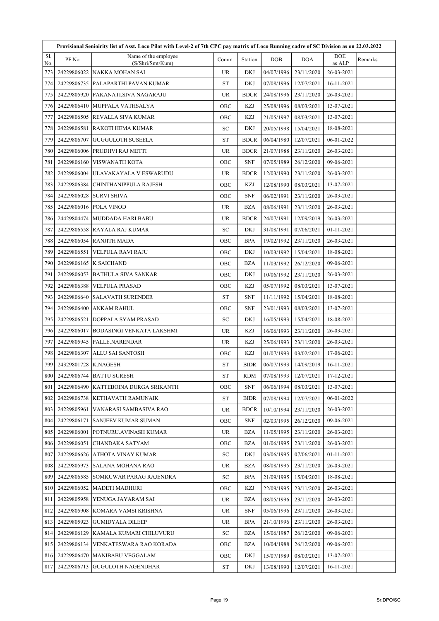|            | Provisional Senioirity list of Asst. Loco Pilot with Level-2 of 7th CPC pay matrix of Loco Running cadre of SC Division as on 22.03.2022 |                                          |            |             |            |            |               |         |  |  |
|------------|------------------------------------------------------------------------------------------------------------------------------------------|------------------------------------------|------------|-------------|------------|------------|---------------|---------|--|--|
| Sl.<br>No. | PF No.                                                                                                                                   | Name of the employee<br>(S/Shri/Smt/Kum) | Comm.      | Station     | DOB        | <b>DOA</b> | DOE<br>as ALP | Remarks |  |  |
| 773        | 24229806022                                                                                                                              | NAKKA MOHAN SAI                          | <b>UR</b>  | <b>DKJ</b>  | 04/07/1996 | 23/11/2020 | 26-03-2021    |         |  |  |
| 774        | 24229806735                                                                                                                              | PALAPARTHI PAVAN KUMAR                   | <b>ST</b>  | <b>DKJ</b>  | 07/08/1996 | 12/07/2021 | 16-11-2021    |         |  |  |
| 775        | 24229805920                                                                                                                              | PAKANATI.SIVA NAGARAJU                   | <b>UR</b>  | <b>BDCR</b> | 24/08/1996 | 23/11/2020 | 26-03-2021    |         |  |  |
| 776        | 24229806410                                                                                                                              | MUPPALA VATHSALYA                        | OBC        | KZJ         | 25/08/1996 | 08/03/2021 | 13-07-2021    |         |  |  |
| 777        | 24229806505                                                                                                                              | REVALLA SIVA KUMAR                       | OBC        | KZJ         | 21/05/1997 | 08/03/2021 | 13-07-2021    |         |  |  |
| 778        | 24229806581                                                                                                                              | RAKOTI HEMA KUMAR                        | SC         | <b>DKJ</b>  | 20/05/1998 | 15/04/2021 | 18-08-2021    |         |  |  |
| 779        | 24229806707                                                                                                                              | GUGGULOTH SUSEELA                        | <b>ST</b>  | <b>BDCR</b> | 06/04/1980 | 12/07/2021 | 06-01-2022    |         |  |  |
| 780        | 24229806006                                                                                                                              | <b>PRUDHVI RAJ METTI</b>                 | <b>UR</b>  | <b>BDCR</b> | 21/07/1988 | 23/11/2020 | 26-03-2021    |         |  |  |
| 781        | 24229806160                                                                                                                              | <b>VISWANATH KOTA</b>                    | OBC        | <b>SNF</b>  | 07/05/1989 | 26/12/2020 | 09-06-2021    |         |  |  |
| 782        | 24229806004                                                                                                                              | ULAVAKAYALA V ESWARUDU                   | <b>UR</b>  | <b>BDCR</b> | 12/03/1990 | 23/11/2020 | 26-03-2021    |         |  |  |
| 783        | 24229806384                                                                                                                              | CHINTHANIPPULA RAJESH                    | OBC        | KZJ         | 12/08/1990 | 08/03/2021 | 13-07-2021    |         |  |  |
| 784        | 24229806028                                                                                                                              | <b>SURVI SHIVA</b>                       | OBC        | <b>SNF</b>  | 06/02/1991 | 23/11/2020 | 26-03-2021    |         |  |  |
| 785        | 24229806016                                                                                                                              | <b>POLA VINOD</b>                        | <b>UR</b>  | <b>BZA</b>  | 08/06/1991 | 23/11/2020 | 26-03-2021    |         |  |  |
| 786        | 24429804474                                                                                                                              | MUDDADA HARI BABU                        | <b>UR</b>  | <b>BDCR</b> | 24/07/1991 | 12/09/2019 | 26-03-2021    |         |  |  |
| 787        | 24229806558                                                                                                                              | RAYALA RAJ KUMAR                         | ${\rm SC}$ | <b>DKJ</b>  | 31/08/1991 | 07/06/2021 | 01-11-2021    |         |  |  |
| 788        | 24229806054                                                                                                                              | RANJITH MADA                             | OBC        | <b>BPA</b>  | 19/02/1992 | 23/11/2020 | 26-03-2021    |         |  |  |
| 789        | 24229806551                                                                                                                              | VELPULA RAVI RAJU                        | OBC        | <b>DKJ</b>  | 10/03/1992 | 15/04/2021 | 18-08-2021    |         |  |  |
| 790        | 24229806165                                                                                                                              | <b>K SAICHAND</b>                        | OBC        | BZA         | 11/03/1992 | 26/12/2020 | 09-06-2021    |         |  |  |
| 791        | 24229806053                                                                                                                              | BATHULA SIVA SANKAR                      | OBC        | <b>DKJ</b>  | 10/06/1992 | 23/11/2020 | 26-03-2021    |         |  |  |
| 792        | 24229806388                                                                                                                              | <b>VELPULA PRASAD</b>                    | OBC        | KZJ         | 05/07/1992 | 08/03/2021 | 13-07-2021    |         |  |  |
| 793        | 24229806640                                                                                                                              | SALAVATH SURENDER                        | <b>ST</b>  | <b>SNF</b>  | 11/11/1992 | 15/04/2021 | 18-08-2021    |         |  |  |
| 794        | 24229806400                                                                                                                              | <b>ANKAM RAHUL</b>                       | OBC        | <b>SNF</b>  | 23/01/1993 | 08/03/2021 | 13-07-2021    |         |  |  |
| 795        | 24229806521                                                                                                                              | <b>DOPPALA SYAM PRASAD</b>               | SC         | <b>DKJ</b>  | 16/05/1993 | 15/04/2021 | 18-08-2021    |         |  |  |
| 796        | 24229806017                                                                                                                              | <b>BODASINGI VENKATA LAKSHMI</b>         | <b>UR</b>  | KZJ         | 16/06/1993 | 23/11/2020 | 26-03-2021    |         |  |  |
| 797        | 24229805945                                                                                                                              | PALLE.NARENDAR                           | <b>UR</b>  | <b>KZJ</b>  | 25/06/1993 | 23/11/2020 | 26-03-2021    |         |  |  |
| 798        | 24229806307                                                                                                                              | ALLU SAI SANTOSH                         | OBC        | <b>KZJ</b>  | 01/07/1993 | 03/02/2021 | 17-06-2021    |         |  |  |
| 799        | 24329801728                                                                                                                              | K.NAGESH                                 | <b>ST</b>  | <b>BIDR</b> | 06/07/1993 | 14/09/2019 | 16-11-2021    |         |  |  |
| 800        | 24229806744                                                                                                                              | <b>BATTU SURESH</b>                      | ST         | RDM         | 07/08/1993 | 12/07/2021 | 17-12-2021    |         |  |  |
| 801        | 24229806490                                                                                                                              | KATTEBOINA DURGA SRIKANTH                | OBC        | <b>SNF</b>  | 06/06/1994 | 08/03/2021 | 13-07-2021    |         |  |  |
| 802        | 24229806738                                                                                                                              | KETHAVATH RAMUNAIK                       | <b>ST</b>  | <b>BIDR</b> | 07/08/1994 | 12/07/2021 | 06-01-2022    |         |  |  |
| 803        | 24229805961                                                                                                                              | VANARASI SAMBASIVA RAO                   | <b>UR</b>  | <b>BDCR</b> | 10/10/1994 | 23/11/2020 | 26-03-2021    |         |  |  |
| 804        | 24229806171                                                                                                                              | SANJEEV KUMAR SUMAN                      | OBC        | <b>SNF</b>  | 02/03/1995 | 26/12/2020 | 09-06-2021    |         |  |  |
| 805        | 24229806001                                                                                                                              | POTNURU.AVINASH KUMAR                    | UR         | BZA         | 11/05/1995 | 23/11/2020 | 26-03-2021    |         |  |  |
| 806        | 24229806051                                                                                                                              | CHANDAKA SATYAM                          | OBC        | BZA         | 01/06/1995 | 23/11/2020 | 26-03-2021    |         |  |  |
| 807        | 24229806626                                                                                                                              | ATHOTA VINAY KUMAR                       | SC         | DKJ         | 03/06/1995 | 07/06/2021 | 01-11-2021    |         |  |  |
| 808        | 24229805973                                                                                                                              | SALANA MOHANA RAO                        | <b>UR</b>  | <b>BZA</b>  | 08/08/1995 | 23/11/2020 | 26-03-2021    |         |  |  |
| 809        | 24229806585                                                                                                                              | SOMKUWAR PARAG RAJENDRA                  | SC         | <b>BPA</b>  | 21/09/1995 | 15/04/2021 | 18-08-2021    |         |  |  |
| 810        | 24229806052                                                                                                                              | <b>MADETI MADHURI</b>                    | OBC        | KZJ         | 22/09/1995 | 23/11/2020 | 26-03-2021    |         |  |  |
| 811        | 24229805958                                                                                                                              | YENUGA JAYARAM SAI                       | UR.        | BZA         | 08/05/1996 | 23/11/2020 | 26-03-2021    |         |  |  |
| 812        | 24229805908                                                                                                                              | KOMARA VAMSI KRISHNA                     | UR.        | <b>SNF</b>  | 05/06/1996 | 23/11/2020 | 26-03-2021    |         |  |  |
| 813        | 24229805923                                                                                                                              | <b>GUMIDYALA DILEEP</b>                  | <b>UR</b>  | <b>BPA</b>  | 21/10/1996 | 23/11/2020 | 26-03-2021    |         |  |  |
| 814        | 24229806129                                                                                                                              | KAMALA KUMARI CHILUVURU                  | SC         | BZA         | 15/06/1987 | 26/12/2020 | 09-06-2021    |         |  |  |
| 815        | 24229806134                                                                                                                              | VENKATESWARA RAO KORADA                  | OBC        | BZA         | 10/04/1988 | 26/12/2020 | 09-06-2021    |         |  |  |
| 816        | 24229806470                                                                                                                              | MANIBABU VEGGALAM                        | OBC        | DKJ         | 15/07/1989 | 08/03/2021 | 13-07-2021    |         |  |  |
| 817        | 24229806713                                                                                                                              | GUGULOTH NAGENDHAR                       | ST         | DKJ         | 13/08/1990 | 12/07/2021 | 16-11-2021    |         |  |  |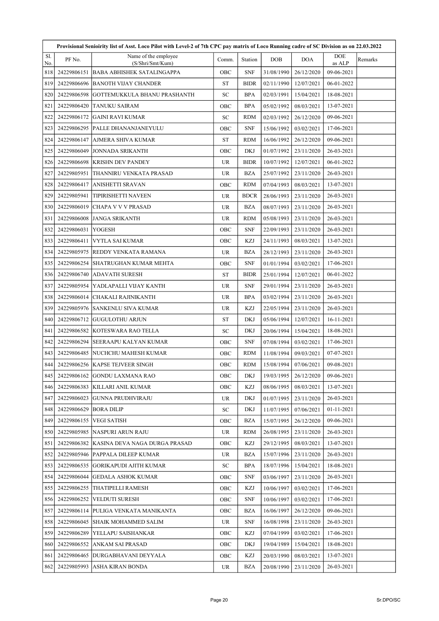|            | Provisional Senioirity list of Asst. Loco Pilot with Level-2 of 7th CPC pay matrix of Loco Running cadre of SC Division as on 22.03.2022 |                                          |           |             |            |            |               |         |  |  |
|------------|------------------------------------------------------------------------------------------------------------------------------------------|------------------------------------------|-----------|-------------|------------|------------|---------------|---------|--|--|
| Sl.<br>No. | PF No.                                                                                                                                   | Name of the employee<br>(S/Shri/Smt/Kum) | Comm.     | Station     | DOB        | <b>DOA</b> | DOE<br>as ALP | Remarks |  |  |
| 818        | 24229806151                                                                                                                              | <b>BABA ABHISHEK SATALINGAPPA</b>        | OBC       | <b>SNF</b>  | 31/08/1990 | 26/12/2020 | 09-06-2021    |         |  |  |
| 819        | 24229806696                                                                                                                              | BANOTH VIJAY CHANDER                     | <b>ST</b> | <b>BIDR</b> | 02/11/1990 | 12/07/2021 | 06-01-2022    |         |  |  |
| 820        | 24229806598                                                                                                                              | GOTTEMUKKULA BHANU PRASHANTH             | SC        | <b>BPA</b>  | 02/03/1991 | 15/04/2021 | 18-08-2021    |         |  |  |
| 821        | 24229806420                                                                                                                              | <b>TANUKU SAIRAM</b>                     | OBC       | <b>BPA</b>  | 05/02/1992 | 08/03/2021 | 13-07-2021    |         |  |  |
| 822        | 24229806172                                                                                                                              | GAINI RAVI KUMAR                         | SC        | RDM         | 02/03/1992 | 26/12/2020 | 09-06-2021    |         |  |  |
| 823        | 24229806295                                                                                                                              | PALLE DHANANJANEYULU                     | OBC       | <b>SNF</b>  | 15/06/1992 | 03/02/2021 | 17-06-2021    |         |  |  |
| 824        | 24229806147                                                                                                                              | AJMERA SHIVA KUMAR                       | <b>ST</b> | <b>RDM</b>  | 16/06/1992 | 26/12/2020 | 09-06-2021    |         |  |  |
| 825        | 24229806049                                                                                                                              | JONNADA SRIKANTH                         | OBC       | <b>DKJ</b>  | 01/07/1992 | 23/11/2020 | 26-03-2021    |         |  |  |
| 826        | 24229806698                                                                                                                              | KRISHN DEV PANDEY                        | <b>UR</b> | <b>BIDR</b> | 10/07/1992 | 12/07/2021 | 06-01-2022    |         |  |  |
| 827        | 24229805951                                                                                                                              | THANNIRU VENKATA PRASAD                  | <b>UR</b> | <b>BZA</b>  | 25/07/1992 | 23/11/2020 | 26-03-2021    |         |  |  |
| 828        | 24229806417                                                                                                                              | <b>ANISHETTI SRAVAN</b>                  | OBC       | <b>RDM</b>  | 07/04/1993 | 08/03/2021 | 13-07-2021    |         |  |  |
| 829        | 24229805941                                                                                                                              | TIPIRISHETTI NAVEEN                      | <b>UR</b> | <b>BDCR</b> | 28/06/1993 | 23/11/2020 | 26-03-2021    |         |  |  |
| 830        | 24229806019                                                                                                                              | CHAPA V V V PRASAD                       | <b>UR</b> | <b>BZA</b>  | 08/07/1993 | 23/11/2020 | 26-03-2021    |         |  |  |
| 831        | 24229806008                                                                                                                              | JANGA SRIKANTH                           | <b>UR</b> | RDM         | 05/08/1993 | 23/11/2020 | 26-03-2021    |         |  |  |
| 832        | 24229806031                                                                                                                              | YOGESH                                   | OBC       | <b>SNF</b>  | 22/09/1993 | 23/11/2020 | 26-03-2021    |         |  |  |
| 833        | 24229806411                                                                                                                              | <b>VYTLA SAI KUMAR</b>                   | OBC       | KZJ         | 24/11/1993 | 08/03/2021 | 13-07-2021    |         |  |  |
| 834        | 24229805975                                                                                                                              | REDDY VENKATA RAMANA                     | UR        | <b>BZA</b>  | 28/12/1993 | 23/11/2020 | 26-03-2021    |         |  |  |
| 835        | 24229806254                                                                                                                              | SHATRUGHAN KUMAR MEHTA                   | OBC       | <b>SNF</b>  | 01/01/1994 | 03/02/2021 | 17-06-2021    |         |  |  |
| 836        | 24229806740                                                                                                                              | ADAVATH SURESH                           | <b>ST</b> | <b>BIDR</b> | 25/01/1994 | 12/07/2021 | 06-01-2022    |         |  |  |
| 837        | 24229805954                                                                                                                              | YADLAPALLI VIJAY KANTH                   | <b>UR</b> | <b>SNF</b>  | 29/01/1994 | 23/11/2020 | 26-03-2021    |         |  |  |
| 838        | 24229806014                                                                                                                              | CHAKALI RAJINIKANTH                      | <b>UR</b> | <b>BPA</b>  | 03/02/1994 | 23/11/2020 | 26-03-2021    |         |  |  |
| 839        | 24229805976                                                                                                                              | SANKENLU SIVA KUMAR                      | <b>UR</b> | KZJ         | 22/05/1994 | 23/11/2020 | 26-03-2021    |         |  |  |
| 840        | 24229806712                                                                                                                              | <b>GUGULOTHU ARJUN</b>                   | <b>ST</b> | <b>DKJ</b>  | 05/06/1994 | 12/07/2021 | 16-11-2021    |         |  |  |
| 841        | 24229806582                                                                                                                              | KOTESWARA RAO TELLA                      | SC        | <b>DKJ</b>  | 20/06/1994 | 15/04/2021 | 18-08-2021    |         |  |  |
| 842        | 24229806294                                                                                                                              | <b>SEERAAPU KALYAN KUMAR</b>             | OBC       | <b>SNF</b>  | 07/08/1994 | 03/02/2021 | 17-06-2021    |         |  |  |
| 843        | 24229806485                                                                                                                              | NUCHCHU MAHESH KUMAR                     | OBC       | <b>RDM</b>  | 11/08/1994 | 09/03/2021 | 07-07-2021    |         |  |  |
| 844        | 24229806256                                                                                                                              | <b>KAPSE TEJVEER SINGH</b>               | OBC       | RDM         | 15/08/1994 | 07/06/2021 | 09-08-2021    |         |  |  |
| 845        | 24229806162                                                                                                                              | GONDU LAXMANA RAO                        | OBC       | DKJ         | 19/03/1995 | 26/12/2020 | 09-06-2021    |         |  |  |
| 846        | 24229806383                                                                                                                              | KILLARI ANIL KUMAR                       | OBC       | KZJ         | 08/06/1995 | 08/03/2021 | 13-07-2021    |         |  |  |
| 847        | 24229806023                                                                                                                              | GUNNA PRUDHVIRAJU                        | <b>UR</b> | DKJ         | 01/07/1995 | 23/11/2020 | 26-03-2021    |         |  |  |
| 848        | 24229806629                                                                                                                              | <b>BORA DILIP</b>                        | SC        | DKJ         | 11/07/1995 | 07/06/2021 | 01-11-2021    |         |  |  |
| 849        | 24229806155                                                                                                                              | <b>VEGI SATISH</b>                       | OBC       | BZA         | 15/07/1995 | 26/12/2020 | 09-06-2021    |         |  |  |
| 850        | 24229805985                                                                                                                              | NASPURI ARUN RAJU                        | UR        | <b>RDM</b>  | 26/08/1995 | 23/11/2020 | 26-03-2021    |         |  |  |
| 851        | 24229806382                                                                                                                              | KASINA DEVA NAGA DURGA PRASAD            | OBC       | KZJ         | 29/12/1995 | 08/03/2021 | 13-07-2021    |         |  |  |
| 852        | 24229805946                                                                                                                              | PAPPALA DILEEP KUMAR                     | <b>UR</b> | BZA         | 15/07/1996 | 23/11/2020 | 26-03-2021    |         |  |  |
| 853        | 24229806535                                                                                                                              | GORIKAPUDI AJITH KUMAR                   | SC        | <b>BPA</b>  | 18/07/1996 | 15/04/2021 | 18-08-2021    |         |  |  |
| 854        | 24229806044                                                                                                                              | <b>GEDALA ASHOK KUMAR</b>                | OBC       | <b>SNF</b>  | 03/06/1997 | 23/11/2020 | 26-03-2021    |         |  |  |
| 855        | 24229806255                                                                                                                              | THATIPELLI RAMESH                        | OBC       | KZJ         | 10/06/1997 | 03/02/2021 | 17-06-2021    |         |  |  |
| 856        | 24229806252                                                                                                                              | <b>VELDUTI SURESH</b>                    | OBC       | <b>SNF</b>  | 10/06/1997 | 03/02/2021 | 17-06-2021    |         |  |  |
| 857        | 24229806114                                                                                                                              | PULIGA VENKATA MANIKANTA                 | OBC       | BZA         | 16/06/1997 | 26/12/2020 | 09-06-2021    |         |  |  |
| 858        | 24229806045                                                                                                                              | <b>SHAIK MOHAMMED SALIM</b>              | <b>UR</b> | <b>SNF</b>  | 16/08/1998 | 23/11/2020 | 26-03-2021    |         |  |  |
| 859        | 24229806289                                                                                                                              | YELLAPU SAISHANKAR                       | OBC       | KZJ         | 07/04/1999 | 03/02/2021 | 17-06-2021    |         |  |  |
| 860        | 24229806552                                                                                                                              | <b>ANKAM SAI PRASAD</b>                  | OBC       | DKJ         | 19/04/1989 | 15/04/2021 | 18-08-2021    |         |  |  |
| 861        | 24229806465                                                                                                                              | DURGABHAVANI DEYYALA                     | OBC       | KZJ         | 20/03/1990 | 08/03/2021 | 13-07-2021    |         |  |  |
| 862        | 24229805993                                                                                                                              | ASHA KIRAN BONDA                         | UR        | BZA         | 20/08/1990 | 23/11/2020 | 26-03-2021    |         |  |  |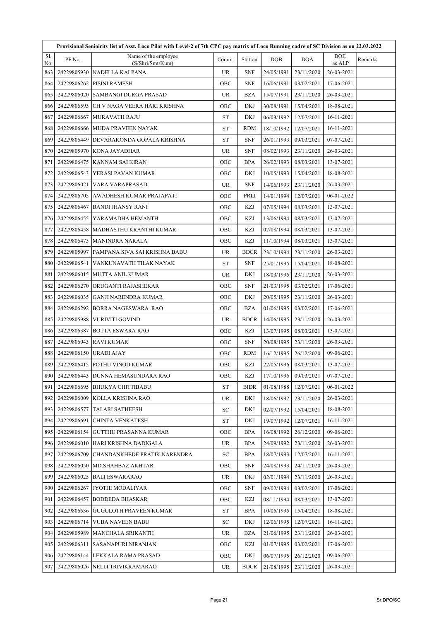|            | Provisional Senioirity list of Asst. Loco Pilot with Level-2 of 7th CPC pay matrix of Loco Running cadre of SC Division as on 22.03.2022 |                                          |           |             |            |            |                      |         |  |  |
|------------|------------------------------------------------------------------------------------------------------------------------------------------|------------------------------------------|-----------|-------------|------------|------------|----------------------|---------|--|--|
| Sl.<br>No. | PF No.                                                                                                                                   | Name of the employee<br>(S/Shri/Smt/Kum) | Comm.     | Station     | <b>DOB</b> | <b>DOA</b> | <b>DOE</b><br>as ALP | Remarks |  |  |
| 863        | 24229805930                                                                                                                              | NADELLA KALPANA                          | <b>UR</b> | <b>SNF</b>  | 24/05/1991 | 23/11/2020 | 26-03-2021           |         |  |  |
| 864        | 24229806262                                                                                                                              | <b>PISINI RAMESH</b>                     | OBC       | <b>SNF</b>  | 16/06/1991 | 03/02/2021 | 17-06-2021           |         |  |  |
| 865        | 24229806020                                                                                                                              | SAMBANGI DURGA PRASAD                    | <b>UR</b> | <b>BZA</b>  | 15/07/1991 | 23/11/2020 | 26-03-2021           |         |  |  |
| 866        | 24229806593                                                                                                                              | CH V NAGA VEERA HARI KRISHNA             | OBC       | <b>DKJ</b>  | 30/08/1991 | 15/04/2021 | 18-08-2021           |         |  |  |
| 867        | 24229806667                                                                                                                              | MURAVATH RAJU                            | <b>ST</b> | DKJ         | 06/03/1992 | 12/07/2021 | 16-11-2021           |         |  |  |
| 868        | 24229806666                                                                                                                              | MUDA PRAVEEN NAYAK                       | <b>ST</b> | <b>RDM</b>  | 18/10/1992 | 12/07/2021 | 16-11-2021           |         |  |  |
| 869        | 24229806449                                                                                                                              | DEVARAKONDA GOPALA KRISHNA               | ST        | <b>SNF</b>  | 26/01/1993 | 09/03/2021 | 07-07-2021           |         |  |  |
| 870        | 24229805970                                                                                                                              | KONA JAYADHAR                            | <b>UR</b> | <b>SNF</b>  | 08/02/1993 | 23/11/2020 | 26-03-2021           |         |  |  |
| 871        | 24229806475                                                                                                                              | KANNAM SAI KIRAN                         | OBC       | <b>BPA</b>  | 26/02/1993 | 08/03/2021 | 13-07-2021           |         |  |  |
| 872        | 24229806543                                                                                                                              | YERASI PAVAN KUMAR                       | OBC       | <b>DKJ</b>  | 10/05/1993 | 15/04/2021 | 18-08-2021           |         |  |  |
| 873        | 24229806021                                                                                                                              | VARA VARAPRASAD                          | UR        | <b>SNF</b>  | 14/06/1993 | 23/11/2020 | 26-03-2021           |         |  |  |
| 874        | 24229806705                                                                                                                              | AWADHESH KUMAR PRAJAPATI                 | OBC       | PRLI        | 14/01/1994 | 12/07/2021 | 06-01-2022           |         |  |  |
| 875        | 24229806467                                                                                                                              | <b>BANDI JHANSY RANI</b>                 | OBC       | KZJ         | 07/05/1994 | 08/03/2021 | 13-07-2021           |         |  |  |
| 876        | 24229806455                                                                                                                              | YARAMADHA HEMANTH                        | OBC       | <b>KZJ</b>  | 13/06/1994 | 08/03/2021 | 13-07-2021           |         |  |  |
| 877        | 24229806458                                                                                                                              | MADHASTHU KRANTHI KUMAR                  | OBC       | KZJ         | 07/08/1994 | 08/03/2021 | 13-07-2021           |         |  |  |
| 878        | 24229806473                                                                                                                              | MANINDRA NARALA                          | OBC       | <b>KZJ</b>  | 11/10/1994 | 08/03/2021 | 13-07-2021           |         |  |  |
| 879        | 24229805997                                                                                                                              | PAMPANA SIVA SAI KRISHNA BABU            | <b>UR</b> | <b>BDCR</b> | 23/10/1994 | 23/11/2020 | 26-03-2021           |         |  |  |
| 880        | 24229806541                                                                                                                              | VANKUNAVATH TILAK NAYAK                  | <b>ST</b> | <b>SNF</b>  | 25/01/1995 | 15/04/2021 | 18-08-2021           |         |  |  |
| 881        | 24229806015                                                                                                                              | MUTTA ANIL KUMAR                         | <b>UR</b> | <b>DKJ</b>  | 18/03/1995 | 23/11/2020 | 26-03-2021           |         |  |  |
| 882        | 24229806270                                                                                                                              | ORUGANTI RAJASHEKAR                      | OBC       | <b>SNF</b>  | 21/03/1995 | 03/02/2021 | 17-06-2021           |         |  |  |
| 883        | 24229806035                                                                                                                              | GANJI NARENDRA KUMAR                     | OBC       | <b>DKJ</b>  | 20/05/1995 | 23/11/2020 | 26-03-2021           |         |  |  |
| 884        | 24229806292                                                                                                                              | BORRA NAGESWARA RAO                      | OBC       | <b>BZA</b>  | 01/06/1995 | 03/02/2021 | 17-06-2021           |         |  |  |
| 885        | 24229805988                                                                                                                              | VURIVITI GOVIND                          | UR        | <b>BDCR</b> | 14/06/1995 | 23/11/2020 | 26-03-2021           |         |  |  |
| 886        | 24229806387                                                                                                                              | <b>BOTTA ESWARA RAO</b>                  | OBC       | KZJ         | 13/07/1995 | 08/03/2021 | 13-07-2021           |         |  |  |
| 887        | 24229806043                                                                                                                              | <b>RAVI KUMAR</b>                        | OBC       | <b>SNF</b>  | 20/08/1995 | 23/11/2020 | 26-03-2021           |         |  |  |
| 888        | 24229806150                                                                                                                              | <b>URADI AJAY</b>                        | OBC       | <b>RDM</b>  | 16/12/1995 | 26/12/2020 | 09-06-2021           |         |  |  |
| 889        | 24229806415                                                                                                                              | POTHU VINOD KUMAR                        | OBC       | KZJ         | 22/05/1996 | 08/03/2021 | 13-07-2021           |         |  |  |
| 8901       | 24229806443                                                                                                                              | DUNNA HEMASUNDARA RAO                    | OBC       | KZJ         | 17/10/1996 | 09/03/2021 | 07-07-2021           |         |  |  |
| 891        | 24229806695                                                                                                                              | BHUKYA CHITTIBABU                        | ST        | <b>BIDR</b> | 01/08/1988 | 12/07/2021 | 06-01-2022           |         |  |  |
| 892        | 24229806009                                                                                                                              | KOLLA KRISHNA RAO                        | <b>UR</b> | DKJ         | 18/06/1992 | 23/11/2020 | 26-03-2021           |         |  |  |
| 893        | 24229806577                                                                                                                              | TALARI SATHEESH                          | SC        | DKJ         | 02/07/1992 | 15/04/2021 | 18-08-2021           |         |  |  |
| 894        | 24229806691                                                                                                                              | CHINTA VENKATESH                         | ST        | DKJ         | 19/07/1992 | 12/07/2021 | 16-11-2021           |         |  |  |
| 895        | 24229806154                                                                                                                              | GUTTHU PRASANNA KUMAR                    | OBC       | <b>BPA</b>  | 16/08/1992 | 26/12/2020 | 09-06-2021           |         |  |  |
| 896        | 24229806010                                                                                                                              | HARI KRISHNA DADIGALA                    | UR        | <b>BPA</b>  | 24/09/1992 | 23/11/2020 | 26-03-2021           |         |  |  |
| 897        | 24229806709                                                                                                                              | CHANDANKHEDE PRATIK NARENDRA             | SC        | <b>BPA</b>  | 18/07/1993 | 12/07/2021 | 16-11-2021           |         |  |  |
| 898        | 24229806050                                                                                                                              | MD.SHAHBAZ AKHTAR                        | OBC       | <b>SNF</b>  | 24/08/1993 | 24/11/2020 | 26-03-2021           |         |  |  |
| 899        | 24229806025                                                                                                                              | <b>BALI ESWARARAO</b>                    | <b>UR</b> | DKJ         | 02/01/1994 | 23/11/2020 | 26-03-2021           |         |  |  |
| 900        | 24229806267                                                                                                                              | JYOTHI MODALIYAR                         | OBC       | <b>SNF</b>  | 09/02/1994 | 03/02/2021 | 17-06-2021           |         |  |  |
| 901        | 24229806457                                                                                                                              | <b>BODDEDA BHASKAR</b>                   | OBC       | KZJ         | 08/11/1994 | 08/03/2021 | 13-07-2021           |         |  |  |
| 902        | 24229806536                                                                                                                              | GUGULOTH PRAVEEN KUMAR                   | ST        | <b>BPA</b>  | 10/05/1995 | 15/04/2021 | 18-08-2021           |         |  |  |
| 903        | 24229806714                                                                                                                              | VUBA NAVEEN BABU                         | SC        | DKJ         | 12/06/1995 | 12/07/2021 | 16-11-2021           |         |  |  |
| 904        | 24229805989                                                                                                                              | MANCHALA SRIKANTH                        | UR.       | BZA         | 21/06/1995 | 23/11/2020 | 26-03-2021           |         |  |  |
| 905        | 24229806311                                                                                                                              | SASANAPURI NIRANJAN                      | OBC       | KZJ         | 01/07/1995 | 03/02/2021 | 17-06-2021           |         |  |  |
| 906        | 24229806144                                                                                                                              | LEKKALA RAMA PRASAD                      | OBC       | DKJ         | 06/07/1995 | 26/12/2020 | 09-06-2021           |         |  |  |
| 907        | 24229806026                                                                                                                              | NELLI TRIVIKRAMARAO                      | UR        | <b>BDCR</b> | 21/08/1995 | 23/11/2020 | 26-03-2021           |         |  |  |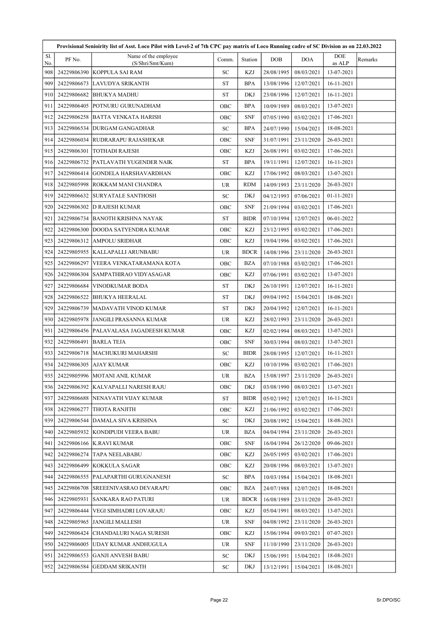|            | Provisional Senioirity list of Asst. Loco Pilot with Level-2 of 7th CPC pay matrix of Loco Running cadre of SC Division as on 22.03.2022 |                                          |                     |             |            |            |               |         |  |  |
|------------|------------------------------------------------------------------------------------------------------------------------------------------|------------------------------------------|---------------------|-------------|------------|------------|---------------|---------|--|--|
| Sl.<br>No. | PF No.                                                                                                                                   | Name of the employee<br>(S/Shri/Smt/Kum) | Comm.               | Station     | DOB        | <b>DOA</b> | DOE<br>as ALP | Remarks |  |  |
| 908        | 24229806390                                                                                                                              | KOPPULA SAI RAM                          | SC                  | <b>KZJ</b>  | 28/08/1995 | 08/03/2021 | 13-07-2021    |         |  |  |
| 909        | 24229806673                                                                                                                              | LAVUDYA SRIKANTH                         | <b>ST</b>           | <b>BPA</b>  | 13/08/1996 | 12/07/2021 | 16-11-2021    |         |  |  |
| 910        | 24229806682                                                                                                                              | <b>BHUKYA MADHU</b>                      | <b>ST</b>           | DKJ         | 23/08/1996 | 12/07/2021 | 16-11-2021    |         |  |  |
| 911        | 24229806405                                                                                                                              | POTNURU GURUNADHAM                       | OBC                 | <b>BPA</b>  | 10/09/1989 | 08/03/2021 | 13-07-2021    |         |  |  |
| 912        | 24229806258                                                                                                                              | BATTA VENKATA HARISH                     | OBC                 | <b>SNF</b>  | 07/05/1990 | 03/02/2021 | 17-06-2021    |         |  |  |
| 913        | 24229806534                                                                                                                              | DURGAM GANGADHAR                         | SC                  | <b>BPA</b>  | 24/07/1990 | 15/04/2021 | 18-08-2021    |         |  |  |
| 914        | 24229806034                                                                                                                              | RUDRARAPU RAJASHEKAR                     | OBC                 | <b>SNF</b>  | 31/07/1991 | 23/11/2020 | 26-03-2021    |         |  |  |
| 915        | 24229806301                                                                                                                              | TOTHADI RAJESH                           | OBC                 | KZJ         | 26/08/1991 | 03/02/2021 | 17-06-2021    |         |  |  |
| 916        | 24229806732                                                                                                                              | PATLAVATH YUGENDER NAIK                  | <b>ST</b>           | <b>BPA</b>  | 19/11/1991 | 12/07/2021 | 16-11-2021    |         |  |  |
| 917        | 24229806414                                                                                                                              | GONDELA HARSHAVARDHAN                    | OBC                 | KZJ         | 17/06/1992 | 08/03/2021 | 13-07-2021    |         |  |  |
| 918        | 24229805998                                                                                                                              | ROKKAM MANI CHANDRA                      | <b>UR</b>           | <b>RDM</b>  | 14/09/1993 | 23/11/2020 | 26-03-2021    |         |  |  |
| 919        | 24229806632                                                                                                                              | SURYATALE SANTHOSH                       | SC                  | <b>DKJ</b>  | 04/12/1993 | 07/06/2021 | 01-11-2021    |         |  |  |
| 920        | 24229806302                                                                                                                              | <b>D RAJESH KUMAR</b>                    | OBC                 | <b>SNF</b>  | 21/09/1994 | 03/02/2021 | 17-06-2021    |         |  |  |
| 921        | 24229806734                                                                                                                              | BANOTH KRISHNA NAYAK                     | <b>ST</b>           | <b>BIDR</b> | 07/10/1994 | 12/07/2021 | 06-01-2022    |         |  |  |
| 922        | 24229806300                                                                                                                              | DOODA SATYENDRA KUMAR                    | OBC                 | <b>KZJ</b>  | 23/12/1995 | 03/02/2021 | 17-06-2021    |         |  |  |
| 923        | 24229806312                                                                                                                              | <b>AMPOLU SRIDHAR</b>                    | OBC                 | KZJ         | 19/04/1996 | 03/02/2021 | 17-06-2021    |         |  |  |
| 924        | 24229805955                                                                                                                              | KALLAPALLI ARUNBABU                      | UR                  | <b>BDCR</b> | 14/08/1996 | 23/11/2020 | 26-03-2021    |         |  |  |
| 925        | 24229806297                                                                                                                              | VEERA VENKATARAMANA KOTA                 | OBC                 | <b>BZA</b>  | 07/10/1988 | 03/02/2021 | 17-06-2021    |         |  |  |
| 926        | 24229806304                                                                                                                              | SAMPATHIRAO VIDYASAGAR                   | OBC                 | KZJ         | 07/06/1991 | 03/02/2021 | 13-07-2021    |         |  |  |
| 927        | 24229806684                                                                                                                              | VINODKUMAR BODA                          | <b>ST</b>           | <b>DKJ</b>  | 26/10/1991 | 12/07/2021 | 16-11-2021    |         |  |  |
| 928        | 24229806522                                                                                                                              | BHUKYA HEERALAL                          | <b>ST</b>           | <b>DKJ</b>  | 09/04/1992 | 15/04/2021 | 18-08-2021    |         |  |  |
| 929        | 24229806739                                                                                                                              | MADAVATH VINOD KUMAR                     | $\operatorname{ST}$ | <b>DKJ</b>  | 20/04/1992 | 12/07/2021 | 16-11-2021    |         |  |  |
| 930        | 24229805978                                                                                                                              | JANGILI PRASANNA KUMAR                   | <b>UR</b>           | KZJ         | 28/02/1993 | 23/11/2020 | 26-03-2021    |         |  |  |
| 931        | 24229806456                                                                                                                              | PALAVALASA JAGADEESH KUMAR               | OBC                 | KZJ         | 02/02/1994 | 08/03/2021 | 13-07-2021    |         |  |  |
| 932        | 24229806491                                                                                                                              | <b>BARLA TEJA</b>                        | OBC                 | <b>SNF</b>  | 30/03/1994 | 08/03/2021 | 13-07-2021    |         |  |  |
| 933        | 24229806718                                                                                                                              | MACHUKURI MAHARSHI                       | ${\rm SC}$          | <b>BIDR</b> | 28/08/1995 | 12/07/2021 | 16-11-2021    |         |  |  |
| 934        | 24229806305                                                                                                                              | AJAY KUMAR                               | OBC                 | <b>KZJ</b>  | 10/10/1996 | 03/02/2021 | 17-06-2021    |         |  |  |
| 935        | 24229805996                                                                                                                              | MOTANI ANIL KUMAR                        | <b>UR</b>           | <b>BZA</b>  | 15/08/1997 | 23/11/2020 | 26-03-2021    |         |  |  |
| 936        | 24229806392                                                                                                                              | KALVAPALLI NARESH RAJU                   | OBC                 | DKJ         | 03/08/1990 | 08/03/2021 | 13-07-2021    |         |  |  |
| 937        | 24229806688                                                                                                                              | NENAVATH VIJAY KUMAR                     | <b>ST</b>           | <b>BIDR</b> | 05/02/1992 | 12/07/2021 | 16-11-2021    |         |  |  |
| 938        | 24229806277                                                                                                                              | <b>THOTA RANJITH</b>                     | OBC                 | KZJ         | 21/06/1992 | 03/02/2021 | 17-06-2021    |         |  |  |
| 939        | 24229806544                                                                                                                              | DAMALA SIVA KRISHNA                      | SC                  | DKJ         | 20/08/1992 | 15/04/2021 | 18-08-2021    |         |  |  |
| 940        | 24229805932                                                                                                                              | KONDIPUDI VEERA BABU                     | UR.                 | BZA         | 04/04/1994 | 23/11/2020 | 26-03-2021    |         |  |  |
| 941        | 24229806166                                                                                                                              | <b>K.RAVI KUMAR</b>                      | OBC                 | <b>SNF</b>  | 16/04/1994 | 26/12/2020 | 09-06-2021    |         |  |  |
| 942        | 24229806274                                                                                                                              | <b>TAPA NEELABABU</b>                    | OBC                 | KZJ         | 26/05/1995 | 03/02/2021 | 17-06-2021    |         |  |  |
| 943        | 24229806499                                                                                                                              | <b>KOKKULA SAGAR</b>                     | OBC                 | KZJ         | 20/08/1996 | 08/03/2021 | 13-07-2021    |         |  |  |
| 944        | 24229806555                                                                                                                              | PALAPARTHI GURUGNANESH                   | SC                  | <b>BPA</b>  | 10/03/1984 | 15/04/2021 | 18-08-2021    |         |  |  |
| 945        | 24229806708                                                                                                                              | SREEENIVASRAO DEVARAPU                   | OBC                 | BZA         | 24/07/1988 | 12/07/2021 | 18-08-2021    |         |  |  |
| 946        | 24229805931                                                                                                                              | SANKARA RAO PATURI                       | <b>UR</b>           | <b>BDCR</b> | 16/08/1989 | 23/11/2020 | 26-03-2021    |         |  |  |
| 947        | 24229806444                                                                                                                              | VEGI SIMHADRI LOVARAJU                   | OBC                 | KZJ         | 05/04/1991 | 08/03/2021 | 13-07-2021    |         |  |  |
| 948        | 24229805965                                                                                                                              | <b>JANGILI MALLESH</b>                   | <b>UR</b>           | <b>SNF</b>  | 04/08/1992 | 23/11/2020 | 26-03-2021    |         |  |  |
| 949        | 24229806424                                                                                                                              | CHANDALURI NAGA SURESH                   | OBC                 | KZJ         | 15/06/1994 | 09/03/2021 | 07-07-2021    |         |  |  |
| 950        | 24229806005                                                                                                                              | UDAY KUMAR ANDHUGULA                     | <b>UR</b>           | <b>SNF</b>  | 11/10/1990 | 23/11/2020 | 26-03-2021    |         |  |  |
| 951        | 24229806553                                                                                                                              | GANJI ANVESH BABU                        | SC                  | DKJ         | 15/06/1991 | 15/04/2021 | 18-08-2021    |         |  |  |
| 952        | 24229806584                                                                                                                              | <b>GEDDAM SRIKANTH</b>                   | SC                  | DKJ         | 13/12/1991 | 15/04/2021 | 18-08-2021    |         |  |  |